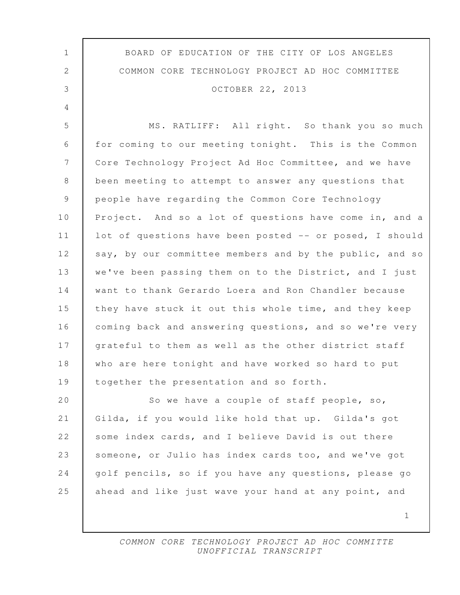| $\mathbf{1}$   | BOARD OF EDUCATION OF THE CITY OF LOS ANGELES           |
|----------------|---------------------------------------------------------|
| $\mathbf{2}$   | COMMON CORE TECHNOLOGY PROJECT AD HOC COMMITTEE         |
| 3              | OCTOBER 22, 2013                                        |
| $\overline{4}$ |                                                         |
| 5              | MS. RATLIFF: All right. So thank you so much            |
| 6              | for coming to our meeting tonight. This is the Common   |
| 7              | Core Technology Project Ad Hoc Committee, and we have   |
| 8              | been meeting to attempt to answer any questions that    |
| 9              | people have regarding the Common Core Technology        |
| 10             | Project. And so a lot of questions have come in, and a  |
| 11             | lot of questions have been posted -- or posed, I should |
| 12             | say, by our committee members and by the public, and so |
| 13             | we've been passing them on to the District, and I just  |
| 14             | want to thank Gerardo Loera and Ron Chandler because    |
| 15             | they have stuck it out this whole time, and they keep   |
| 16             | coming back and answering questions, and so we're very  |
| 17             | grateful to them as well as the other district staff    |
| 18             | who are here tonight and have worked so hard to put     |
| 19             | together the presentation and so forth.                 |
| 20             | So we have a couple of staff people, so,                |
| 21             | Gilda, if you would like hold that up. Gilda's got      |
| 22             | some index cards, and I believe David is out there      |
| 23             | someone, or Julio has index cards too, and we've got    |
| 24             | golf pencils, so if you have any questions, please go   |
| 25             | ahead and like just wave your hand at any point, and    |
|                | 1                                                       |
|                |                                                         |

 $\mathsf{l}$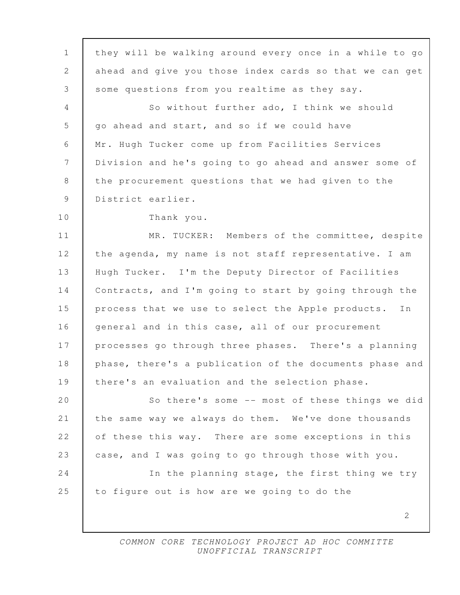2 1 they will be walking around every once in a while to go 2 ahead and give you those index cards so that we can get 3 some questions from you realtime as they say. 4 So without further ado, I think we should 5 go ahead and start, and so if we could have 6 Mr. Hugh Tucker come up from Facilities Services 7 Division and he's going to go ahead and answer some of 8 the procurement questions that we had given to the 9 District earlier. 10 Thank you. 11 MR. TUCKER: Members of the committee, despite 12 the agenda, my name is not staff representative. I am 13 Hugh Tucker. I'm the Deputy Director of Facilities 14 Contracts, and I'm going to start by going through the 15 process that we use to select the Apple products. In 16 general and in this case, all of our procurement 17 | processes go through three phases. There's a planning 18 | phase, there's a publication of the documents phase and 19 | there's an evaluation and the selection phase. 20 So there's some -- most of these things we did 21 the same way we always do them. We've done thousands 22 of these this way. There are some exceptions in this 23 case, and I was going to go through those with you. 24 In the planning stage, the first thing we try 25 to figure out is how are we going to do the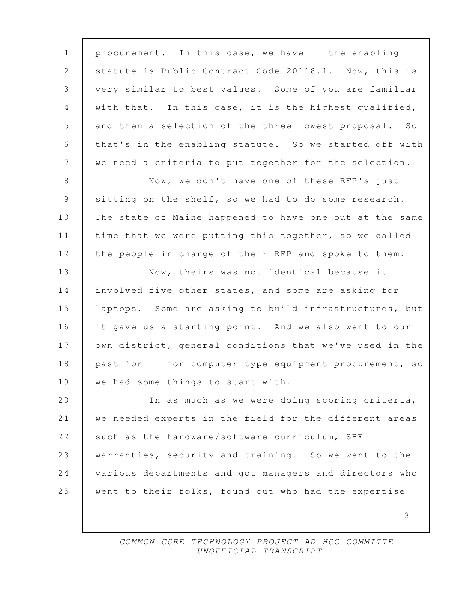1 procurement. In this case, we have -- the enabling 2 | statute is Public Contract Code 20118.1. Now, this is 3 very similar to best values. Some of you are familiar 4 with that. In this case, it is the highest qualified, 5 and then a selection of the three lowest proposal. So 6 that's in the enabling statute. So we started off with 7 we need a criteria to put together for the selection. 8 Now, we don't have one of these RFP's just 9 sitting on the shelf, so we had to do some research. 10 The state of Maine happened to have one out at the same 11 | time that we were putting this together, so we called 12 the people in charge of their RFP and spoke to them. 13 Now, theirs was not identical because it 14 involved five other states, and some are asking for 15 laptops. Some are asking to build infrastructures, but 16 it gave us a starting point. And we also went to our 17 | own district, general conditions that we've used in the 18 past for -- for computer-type equipment procurement, so 19 we had some things to start with. 20 In as much as we were doing scoring criteria, 21 we needed experts in the field for the different areas 22 such as the hardware/software curriculum, SBE 23 warranties, security and training. So we went to the 24 various departments and got managers and directors who 25 went to their folks, found out who had the expertise

> COMMON CORE TECHNOLOGY PROJECT AD HOC COMMITTE UNOFFICIAL TRANSCRIPT

3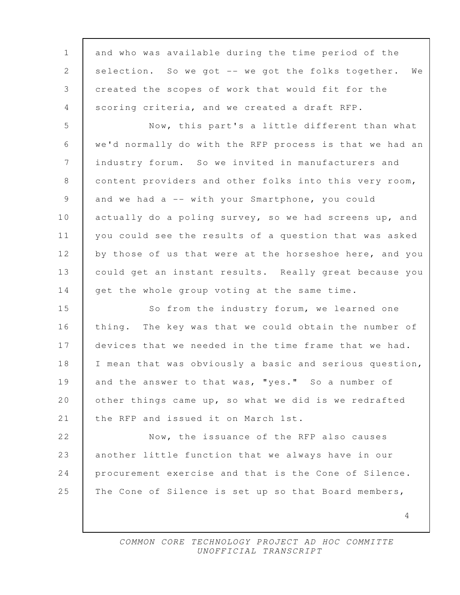| $\mathbf{1}$    | and who was available during the time period of the     |
|-----------------|---------------------------------------------------------|
| 2               | selection. So we got -- we got the folks together. We   |
| 3               | created the scopes of work that would fit for the       |
| 4               | scoring criteria, and we created a draft RFP.           |
| 5               | Now, this part's a little different than what           |
| 6               | we'd normally do with the RFP process is that we had an |
| $7\phantom{.0}$ | industry forum. So we invited in manufacturers and      |
| 8               | content providers and other folks into this very room,  |
| 9               | and we had a -- with your Smartphone, you could         |
| 10              | actually do a poling survey, so we had screens up, and  |
| 11              | you could see the results of a question that was asked  |
| 12              | by those of us that were at the horseshoe here, and you |
| 13              | could get an instant results. Really great because you  |
| 14              | get the whole group voting at the same time.            |
| 15              | So from the industry forum, we learned one              |
| 16              | thing. The key was that we could obtain the number of   |
| 17              | devices that we needed in the time frame that we had.   |
| 18              | I mean that was obviously a basic and serious question, |
| 19              | and the answer to that was, "yes." So a number of       |
| 20              | other things came up, so what we did is we redrafted    |
| 21              | the RFP and issued it on March 1st.                     |
| 22              | Now, the issuance of the RFP also causes                |
| 23              | another little function that we always have in our      |
| 24              | procurement exercise and that is the Cone of Silence.   |
| 25              | The Cone of Silence is set up so that Board members,    |
|                 | 4                                                       |
|                 |                                                         |

 $\mathsf{l}$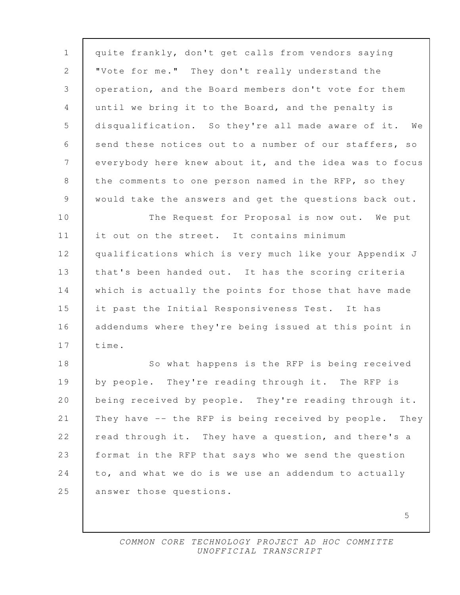| $\mathbf 1$    | quite frankly, don't get calls from vendors saying      |
|----------------|---------------------------------------------------------|
| $\mathbf{2}$   | "Vote for me." They don't really understand the         |
| 3              | operation, and the Board members don't vote for them    |
| 4              | until we bring it to the Board, and the penalty is      |
| 5              | disqualification. So they're all made aware of it. We   |
| 6              | send these notices out to a number of our staffers, so  |
| 7              | everybody here knew about it, and the idea was to focus |
| 8              | the comments to one person named in the RFP, so they    |
| $\overline{9}$ | would take the answers and get the questions back out.  |
| 10             | The Request for Proposal is now out. We put             |
| 11             | it out on the street. It contains minimum               |
| 12             | qualifications which is very much like your Appendix J  |
| 13             | that's been handed out. It has the scoring criteria     |
| 14             | which is actually the points for those that have made   |
| 15             | it past the Initial Responsiveness Test. It has         |
| 16             | addendums where they're being issued at this point in   |
| 17             | time.                                                   |
| 18             | So what happens is the RFP is being received            |
| 19             | by people. They're reading through it. The RFP is       |
| 20             | being received by people. They're reading through it.   |
| 21             | They have -- the RFP is being received by people. They  |
| 22             | read through it. They have a question, and there's a    |
| 23             | format in the RFP that says who we send the question    |
| 24             | to, and what we do is we use an addendum to actually    |
| 25             | answer those questions.                                 |
|                |                                                         |

5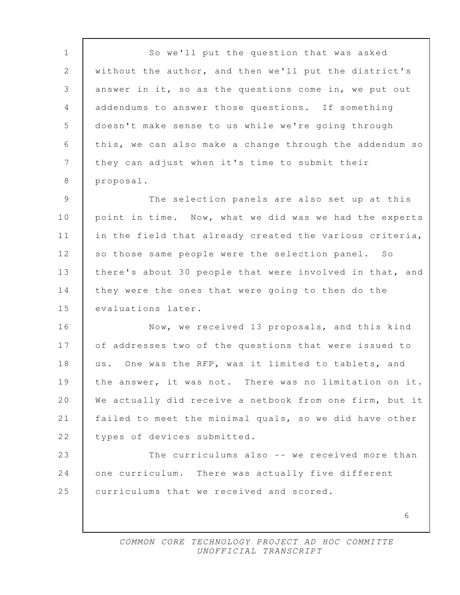6 1 So we'll put the question that was asked 2 without the author, and then we'll put the district's 3 answer in it, so as the questions come in, we put out 4 addendums to answer those questions. If something 5 doesn't make sense to us while we're going through 6 this, we can also make a change through the addendum so 7 they can adjust when it's time to submit their 8 | proposal. 9 The selection panels are also set up at this 10 point in time. Now, what we did was we had the experts 11 | in the field that already created the various criteria, 12 so those same people were the selection panel. So 13 | there's about 30 people that were involved in that, and 14 they were the ones that were going to then do the 15 evaluations later. 16 Now, we received 13 proposals, and this kind 17 of addresses two of the questions that were issued to 18 us. One was the RFP, was it limited to tablets, and 19 the answer, it was not. There was no limitation on it. 20 We actually did receive a netbook from one firm, but it 21 failed to meet the minimal quals, so we did have other 22 | types of devices submitted. 23 The curriculums also -- we received more than 24 one curriculum. There was actually five different 25 curriculums that we received and scored.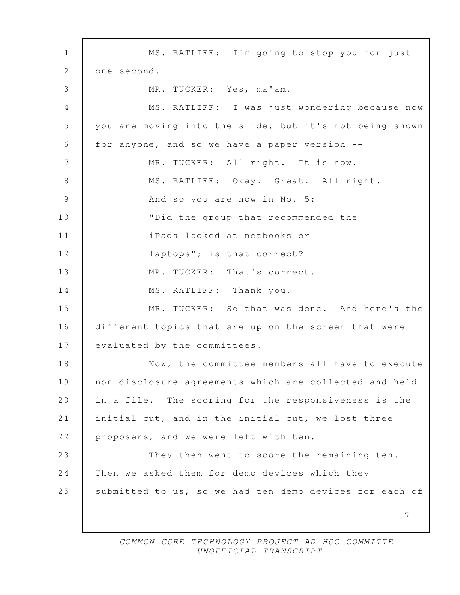7 1 MS. RATLIFF: I'm going to stop you for just 2 one second. 3 MR. TUCKER: Yes, ma'am. 4 MS. RATLIFF: I was just wondering because now 5 you are moving into the slide, but it's not being shown 6 for anyone, and so we have a paper version -- 7 | MR. TUCKER: All right. It is now. 8 MS. RATLIFF: Okay. Great. All right. 9 And so you are now in No. 5: 10 "Did the group that recommended the 11 iPads looked at netbooks or 12 **| Taptops";** is that correct? 13 MR. TUCKER: That's correct. 14 MS. RATLIFF: Thank you. 15 MR. TUCKER: So that was done. And here's the 16 different topics that are up on the screen that were 17 evaluated by the committees. 18 Now, the committee members all have to execute 19 non-disclosure agreements which are collected and held 20 in a file. The scoring for the responsiveness is the 21 initial cut, and in the initial cut, we lost three 22 | proposers, and we were left with ten. 23 They then went to score the remaining ten. 24 Then we asked them for demo devices which they 25 submitted to us, so we had ten demo devices for each of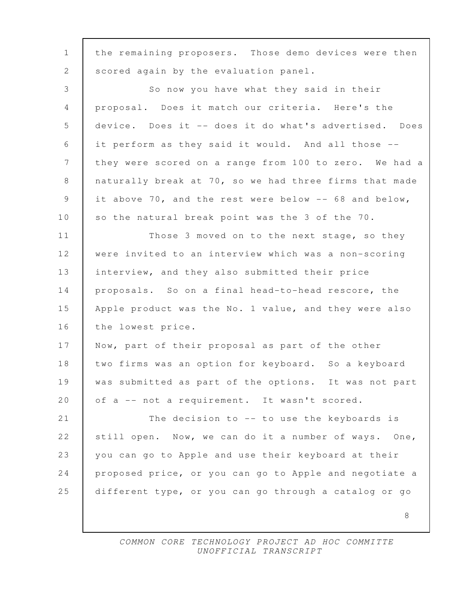| $\mathbf 1$     | the remaining proposers. Those demo devices were then  |
|-----------------|--------------------------------------------------------|
| 2               | scored again by the evaluation panel.                  |
| $\mathcal{S}$   | So now you have what they said in their                |
| $\overline{4}$  | proposal. Does it match our criteria. Here's the       |
| 5               | device. Does it -- does it do what's advertised. Does  |
| 6               | it perform as they said it would. And all those --     |
| $7\phantom{.0}$ | they were scored on a range from 100 to zero. We had a |
| 8               | naturally break at 70, so we had three firms that made |
| 9               | it above 70, and the rest were below -- 68 and below,  |
| 10              | so the natural break point was the 3 of the 70.        |
| 11              | Those 3 moved on to the next stage, so they            |
| 12              | were invited to an interview which was a non-scoring   |
| 13              | interview, and they also submitted their price         |
| 14              | proposals. So on a final head-to-head rescore, the     |
| 15              | Apple product was the No. 1 value, and they were also  |
| 16              | the lowest price.                                      |
| 17              | Now, part of their proposal as part of the other       |
| 18              | two firms was an option for keyboard. So a keyboard    |
| 19              | was submitted as part of the options. It was not part  |
| 20              | of a -- not a requirement. It wasn't scored.           |
| 21              | The decision to -- to use the keyboards is             |
| 22              | still open. Now, we can do it a number of ways. One,   |
| 23              | you can go to Apple and use their keyboard at their    |
| 24              | proposed price, or you can go to Apple and negotiate a |
| 25              | different type, or you can go through a catalog or go  |
|                 | 8                                                      |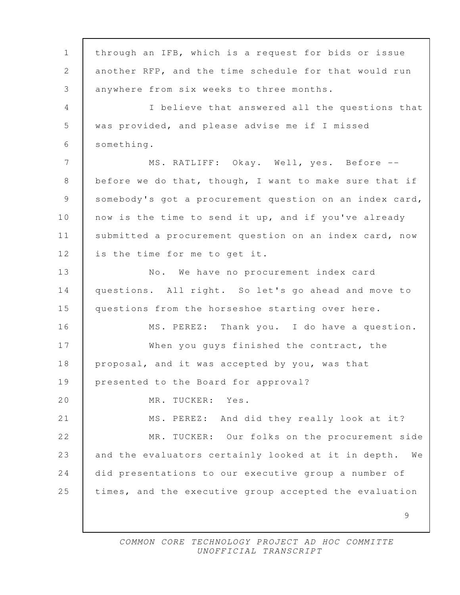9 1 through an IFB, which is a request for bids or issue 2 another RFP, and the time schedule for that would run 3 anywhere from six weeks to three months. 4 I believe that answered all the questions that 5 was provided, and please advise me if I missed 6 something. 7 | MS. RATLIFF: Okay. Well, yes. Before --8 before we do that, though, I want to make sure that if 9 somebody's got a procurement question on an index card, 10 now is the time to send it up, and if you've already 11 | submitted a procurement question on an index card, now 12 is the time for me to get it. 13 | No. We have no procurement index card 14 questions. All right. So let's go ahead and move to 15 questions from the horseshoe starting over here. 16 | MS. PEREZ: Thank you. I do have a question. 17 When you guys finished the contract, the 18 proposal, and it was accepted by you, was that 19 presented to the Board for approval? 20 MR. TUCKER: Yes. 21 MS. PEREZ: And did they really look at it? 22 MR. TUCKER: Our folks on the procurement side 23 and the evaluators certainly looked at it in depth. We 24 did presentations to our executive group a number of 25 times, and the executive group accepted the evaluation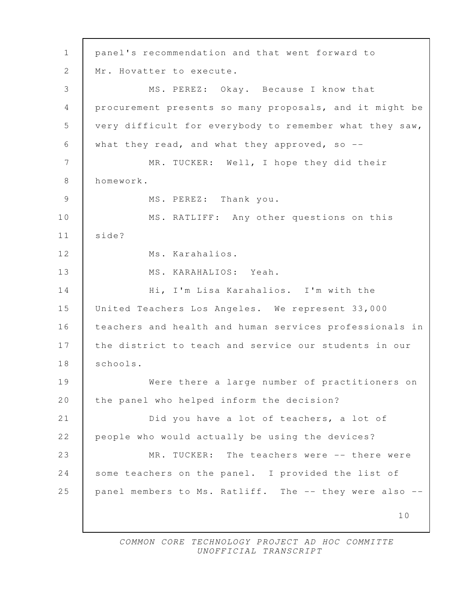10 1 panel's recommendation and that went forward to 2 | Mr. Hovatter to execute. 3 MS. PEREZ: Okay. Because I know that 4 procurement presents so many proposals, and it might be 5 very difficult for everybody to remember what they saw, 6 what they read, and what they approved, so -- 7 | MR. TUCKER: Well, I hope they did their 8 homework. 9 MS. PEREZ: Thank you. 10 | MS. RATLIFF: Any other questions on this 11 side? 12 Ms. Karahalios. 13 MS. KARAHALIOS: Yeah. 14 Hi, I'm Lisa Karahalios. I'm with the 15 United Teachers Los Angeles. We represent 33,000 16 teachers and health and human services professionals in 17 the district to teach and service our students in our 18 | schools. 19 Were there a large number of practitioners on 20 | the panel who helped inform the decision? 21 **Did you have a lot of teachers, a lot of** 22 people who would actually be using the devices? 23 MR. TUCKER: The teachers were -- there were 24 some teachers on the panel. I provided the list of 25 panel members to Ms. Ratliff. The -- they were also --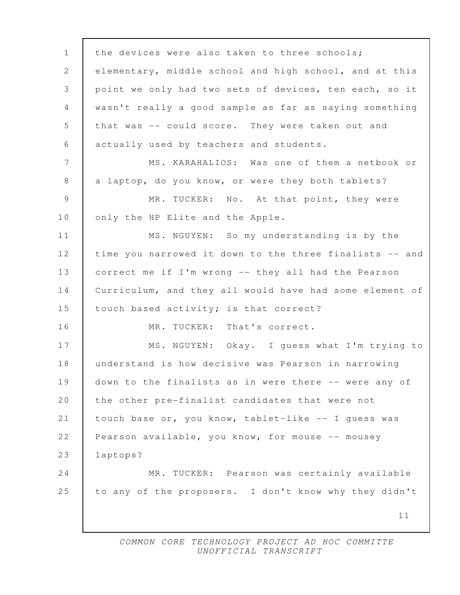11 1 the devices were also taken to three schools; 2 elementary, middle school and high school, and at this 3 point we only had two sets of devices, ten each, so it 4 wasn't really a good sample as far as saying something 5 that was -- could score. They were taken out and 6 actually used by teachers and students. 7 MS. KARAHALIOS: Was one of them a netbook or 8 a laptop, do you know, or were they both tablets? 9 MR. TUCKER: No. At that point, they were 10 | only the HP Elite and the Apple. 11 MS. NGUYEN: So my understanding is by the 12 time you narrowed it down to the three finalists -- and 13 correct me if I'm wrong -- they all had the Pearson 14 Curriculum, and they all would have had some element of 15 | touch based activity; is that correct? 16 | MR. TUCKER: That's correct. 17 | MS. NGUYEN: Okay. I quess what I'm trying to 18 understand is how decisive was Pearson in narrowing 19 down to the finalists as in were there -- were any of 20 the other pre-finalist candidates that were not 21 touch base or, you know, tablet-like -- I guess was 22 Pearson available, you know, for mouse -- mousey 23 laptops? 24 MR. TUCKER: Pearson was certainly available 25 to any of the proposers. I don't know why they didn't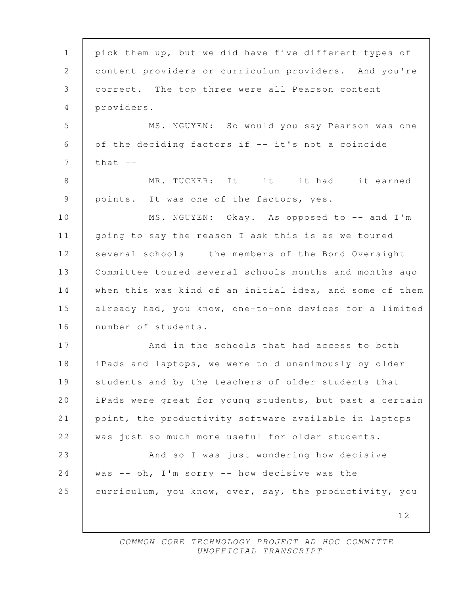| $\mathbf 1$     | pick them up, but we did have five different types of   |
|-----------------|---------------------------------------------------------|
| 2               | content providers or curriculum providers. And you're   |
| 3               | correct. The top three were all Pearson content         |
| 4               | providers.                                              |
| 5               | MS. NGUYEN: So would you say Pearson was one            |
| 6               | of the deciding factors if -- it's not a coincide       |
| $7\phantom{.0}$ | that $--$                                               |
| 8               | MR. TUCKER: It -- it -- it had -- it earned             |
| 9               | points. It was one of the factors, yes.                 |
| 10              | MS. NGUYEN: Okay. As opposed to -- and I'm              |
| 11              | going to say the reason I ask this is as we toured      |
| 12              | several schools -- the members of the Bond Oversight    |
| 13              | Committee toured several schools months and months ago  |
| 14              | when this was kind of an initial idea, and some of them |
| 15              | already had, you know, one-to-one devices for a limited |
| 16              | number of students.                                     |
| 17              | And in the schools that had access to both              |
| 18              | iPads and laptops, we were told unanimously by older    |
| 19              | students and by the teachers of older students that     |
| 20              | iPads were great for young students, but past a certain |
| 21              | point, the productivity software available in laptops   |
| 22              | was just so much more useful for older students.        |
| 23              | And so I was just wondering how decisive                |
| 24              | was -- $oh$ , I'm sorry -- how decisive was the         |
| 25              | curriculum, you know, over, say, the productivity, you  |
|                 | 12                                                      |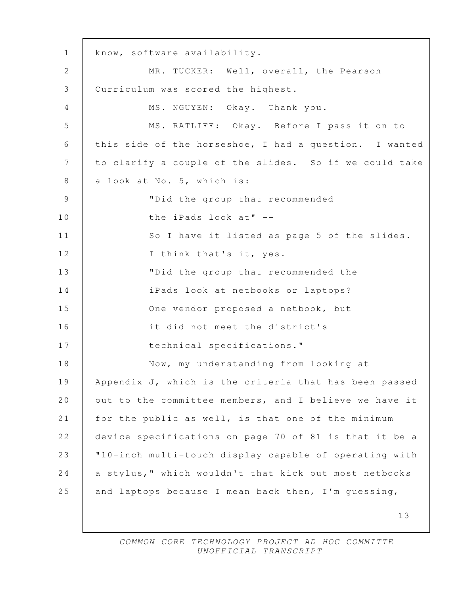13 1 know, software availability. 2 | MR. TUCKER: Well, overall, the Pearson 3 Curriculum was scored the highest. 4 | MS. NGUYEN: Okay. Thank you. 5 MS. RATLIFF: Okay. Before I pass it on to 6 this side of the horseshoe, I had a question. I wanted 7 to clarify a couple of the slides. So if we could take 8 a look at No. 5, which is: 9 "Did the group that recommended 10 the iPads look at" --11 | So I have it listed as page 5 of the slides. 12 | I think that's it, yes. 13 "Did the group that recommended the 14 iPads look at netbooks or laptops? 15 One vendor proposed a netbook, but 16 it did not meet the district's 17 technical specifications." 18 Now, my understanding from looking at 19 | Appendix J, which is the criteria that has been passed 20 | out to the committee members, and I believe we have it 21 for the public as well, is that one of the minimum 22 device specifications on page 70 of 81 is that it be a 23 "10-inch multi-touch display capable of operating with 24 a stylus," which wouldn't that kick out most netbooks 25 and laptops because I mean back then, I'm guessing,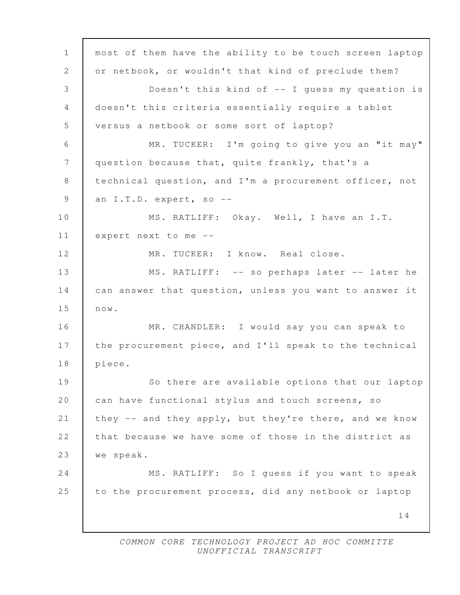14 1 most of them have the ability to be touch screen laptop 2 or netbook, or wouldn't that kind of preclude them? 3 Doesn't this kind of -- I guess my question is 4 doesn't this criteria essentially require a tablet 5 versus a netbook or some sort of laptop? 6 MR. TUCKER: I'm going to give you an "it may" 7 | question because that, quite frankly, that's a 8 technical question, and I'm a procurement officer, not 9 an I.T.D. expert, so --10 MS. RATLIFF: Okay. Well, I have an I.T. 11 expert next to me -- 12 MR. TUCKER: I know. Real close. 13 | MS. RATLIFF: -- so perhaps later -- later he 14 can answer that question, unless you want to answer it 15 now. 16 MR. CHANDLER: I would say you can speak to 17 the procurement piece, and I'll speak to the technical 18 piece. 19 So there are available options that our laptop 20 can have functional stylus and touch screens, so 21 they -- and they apply, but they're there, and we know 22 that because we have some of those in the district as 23 we speak. 24 | MS. RATLIFF: So I quess if you want to speak 25 to the procurement process, did any netbook or laptop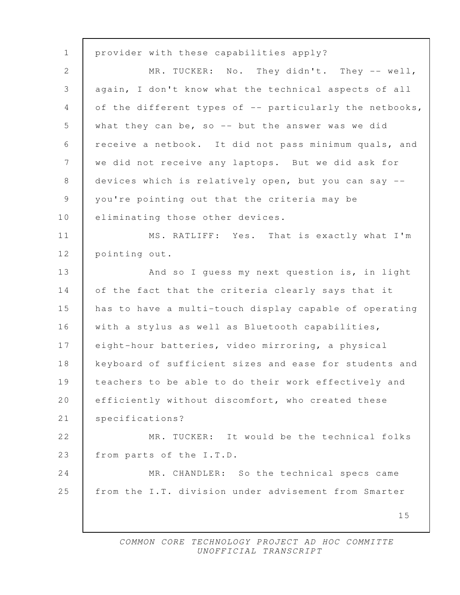15 1 provider with these capabilities apply? 2 MR. TUCKER: No. They didn't. They -- well, 3 again, I don't know what the technical aspects of all 4 of the different types of -- particularly the netbooks, 5 what they can be, so -- but the answer was we did 6 receive a netbook. It did not pass minimum quals, and 7 we did not receive any laptops. But we did ask for 8 devices which is relatively open, but you can say -- 9 you're pointing out that the criteria may be 10 | eliminating those other devices. 11 | MS. RATLIFF: Yes. That is exactly what I'm 12 | pointing out. 13 And so I guess my next question is, in light 14 of the fact that the criteria clearly says that it 15 has to have a multi-touch display capable of operating 16 with a stylus as well as Bluetooth capabilities, 17 eight-hour batteries, video mirroring, a physical 18 keyboard of sufficient sizes and ease for students and 19 teachers to be able to do their work effectively and 20 | efficiently without discomfort, who created these 21 | specifications? 22 WR. TUCKER: It would be the technical folks 23 from parts of the I.T.D. 24 MR. CHANDLER: So the technical specs came 25 from the I.T. division under advisement from Smarter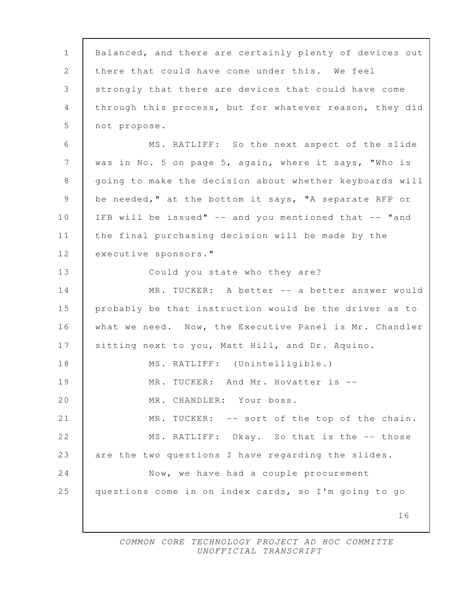| $\mathbf 1$    | Balanced, and there are certainly plenty of devices out |
|----------------|---------------------------------------------------------|
| 2              | there that could have come under this. We feel          |
| $\mathfrak{Z}$ | strongly that there are devices that could have come    |
| $\overline{4}$ | through this process, but for whatever reason, they did |
| 5              | not propose.                                            |
| 6              | MS. RATLIFF: So the next aspect of the slide            |
| 7              | was in No. 5 on page 5, again, where it says, "Who is   |
| 8              | going to make the decision about whether keyboards will |
| 9              | be needed," at the bottom it says, "A separate RFP or   |
| 10             | IFB will be issued" -- and you mentioned that -- "and   |
| 11             | the final purchasing decision will be made by the       |
| 12             | executive sponsors."                                    |
| 13             | Could you state who they are?                           |
| 14             | MR. TUCKER: A better -- a better answer would           |
| 15             | probably be that instruction would be the driver as to  |
| 16             | what we need. Now, the Executive Panel is Mr. Chandler  |
| 17             | sitting next to you, Matt Hill, and Dr. Aquino.         |
| 18             | MS. RATLIFF: (Unintelligible.)                          |
| 19             | TUCKER: And Mr. Hovatter is --<br>MR.                   |
| 20             | CHANDLER: Your boss.<br>MR.                             |
| 21             | -- sort of the top of the chain.<br>MR.<br>TUCKER:      |
| 22             | MS. RATLIFF: Okay. So that is the -- those              |
| 23             | are the two questions I have regarding the slides.      |
| 24             | Now, we have had a couple procurement                   |
| 25             | questions come in on index cards, so I'm going to go    |
|                | 16                                                      |
|                |                                                         |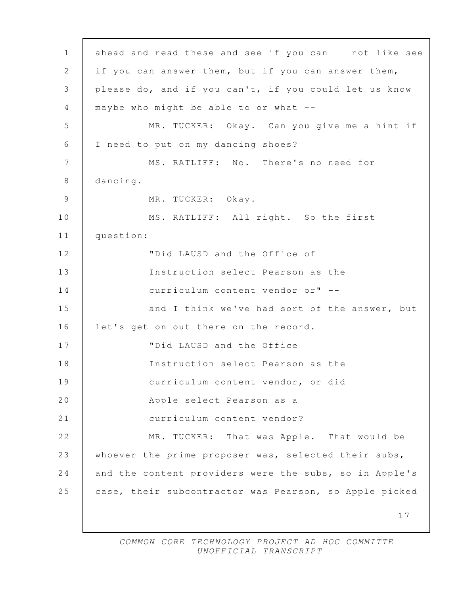17 1 ahead and read these and see if you can -- not like see 2 if you can answer them, but if you can answer them, 3 please do, and if you can't, if you could let us know 4 maybe who might be able to or what -- 5 MR. TUCKER: Okay. Can you give me a hint if 6 I need to put on my dancing shoes? 7 MS. RATLIFF: No. There's no need for 8 dancing. 9 MR. TUCKER: Okay. 10 MS. RATLIFF: All right. So the first 11 question: 12 "Did LAUSD and the Office of 13 Instruction select Pearson as the 14 curriculum content vendor or" -- 15 and I think we've had sort of the answer, but 16 let's get on out there on the record. 17 "Did LAUSD and the Office 18 Instruction select Pearson as the 19 curriculum content vendor, or did 20 Apple select Pearson as a 21 curriculum content vendor? 22 MR. TUCKER: That was Apple. That would be 23 whoever the prime proposer was, selected their subs, 24 and the content providers were the subs, so in Apple's 25 case, their subcontractor was Pearson, so Apple picked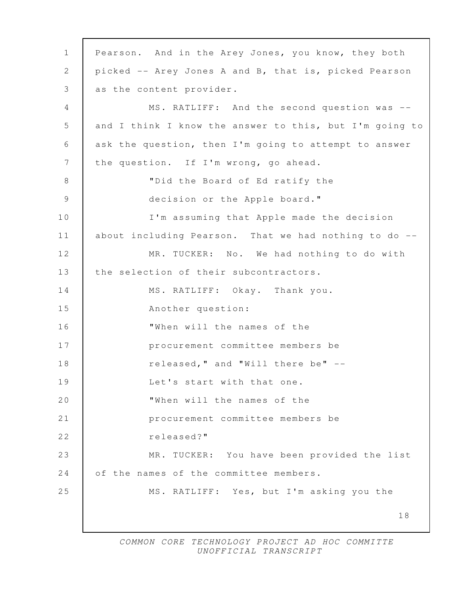| $\mathbf{1}$  | Pearson. And in the Arey Jones, you know, they both     |
|---------------|---------------------------------------------------------|
| $\mathbf{2}$  | picked -- Arey Jones A and B, that is, picked Pearson   |
| 3             | as the content provider.                                |
| 4             | MS. RATLIFF: And the second question was --             |
| 5             | and I think I know the answer to this, but I'm going to |
| 6             | ask the question, then I'm going to attempt to answer   |
| 7             | the question. If I'm wrong, go ahead.                   |
| $8\,$         | "Did the Board of Ed ratify the                         |
| $\mathcal{G}$ | decision or the Apple board."                           |
| 10            | I'm assuming that Apple made the decision               |
| 11            | about including Pearson. That we had nothing to do --   |
| 12            | MR. TUCKER: No. We had nothing to do with               |
| 13            | the selection of their subcontractors.                  |
| 14            | MS. RATLIFF: Okay. Thank you.                           |
| 15            | Another question:                                       |
| 16            | "When will the names of the                             |
| 17            | procurement committee members be                        |
| 18            | released, " and "Will there be" --                      |
| 19            | Let's start with that one.                              |
| 20            | "When will the names of the                             |
| 21            | procurement committee members be                        |
| 22            | released?"                                              |
| 23            | TUCKER: You have been provided the list<br>MR.          |
| 24            | of the names of the committee members.                  |
| 25            | MS. RATLIFF: Yes, but I'm asking you the                |
|               | 18                                                      |
|               |                                                         |

 $\Gamma$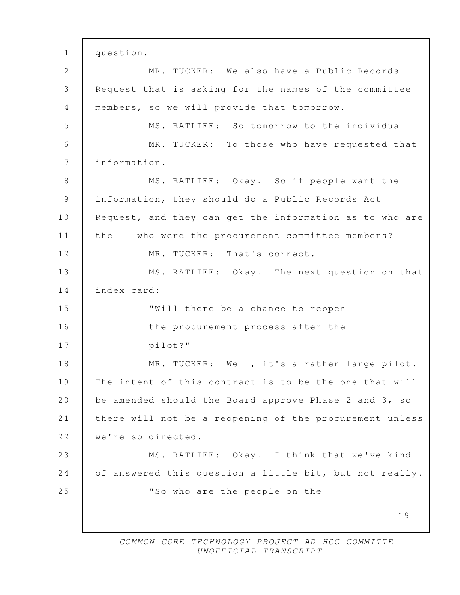19 1 question. 2 MR. TUCKER: We also have a Public Records 3 Request that is asking for the names of the committee 4 members, so we will provide that tomorrow. 5 MS. RATLIFF: So tomorrow to the individual -- 6 MR. TUCKER: To those who have requested that 7 information. 8 MS. RATLIFF: Okay. So if people want the 9 information, they should do a Public Records Act 10 Request, and they can get the information as to who are 11 the -- who were the procurement committee members? 12 MR. TUCKER: That's correct. 13 | MS. RATLIFF: Okay. The next question on that 14 index card: 15 "Will there be a chance to reopen 16 the procurement process after the 17 pilot?" 18 MR. TUCKER: Well, it's a rather large pilot. 19 The intent of this contract is to be the one that will 20 be amended should the Board approve Phase 2 and 3, so 21 there will not be a reopening of the procurement unless 22 | we're so directed. 23 MS. RATLIFF: Okay. I think that we've kind 24 of answered this question a little bit, but not really. 25 **WALK** 25 **WALK** 25 **WALK** 25 **WALK** 25 **WALK** 25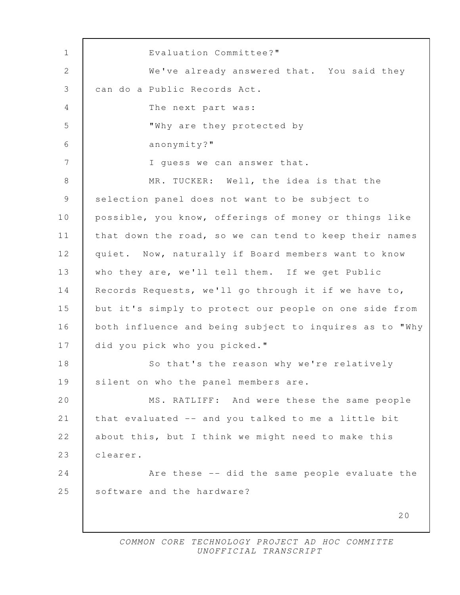20 1 Evaluation Committee?" 2 We've already answered that. You said they 3 can do a Public Records Act. 4 The next part was: 5 "Why are they protected by 6 anonymity?" 7 I quess we can answer that. 8 MR. TUCKER: Well, the idea is that the 9 selection panel does not want to be subject to 10 possible, you know, offerings of money or things like 11 | that down the road, so we can tend to keep their names 12 quiet. Now, naturally if Board members want to know 13 | who they are, we'll tell them. If we get Public 14 Records Requests, we'll go through it if we have to, 15 but it's simply to protect our people on one side from 16 both influence and being subject to inquires as to "Why 17 did you pick who you picked." 18 So that's the reason why we're relatively 19 silent on who the panel members are. 20 | MS. RATLIFF: And were these the same people 21 that evaluated -- and you talked to me a little bit 22 about this, but I think we might need to make this 23 clearer. 24 **Are these** -- did the same people evaluate the 25 software and the hardware?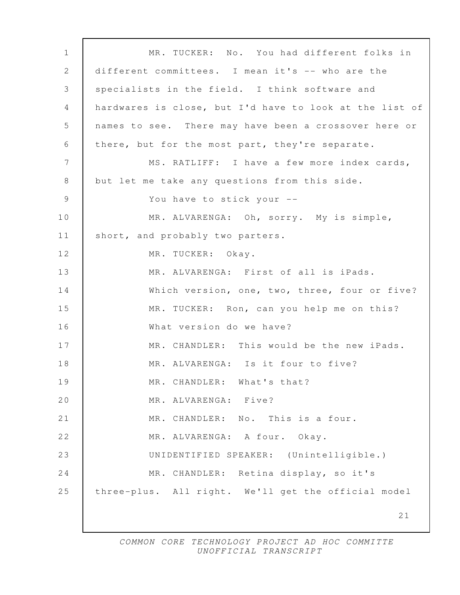21 1 MR. TUCKER: No. You had different folks in 2 different committees. I mean it's -- who are the 3 specialists in the field. I think software and 4 hardwares is close, but I'd have to look at the list of 5 names to see. There may have been a crossover here or 6 there, but for the most part, they're separate. 7 | MS. RATLIFF: I have a few more index cards, 8 but let me take any questions from this side. 9 You have to stick your -- 10 MR. ALVARENGA: Oh, sorry. My is simple, 11 | short, and probably two parters. 12 | MR. TUCKER: Okay. 13 MR. ALVARENGA: First of all is iPads. 14 Which version, one, two, three, four or five? 15 MR. TUCKER: Ron, can you help me on this? 16 What version do we have? 17 MR. CHANDLER: This would be the new iPads. 18 MR. ALVARENGA: Is it four to five? 19 MR. CHANDLER: What's that? 20 MR. ALVARENGA: Five? 21 MR. CHANDLER: No. This is a four. 22 MR. ALVARENGA: A four. Okay. 23 UNIDENTIFIED SPEAKER: (Unintelligible.) 24 MR. CHANDLER: Retina display, so it's 25 three-plus. All right. We'll get the official model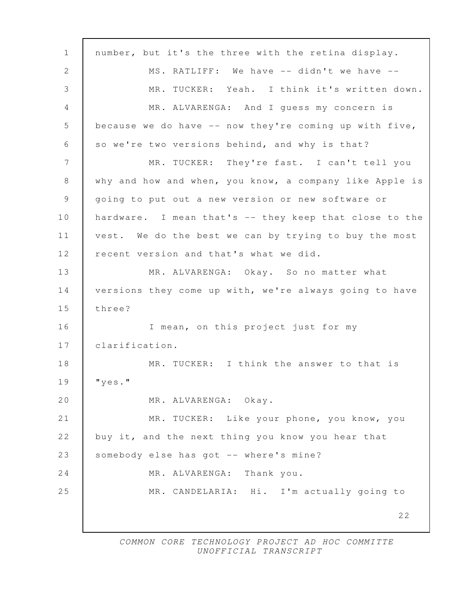| $\mathbf 1$ | number, but it's the three with the retina display.      |
|-------------|----------------------------------------------------------|
| 2           | MS. RATLIFF: We have -- didn't we have --                |
| 3           | MR. TUCKER: Yeah. I think it's written down.             |
| 4           | MR. ALVARENGA: And I guess my concern is                 |
| 5           | because we do have $--$ now they're coming up with five, |
| 6           | so we're two versions behind, and why is that?           |
| 7           | MR. TUCKER: They're fast. I can't tell you               |
| 8           | why and how and when, you know, a company like Apple is  |
| 9           | going to put out a new version or new software or        |
| 10          | hardware. I mean that's -- they keep that close to the   |
| 11          | vest. We do the best we can by trying to buy the most    |
| 12          | recent version and that's what we did.                   |
| 13          | MR. ALVARENGA: Okay. So no matter what                   |
| 14          | versions they come up with, we're always going to have   |
| 15          | three?                                                   |
| 16          | I mean, on this project just for my                      |
| 17          | clarification.                                           |
| 18          | MR. TUCKER: I think the answer to that is                |
| 19          | " $y \in S$ ."                                           |
| 20          | MR. ALVARENGA: Okay.                                     |
| 21          | MR. TUCKER: Like your phone, you know, you               |
| 22          | buy it, and the next thing you know you hear that        |
| 23          | somebody else has got -- where's mine?                   |
| 24          | MR. ALVARENGA: Thank you.                                |
| 25          | MR. CANDELARIA: Hi. I'm actually going to                |
|             | 22                                                       |
|             |                                                          |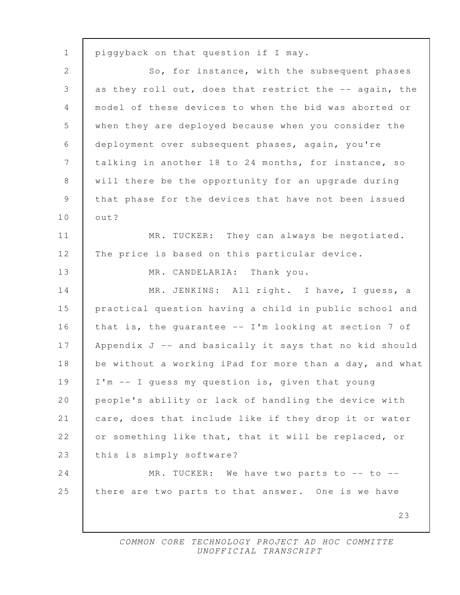23 1 piggyback on that question if I may. 2 So, for instance, with the subsequent phases 3 as they roll out, does that restrict the -- again, the 4 model of these devices to when the bid was aborted or 5 when they are deployed because when you consider the 6 deployment over subsequent phases, again, you're 7 talking in another 18 to 24 months, for instance, so 8 | will there be the opportunity for an upgrade during 9 that phase for the devices that have not been issued 10 out? 11 MR. TUCKER: They can always be negotiated. 12 The price is based on this particular device. 13 MR. CANDELARIA: Thank you. 14 MR. JENKINS: All right. I have, I quess, a 15 practical question having a child in public school and 16 that is, the quarantee -- I'm looking at section 7 of 17 Appendix J -- and basically it says that no kid should 18 be without a working iPad for more than a day, and what 19 I'm -- I guess my question is, given that young 20 people's ability or lack of handling the device with 21 care, does that include like if they drop it or water 22 or something like that, that it will be replaced, or 23 this is simply software? 24 MR. TUCKER: We have two parts to -- to --25 there are two parts to that answer. One is we have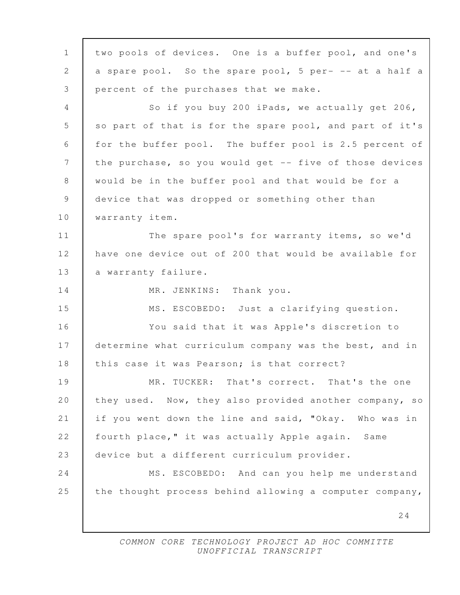24 1 two pools of devices. One is a buffer pool, and one's 2 a spare pool. So the spare pool, 5 per- -- at a half a 3 percent of the purchases that we make. 4 So if you buy 200 iPads, we actually get 206, 5 so part of that is for the spare pool, and part of it's 6 for the buffer pool. The buffer pool is 2.5 percent of 7 the purchase, so you would get -- five of those devices 8 would be in the buffer pool and that would be for a 9 device that was dropped or something other than 10 **Warranty item.** 11 The spare pool's for warranty items, so we'd 12 have one device out of 200 that would be available for 13 a warranty failure. 14 MR. JENKINS: Thank you. 15 MS. ESCOBEDO: Just a clarifying question. 16 You said that it was Apple's discretion to 17 determine what curriculum company was the best, and in 18 | this case it was Pearson; is that correct? 19 MR. TUCKER: That's correct. That's the one 20 they used. Now, they also provided another company, so 21 if you went down the line and said, "Okay. Who was in 22 | fourth place," it was actually Apple again. Same 23 device but a different curriculum provider. 24 MS. ESCOBEDO: And can you help me understand 25 the thought process behind allowing a computer company,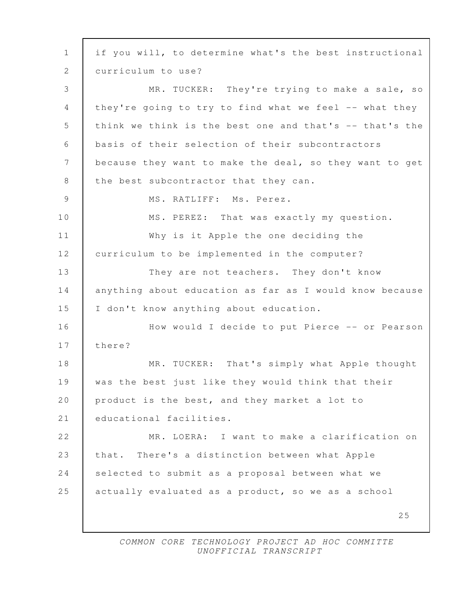25 1 if you will, to determine what's the best instructional 2 | curriculum to use? 3 MR. TUCKER: They're trying to make a sale, so 4 | they're going to try to find what we feel -- what they 5 think we think is the best one and that's -- that's the 6 basis of their selection of their subcontractors 7 because they want to make the deal, so they want to get 8 the best subcontractor that they can. 9 | MS. RATLIFF: Ms. Perez. 10 | MS. PEREZ: That was exactly my question. 11 Why is it Apple the one deciding the 12 curriculum to be implemented in the computer? 13 They are not teachers. They don't know 14 anything about education as far as I would know because 15 I don't know anything about education. 16 How would I decide to put Pierce -- or Pearson 17 there? 18 MR. TUCKER: That's simply what Apple thought 19 was the best just like they would think that their 20 product is the best, and they market a lot to 21 educational facilities. 22 MR. LOERA: I want to make a clarification on 23 that. There's a distinction between what Apple 24 selected to submit as a proposal between what we 25 actually evaluated as a product, so we as a school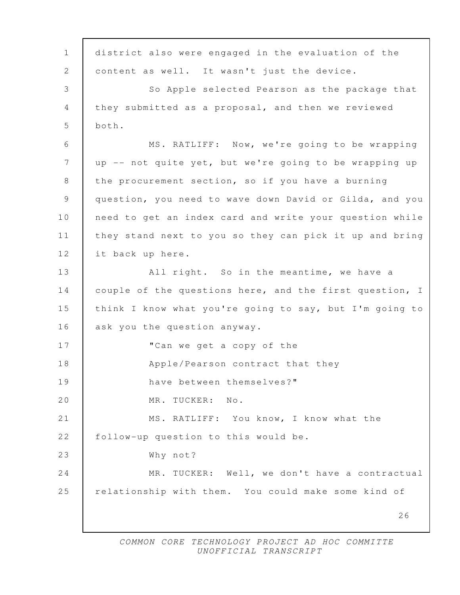26 1 district also were engaged in the evaluation of the 2 content as well. It wasn't just the device. 3 So Apple selected Pearson as the package that 4 they submitted as a proposal, and then we reviewed  $5 \text{ hoth.}$  6 MS. RATLIFF: Now, we're going to be wrapping 7 up -- not quite yet, but we're going to be wrapping up 8 the procurement section, so if you have a burning 9 question, you need to wave down David or Gilda, and you 10 | need to get an index card and write your question while 11 they stand next to you so they can pick it up and bring 12 it back up here. 13 | All right. So in the meantime, we have a 14 couple of the questions here, and the first question, I 15 think I know what you're going to say, but I'm going to 16 ask you the question anyway. 17 **Can we get a copy of the** 18 Apple/Pearson contract that they 19 have between themselves?" 20 MR. TUCKER: No. 21 MS. RATLIFF: You know, I know what the 22 | follow-up question to this would be. 23 Why not? 24 MR. TUCKER: Well, we don't have a contractual 25 relationship with them. You could make some kind of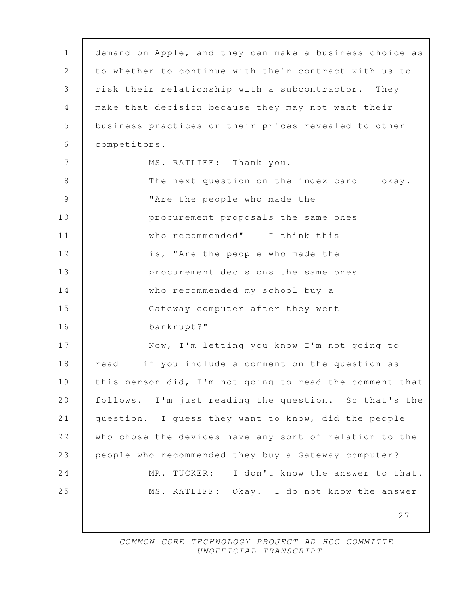| $\mathbf{1}$ | demand on Apple, and they can make a business choice as |
|--------------|---------------------------------------------------------|
| 2            | to whether to continue with their contract with us to   |
| 3            | risk their relationship with a subcontractor. They      |
| 4            | make that decision because they may not want their      |
| 5            | business practices or their prices revealed to other    |
| 6            | competitors.                                            |
| 7            | MS. RATLIFF: Thank you.                                 |
| 8            | The next question on the index card -- okay.            |
| 9            | "Are the people who made the                            |
| 10           | procurement proposals the same ones                     |
| 11           | who recommended" $--$ I think this                      |
| 12           | is, "Are the people who made the                        |
| 13           | procurement decisions the same ones                     |
| 14           | who recommended my school buy a                         |
| 15           | Gateway computer after they went                        |
| 16           | bankrupt?"                                              |
| 17           | Now, I'm letting you know I'm not going to              |
| 18           | read -- if you include a comment on the question as     |
| 19           | this person did, I'm not going to read the comment that |
| 20           | follows. I'm just reading the question. So that's the   |
| 21           | question. I guess they want to know, did the people     |
| 22           | who chose the devices have any sort of relation to the  |
| 23           | people who recommended they buy a Gateway computer?     |
| 24           | I don't know the answer to that.<br>MR.<br>TUCKER:      |
| 25           | MS. RATLIFF: Okay. I do not know the answer             |
|              | 27                                                      |
|              |                                                         |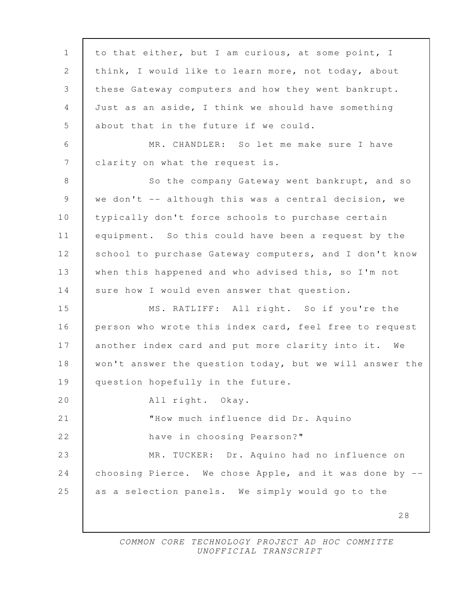28 1 to that either, but I am curious, at some point, I 2 think, I would like to learn more, not today, about 3 these Gateway computers and how they went bankrupt. 4 Just as an aside, I think we should have something 5 about that in the future if we could. 6 MR. CHANDLER: So let me make sure I have 7 | clarity on what the request is. 8 So the company Gateway went bankrupt, and so 9 we don't -- although this was a central decision, we 10 typically don't force schools to purchase certain 11 equipment. So this could have been a request by the 12 school to purchase Gateway computers, and I don't know 13 when this happened and who advised this, so I'm not 14 sure how I would even answer that question. 15 MS. RATLIFF: All right. So if you're the 16 person who wrote this index card, feel free to request 17 another index card and put more clarity into it. We 18 won't answer the question today, but we will answer the 19 question hopefully in the future. 20 All right. Okay. 21 **WELL** MEN IS THOW much influence did Dr. Aquino 22 **have in choosing Pearson?"** 23 MR. TUCKER: Dr. Aquino had no influence on 24 choosing Pierce. We chose Apple, and it was done by --25 as a selection panels. We simply would go to the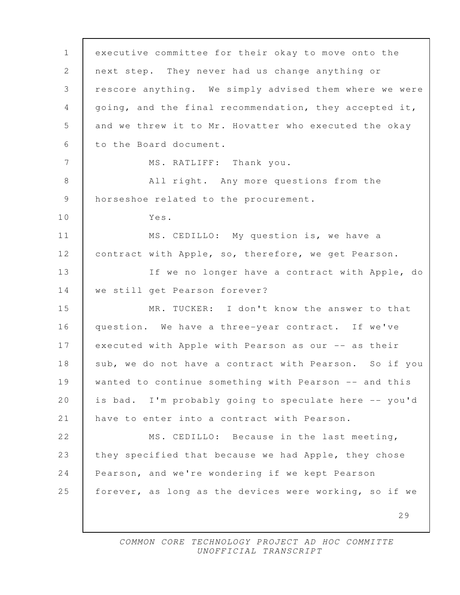29 1 executive committee for their okay to move onto the 2 next step. They never had us change anything or 3 rescore anything. We simply advised them where we were 4 going, and the final recommendation, they accepted it, 5 and we threw it to Mr. Hovatter who executed the okay 6 to the Board document. 7 MS. RATLIFF: Thank you. 8 All right. Any more questions from the 9 horseshoe related to the procurement. 10 Yes. 11 MS. CEDILLO: My question is, we have a 12 contract with Apple, so, therefore, we get Pearson. 13 | If we no longer have a contract with Apple, do 14 we still get Pearson forever? 15 MR. TUCKER: I don't know the answer to that 16 question. We have a three-year contract. If we've 17 executed with Apple with Pearson as our -- as their 18 | sub, we do not have a contract with Pearson. So if you 19 wanted to continue something with Pearson -- and this 20 is bad. I'm probably going to speculate here -- you'd 21 have to enter into a contract with Pearson. 22 | MS. CEDILLO: Because in the last meeting, 23 they specified that because we had Apple, they chose 24 Pearson, and we're wondering if we kept Pearson 25 | forever, as long as the devices were working, so if we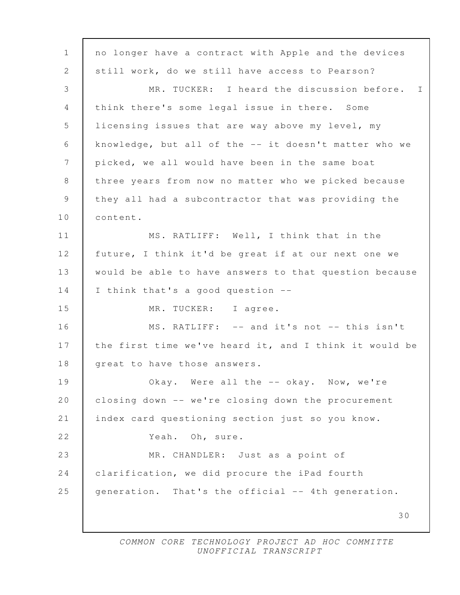30 1 | no longer have a contract with Apple and the devices 2 still work, do we still have access to Pearson? 3 MR. TUCKER: I heard the discussion before. I 4 think there's some legal issue in there. Some 5 licensing issues that are way above my level, my 6 knowledge, but all of the -- it doesn't matter who we 7 picked, we all would have been in the same boat 8 three years from now no matter who we picked because 9 they all had a subcontractor that was providing the 10 content. 11 | MS. RATLIFF: Well, I think that in the 12 future, I think it'd be great if at our next one we 13 would be able to have answers to that question because 14 I think that's a good question --15 MR. TUCKER: I agree. 16 | MS. RATLIFF: -- and it's not -- this isn't 17 the first time we've heard it, and I think it would be 18 | great to have those answers. 19 Okay. Were all the -- okay. Now, we're 20 closing down -- we're closing down the procurement 21 index card questioning section just so you know. 22 | Yeah. Oh, sure. 23 MR. CHANDLER: Just as a point of 24 clarification, we did procure the iPad fourth 25 generation. That's the official -- 4th generation.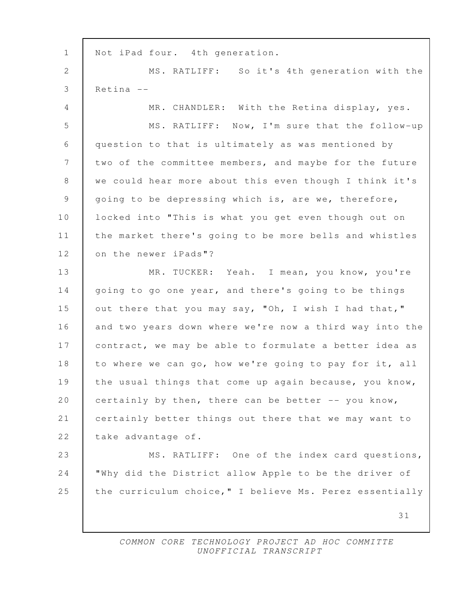31 1 | Not iPad four. 4th generation. 2 | MS. RATLIFF: So it's 4th generation with the 3 Retina -- 4 | MR. CHANDLER: With the Retina display, yes. 5 MS. RATLIFF: Now, I'm sure that the follow-up 6 question to that is ultimately as was mentioned by 7 two of the committee members, and maybe for the future 8 | we could hear more about this even though I think it's 9 going to be depressing which is, are we, therefore, 10 | locked into "This is what you get even though out on 11 the market there's going to be more bells and whistles 12 on the newer iPads"? 13 MR. TUCKER: Yeah. I mean, you know, you're 14 going to go one year, and there's going to be things 15 out there that you may say, "Oh, I wish I had that," 16 and two years down where we're now a third way into the 17 contract, we may be able to formulate a better idea as 18 to where we can go, how we're going to pay for it, all 19 the usual things that come up again because, you know, 20 certainly by then, there can be better  $-$ - you know, 21 certainly better things out there that we may want to 22 take advantage of. 23 MS. RATLIFF: One of the index card questions, 24 "Why did the District allow Apple to be the driver of 25 the curriculum choice," I believe Ms. Perez essentially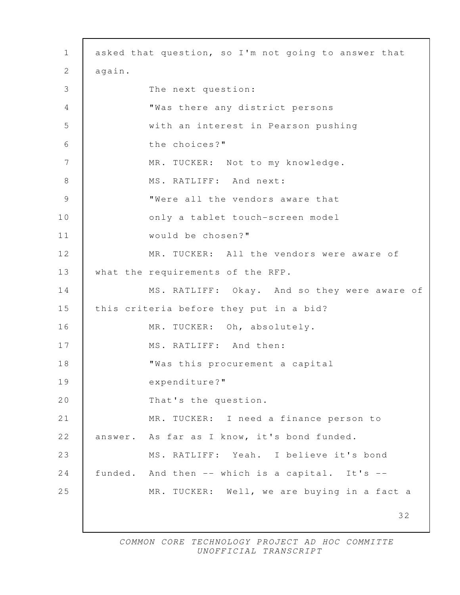| $\mathbf{1}$ | asked that question, so I'm not going to answer that |
|--------------|------------------------------------------------------|
| $\mathbf{2}$ | again.                                               |
| 3            | The next question:                                   |
| 4            | "Was there any district persons                      |
| 5            | with an interest in Pearson pushing                  |
| 6            | the choices?"                                        |
| 7            | MR. TUCKER: Not to my knowledge.                     |
| 8            | MS. RATLIFF: And next:                               |
| 9            | "Were all the vendors aware that                     |
| 10           | only a tablet touch-screen model                     |
| 11           | would be chosen?"                                    |
| 12           | MR. TUCKER: All the vendors were aware of            |
| 13           | what the requirements of the RFP.                    |
| 14           | MS. RATLIFF: Okay. And so they were aware of         |
| 15           | this criteria before they put in a bid?              |
| 16           | MR. TUCKER: Oh, absolutely.                          |
| 17           | MS. RATLIFF: And then:                               |
| 18           | "Was this procurement a capital                      |
| 19           | expenditure?"                                        |
| 20           | That's the question.                                 |
| 21           | MR. TUCKER: I need a finance person to               |
| 22           | answer. As far as I know, it's bond funded.          |
| 23           | MS. RATLIFF: Yeah. I believe it's bond               |
| 24           | funded. And then -- which is a capital. It's --      |
| 25           | MR. TUCKER: Well, we are buying in a fact a          |
|              | 32                                                   |

 $\Gamma$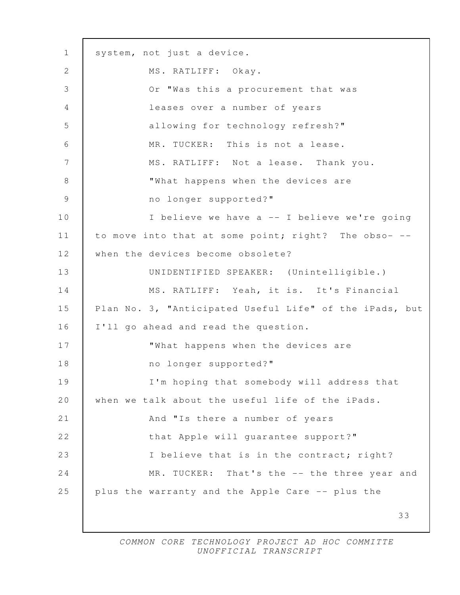33 1 | system, not just a device. 2 | MS. RATLIFF: Okay. 3 Or "Was this a procurement that was 4 leases over a number of years 5 allowing for technology refresh?" 6 MR. TUCKER: This is not a lease. 7 | MS. RATLIFF: Not a lease. Thank you. 8 **What happens when the devices are** 9 mo longer supported?" 10 I believe we have a -- I believe we're going 11 | to move into that at some point; right? The obso- --12 when the devices become obsolete? 13 UNIDENTIFIED SPEAKER: (Unintelligible.) 14 MS. RATLIFF: Yeah, it is. It's Financial 15 Plan No. 3, "Anticipated Useful Life" of the iPads, but 16 I'll go ahead and read the question. 17 What happens when the devices are 18 no longer supported?" 19 I'm hoping that somebody will address that 20 when we talk about the useful life of the iPads. 21 **And "Is there a number of years** 22 that Apple will guarantee support?" 23 I believe that is in the contract; right? 24 MR. TUCKER: That's the -- the three year and 25 plus the warranty and the Apple Care -- plus the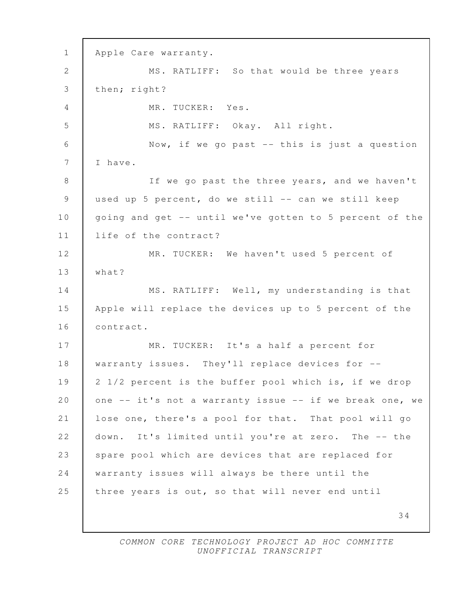34 1 Apple Care warranty. 2 MS. RATLIFF: So that would be three years 3 then; right? 4 MR. TUCKER: Yes. 5 MS. RATLIFF: Okay. All right. 6 Now, if we go past -- this is just a question 7 | I have. 8 | If we go past the three years, and we haven't 9 used up 5 percent, do we still -- can we still keep 10 | going and get -- until we've gotten to 5 percent of the 11 life of the contract? 12 MR. TUCKER: We haven't used 5 percent of 13 what? 14 MS. RATLIFF: Well, my understanding is that 15 Apple will replace the devices up to 5 percent of the 16 contract. 17 MR. TUCKER: It's a half a percent for 18 | warranty issues. They'll replace devices for --19 2 1/2 percent is the buffer pool which is, if we drop 20 one -- it's not a warranty issue -- if we break one, we 21 lose one, there's a pool for that. That pool will go 22 down. It's limited until you're at zero. The -- the 23 spare pool which are devices that are replaced for 24 warranty issues will always be there until the 25 three years is out, so that will never end until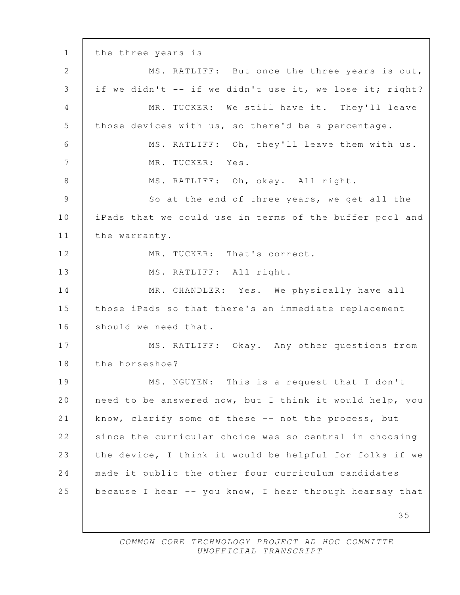35 1 the three years is -- 2 MS. RATLIFF: But once the three years is out, 3 | if we didn't -- if we didn't use it, we lose it; right? 4 MR. TUCKER: We still have it. They'll leave 5 those devices with us, so there'd be a percentage. 6 MS. RATLIFF: Oh, they'll leave them with us. 7 MR. TUCKER: Yes. 8 | MS. RATLIFF: Oh, okay. All right. 9 So at the end of three years, we get all the 10 iPads that we could use in terms of the buffer pool and 11 | the warranty. 12 MR. TUCKER: That's correct. 13 MS. RATLIFF: All right. 14 MR. CHANDLER: Yes. We physically have all 15 those iPads so that there's an immediate replacement 16 should we need that. 17 | MS. RATLIFF: Okay. Any other questions from 18 the horseshoe? 19 MS. NGUYEN: This is a request that I don't 20 need to be answered now, but I think it would help, you 21 know, clarify some of these -- not the process, but 22 since the curricular choice was so central in choosing 23 the device, I think it would be helpful for folks if we 24 made it public the other four curriculum candidates 25 because I hear -- you know, I hear through hearsay that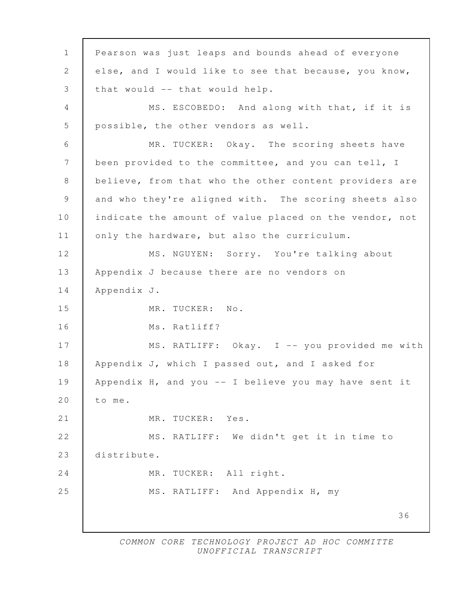36 1 Pearson was just leaps and bounds ahead of everyone 2 else, and I would like to see that because, you know, 3 that would -- that would help. 4 | MS. ESCOBEDO: And along with that, if it is 5 possible, the other vendors as well. 6 | MR. TUCKER: Okay. The scoring sheets have 7 | been provided to the committee, and you can tell, I 8 believe, from that who the other content providers are 9 and who they're aligned with. The scoring sheets also 10 indicate the amount of value placed on the vendor, not 11 | only the hardware, but also the curriculum. 12 MS. NGUYEN: Sorry. You're talking about 13 Appendix J because there are no vendors on 14 Appendix J. 15 MR. TUCKER: No. 16 Ms. Ratliff? 17 | MS. RATLIFF: Okay. I -- you provided me with 18 | Appendix J, which I passed out, and I asked for 19 Appendix H, and you -- I believe you may have sent it 20 to me. 21 | MR. TUCKER: Yes. 22 | MS. RATLIFF: We didn't get it in time to 23 distribute. 24 MR. TUCKER: All right. 25 MS. RATLIFF: And Appendix H, my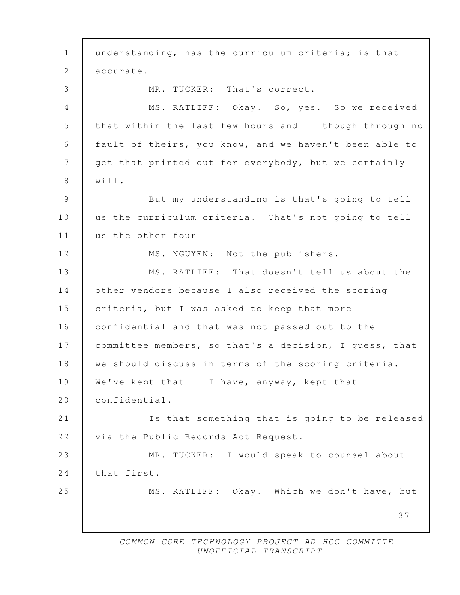37 1 understanding, has the curriculum criteria; is that 2 accurate. 3 MR. TUCKER: That's correct. 4 MS. RATLIFF: Okay. So, yes. So we received 5 that within the last few hours and -- though through no 6 fault of theirs, you know, and we haven't been able to 7 get that printed out for everybody, but we certainly 8 will. 9 But my understanding is that's going to tell 10 us the curriculum criteria. That's not going to tell 11 us the other four -- 12 MS. NGUYEN: Not the publishers. 13 MS. RATLIFF: That doesn't tell us about the 14 other vendors because I also received the scoring 15 criteria, but I was asked to keep that more 16 confidential and that was not passed out to the 17 | committee members, so that's a decision, I guess, that 18 we should discuss in terms of the scoring criteria. 19 | We've kept that -- I have, anyway, kept that 20 confidential. 21 Is that something that is going to be released 22 | via the Public Records Act Request. 23 MR. TUCKER: I would speak to counsel about 24 | that first. 25 MS. RATLIFF: Okay. Which we don't have, but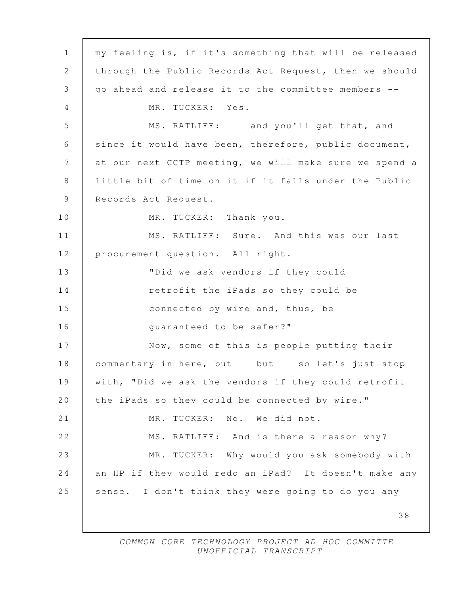38 1 my feeling is, if it's something that will be released 2 through the Public Records Act Request, then we should 3 go ahead and release it to the committee members -- 4 MR. TUCKER: Yes. 5 MS. RATLIFF: -- and you'll get that, and 6 since it would have been, therefore, public document, 7 at our next CCTP meeting, we will make sure we spend a 8 little bit of time on it if it falls under the Public 9 Records Act Request. 10 MR. TUCKER: Thank you. 11 MS. RATLIFF: Sure. And this was our last 12 procurement question. All right. 13 "Did we ask vendors if they could 14 **The IPads** so they could be 15 **connected by wire and, thus, be** 16 quaranteed to be safer?" 17 Now, some of this is people putting their 18 commentary in here, but -- but -- so let's just stop 19 with, "Did we ask the vendors if they could retrofit 20 the iPads so they could be connected by wire." 21 MR. TUCKER: No. We did not. 22 MS. RATLIFF: And is there a reason why? 23 MR. TUCKER: Why would you ask somebody with 24 an HP if they would redo an iPad? It doesn't make any 25 sense. I don't think they were going to do you any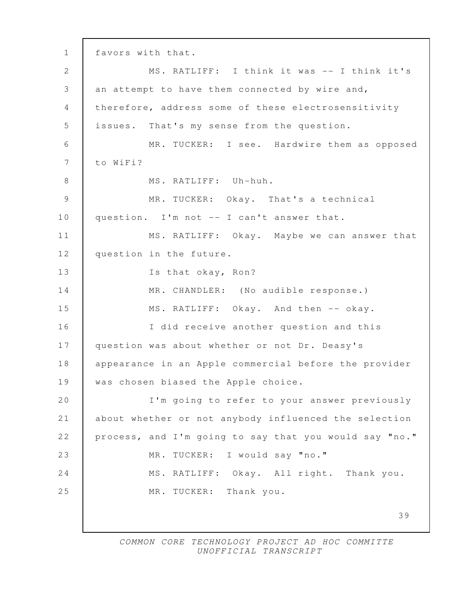39 1 favors with that. 2 MS. RATLIFF: I think it was -- I think it's 3 an attempt to have them connected by wire and, 4 | therefore, address some of these electrosensitivity 5 issues. That's my sense from the question. 6 MR. TUCKER: I see. Hardwire them as opposed 7 to WiFi? 8 MS. RATLIFF: Uh-huh. 9 MR. TUCKER: Okay. That's a technical 10 question. I'm not -- I can't answer that. 11 | MS. RATLIFF: Okay. Maybe we can answer that 12 question in the future. 13 Is that okay, Ron? 14 MR. CHANDLER: (No audible response.) 15 MS. RATLIFF: Okay. And then -- okay. 16 | The I did receive another question and this 17 | question was about whether or not Dr. Deasy's 18 | appearance in an Apple commercial before the provider 19 | was chosen biased the Apple choice. 20 I'm going to refer to your answer previously 21 about whether or not anybody influenced the selection 22 process, and I'm going to say that you would say "no." 23 MR. TUCKER: I would say "no." 24 MS. RATLIFF: Okay. All right. Thank you. 25 MR. TUCKER: Thank you.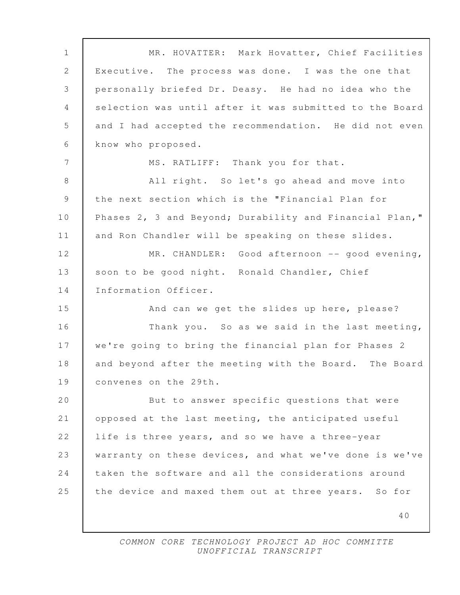40 1 MR. HOVATTER: Mark Hovatter, Chief Facilities 2 Executive. The process was done. I was the one that 3 personally briefed Dr. Deasy. He had no idea who the 4 selection was until after it was submitted to the Board 5 and I had accepted the recommendation. He did not even 6 know who proposed. 7 | MS. RATLIFF: Thank you for that. 8 All right. So let's go ahead and move into 9 the next section which is the "Financial Plan for 10 Phases 2, 3 and Beyond; Durability and Financial Plan," 11 | and Ron Chandler will be speaking on these slides. 12 MR. CHANDLER: Good afternoon -- good evening, 13 | soon to be good night. Ronald Chandler, Chief 14 Information Officer. 15 And can we get the slides up here, please? 16 Thank you. So as we said in the last meeting, 17 we're going to bring the financial plan for Phases 2 18 and beyond after the meeting with the Board. The Board 19 convenes on the 29th. 20 But to answer specific questions that were 21 opposed at the last meeting, the anticipated useful 22 life is three years, and so we have a three-year 23 warranty on these devices, and what we've done is we've 24 taken the software and all the considerations around 25 the device and maxed them out at three years. So for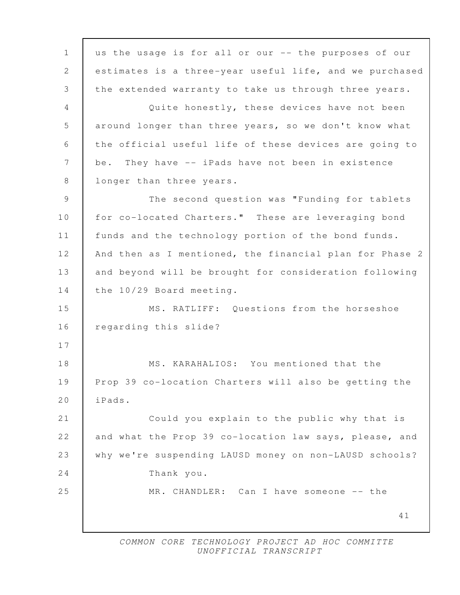41 1 us the usage is for all or our -- the purposes of our 2 estimates is a three-year useful life, and we purchased 3 the extended warranty to take us through three years. 4 Quite honestly, these devices have not been 5 around longer than three years, so we don't know what 6 the official useful life of these devices are going to 7 be. They have -- iPads have not been in existence 8 | longer than three years. 9 | The second question was "Funding for tablets 10 for co-located Charters." These are leveraging bond 11 funds and the technology portion of the bond funds. 12 | And then as I mentioned, the financial plan for Phase 2 13 and beyond will be brought for consideration following 14 the 10/29 Board meeting. 15 MS. RATLIFF: Questions from the horseshoe 16 regarding this slide? 17 18 MS. KARAHALIOS: You mentioned that the 19 Prop 39 co-location Charters will also be getting the 20 iPads. 21 Could you explain to the public why that is 22 and what the Prop 39 co-location law says, please, and 23 why we're suspending LAUSD money on non-LAUSD schools? 24 Thank you. 25 MR. CHANDLER: Can I have someone -- the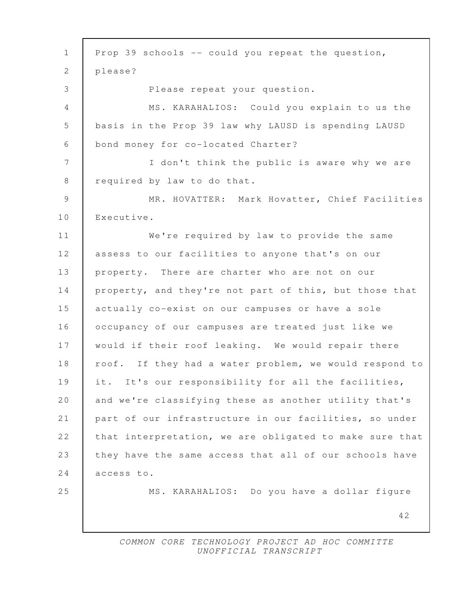42 1 Prop 39 schools -- could you repeat the question, 2 please? 3 Please repeat your question. 4 MS. KARAHALIOS: Could you explain to us the 5 basis in the Prop 39 law why LAUSD is spending LAUSD 6 bond money for co-located Charter? 7 I don't think the public is aware why we are 8 | required by law to do that. 9 MR. HOVATTER: Mark Hovatter, Chief Facilities 10 Executive. 11 We're required by law to provide the same 12 | assess to our facilities to anyone that's on our 13 | property. There are charter who are not on our 14 property, and they're not part of this, but those that 15 actually co-exist on our campuses or have a sole 16 occupancy of our campuses are treated just like we 17 would if their roof leaking. We would repair there 18 | roof. If they had a water problem, we would respond to 19 it. It's our responsibility for all the facilities, 20 and we're classifying these as another utility that's 21 part of our infrastructure in our facilities, so under 22 that interpretation, we are obligated to make sure that 23 | they have the same access that all of our schools have 24 access to. 25 MS. KARAHALIOS: Do you have a dollar figure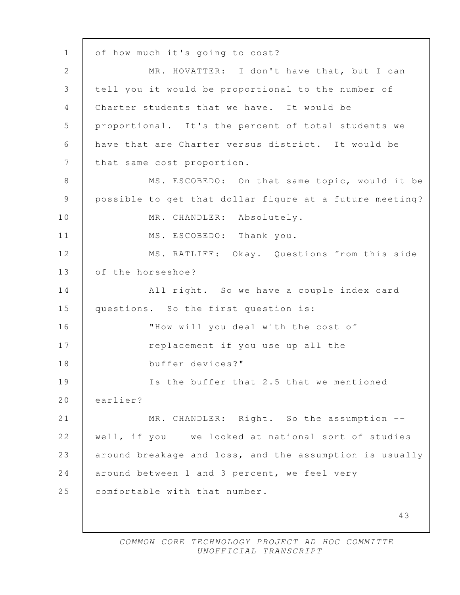43 1 | of how much it's going to cost? 2 MR. HOVATTER: I don't have that, but I can 3 tell you it would be proportional to the number of 4 Charter students that we have. It would be 5 proportional. It's the percent of total students we 6 have that are Charter versus district. It would be 7 that same cost proportion. 8 MS. ESCOBEDO: On that same topic, would it be 9 possible to get that dollar figure at a future meeting? 10 | MR. CHANDLER: Absolutely. 11 MS. ESCOBEDO: Thank you. 12 | MS. RATLIFF: Okay. Questions from this side 13 of the horseshoe? 14 All right. So we have a couple index card 15 questions. So the first question is: 16 "How will you deal with the cost of 17 The replacement if you use up all the 18 buffer devices?" 19 Is the buffer that 2.5 that we mentioned 20 earlier? 21 MR. CHANDLER: Right. So the assumption --22 well, if you -- we looked at national sort of studies 23 around breakage and loss, and the assumption is usually 24 around between 1 and 3 percent, we feel very 25 comfortable with that number.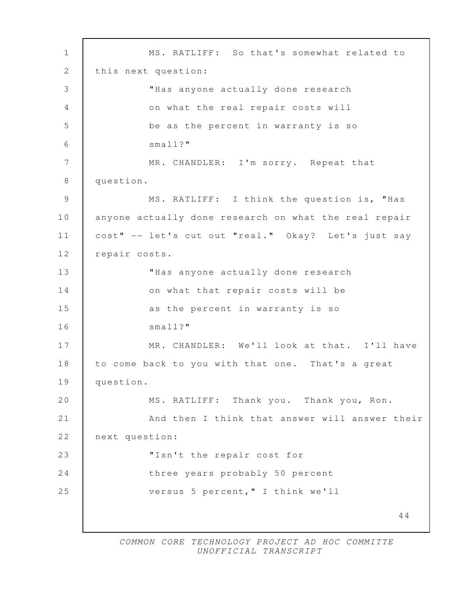44 1 MS. RATLIFF: So that's somewhat related to 2 | this next question: 3 "Has anyone actually done research 4 | Con what the real repair costs will 5 be as the percent in warranty is so 6 small?" 7 | MR. CHANDLER: I'm sorry. Repeat that 8 question. 9 MS. RATLIFF: I think the question is, "Has 10 anyone actually done research on what the real repair 11 cost" -- let's cut out "real." Okay? Let's just say 12 repair costs. 13 | WHas anyone actually done research 14 on what that repair costs will be 15 as the percent in warranty is so 16 Small?" 17 MR. CHANDLER: We'll look at that. I'll have 18 to come back to you with that one. That's a great 19 question. 20 MS. RATLIFF: Thank you. Thank you, Ron. 21 **And then I think that answer will answer their** 22 next question: 23 | "Isn't the repair cost for 24 three years probably 50 percent 25 versus 5 percent," I think we'll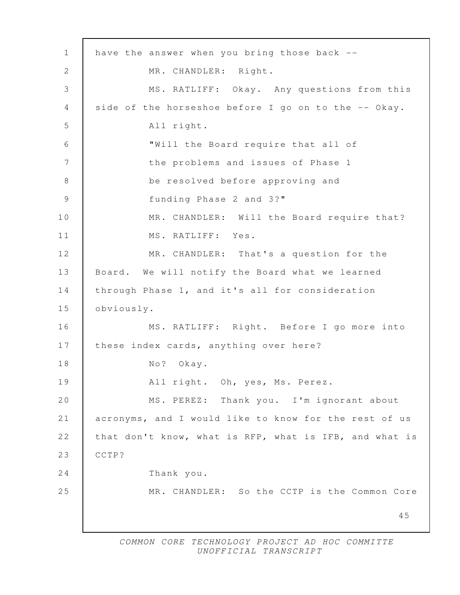| $\mathbf{1}$ | have the answer when you bring those back --           |
|--------------|--------------------------------------------------------|
| 2            | MR. CHANDLER: Right.                                   |
| 3            | MS. RATLIFF: Okay. Any questions from this             |
| 4            | side of the horseshoe before I go on to the -- Okay.   |
| 5            | All right.                                             |
| 6            | "Will the Board require that all of                    |
| 7            | the problems and issues of Phase 1                     |
| $8\,$        | be resolved before approving and                       |
| $\mathsf 9$  | funding Phase 2 and 3?"                                |
| 10           | MR. CHANDLER: Will the Board require that?             |
| 11           | MS. RATLIFF: Yes.                                      |
| 12           | MR. CHANDLER: That's a question for the                |
| 13           | Board. We will notify the Board what we learned        |
| 14           | through Phase 1, and it's all for consideration        |
| 15           | obviously.                                             |
| 16           | MS. RATLIFF: Right. Before I go more into              |
| 17           | these index cards, anything over here?                 |
| 18           | $N \circ ?$<br>Okay.                                   |
| 19           | All right. Oh, yes, Ms. Perez.                         |
| 20           | MS. PEREZ: Thank you. I'm ignorant about               |
| 21           | acronyms, and I would like to know for the rest of us  |
| 22           | that don't know, what is RFP, what is IFB, and what is |
| 23           | CCTP?                                                  |
| 24           | Thank you.                                             |
| 25           | MR. CHANDLER: So the CCTP is the Common Core           |
|              | 45                                                     |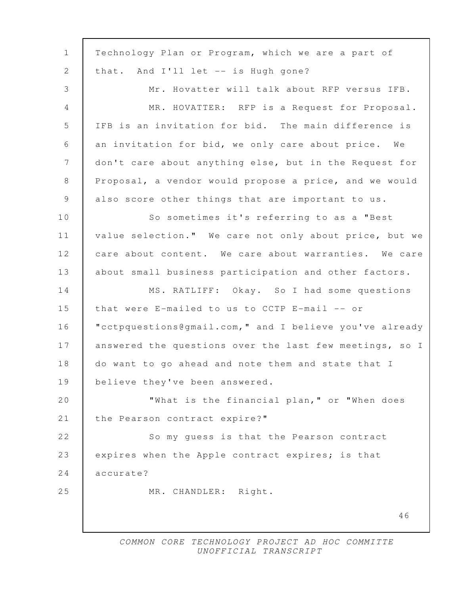| $\mathbf{1}$    | Technology Plan or Program, which we are a part of      |
|-----------------|---------------------------------------------------------|
| $\mathbf{2}$    | that. And I'll let -- is Hugh gone?                     |
| 3               | Mr. Hovatter will talk about RFP versus IFB.            |
| $\overline{4}$  | MR. HOVATTER: RFP is a Request for Proposal.            |
| 5               | IFB is an invitation for bid. The main difference is    |
| 6               | an invitation for bid, we only care about price. We     |
| $7\phantom{.0}$ | don't care about anything else, but in the Request for  |
| 8               | Proposal, a vendor would propose a price, and we would  |
| $\overline{9}$  | also score other things that are important to us.       |
| 10              | So sometimes it's referring to as a "Best               |
| 11              | value selection." We care not only about price, but we  |
| 12              | care about content. We care about warranties. We care   |
| 13              | about small business participation and other factors.   |
| 14              | MS. RATLIFF: Okay. So I had some questions              |
| 15              | that were E-mailed to us to CCTP E-mail -- or           |
| 16              | "cctpquestions@gmail.com," and I believe you've already |
| 17              | answered the questions over the last few meetings, so I |
| 18              | do want to go ahead and note them and state that I      |
| 19              | believe they've been answered.                          |
| 20              | "What is the financial plan," or "When does             |
| 21              | the Pearson contract expire?"                           |
| 22              | So my guess is that the Pearson contract                |
| 23              | expires when the Apple contract expires; is that        |
| 24              | accurate?                                               |
| 25              | MR. CHANDLER: Right.                                    |
|                 | 46                                                      |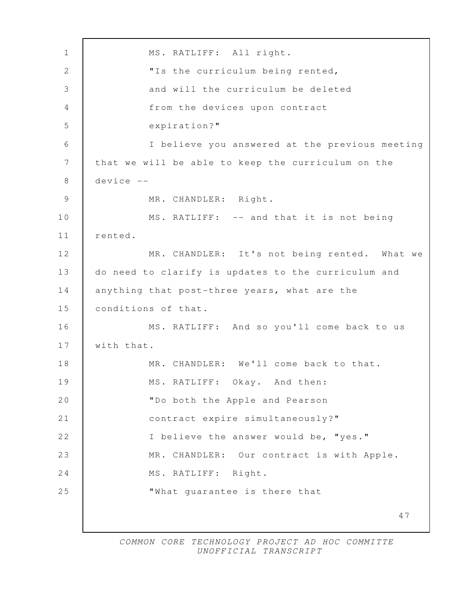47 1 | MS. RATLIFF: All right. 2 "Is the curriculum being rented, 3 and will the curriculum be deleted 4 from the devices upon contract 5 expiration?" 6 I believe you answered at the previous meeting 7 that we will be able to keep the curriculum on the 8 device -- 9 MR. CHANDLER: Right. 10 MS. RATLIFF: -- and that it is not being 11 rented. 12 MR. CHANDLER: It's not being rented. What we 13 do need to clarify is updates to the curriculum and 14 anything that post-three years, what are the 15 conditions of that. 16 MS. RATLIFF: And so you'll come back to us 17 with that. 18 MR. CHANDLER: We'll come back to that. 19 MS. RATLIFF: Okay. And then: 20 "Do both the Apple and Pearson 21 contract expire simultaneously?" 22 I believe the answer would be, "yes." 23 MR. CHANDLER: Our contract is with Apple. 24 MS. RATLIFF: Right. 25 **What guarantee is there that**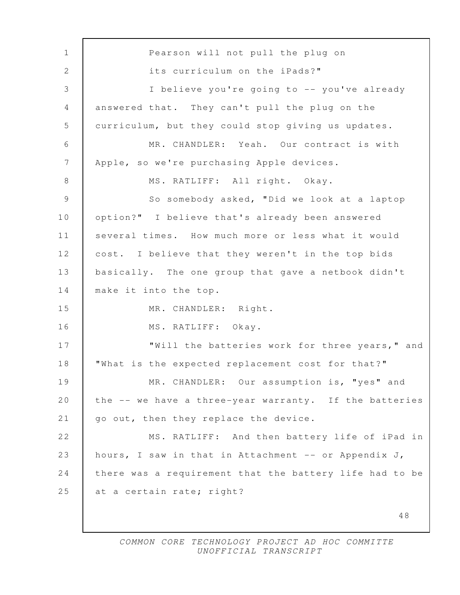48 1 Pearson will not pull the plug on 2 **its curriculum on the iPads?"**  3 I believe you're going to -- you've already 4 answered that. They can't pull the plug on the 5 curriculum, but they could stop giving us updates. 6 MR. CHANDLER: Yeah. Our contract is with 7 Apple, so we're purchasing Apple devices. 8 | MS. RATLIFF: All right. Okay. 9 So somebody asked, "Did we look at a laptop 10 | option?" I believe that's already been answered 11 several times. How much more or less what it would 12 cost. I believe that they weren't in the top bids 13 basically. The one group that gave a netbook didn't 14 make it into the top. 15 MR. CHANDLER: Right. 16 | MS. RATLIFF: Okay. 17 Will the batteries work for three years," and 18 | "What is the expected replacement cost for that?" 19 MR. CHANDLER: Our assumption is, "yes" and 20 the -- we have a three-year warranty. If the batteries 21 | go out, then they replace the device. 22 | MS. RATLIFF: And then battery life of iPad in 23 hours, I saw in that in Attachment -- or Appendix J, 24 there was a requirement that the battery life had to be 25 at a certain rate; right?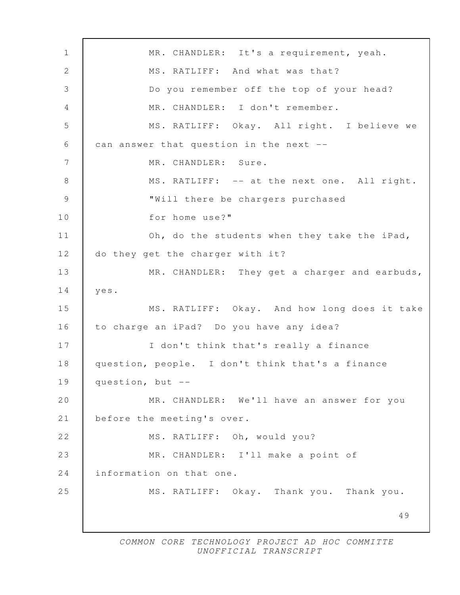49 1 MR. CHANDLER: It's a requirement, yeah. 2 MS. RATLIFF: And what was that? 3 Do you remember off the top of your head? 4 MR. CHANDLER: I don't remember. 5 MS. RATLIFF: Okay. All right. I believe we 6  $\vert$  can answer that question in the next -- 7 MR. CHANDLER: Sure. 8 | MS. RATLIFF: -- at the next one. All right. 9 "Will there be chargers purchased 10 for home use?" 11 **Oh, do the students when they take the iPad,** 12 do they get the charger with it? 13 MR. CHANDLER: They get a charger and earbuds, 14 yes. 15 MS. RATLIFF: Okay. And how long does it take 16 to charge an iPad? Do you have any idea? 17 | I don't think that's really a finance 18 question, people. I don't think that's a finance 19 question, but --20 MR. CHANDLER: We'll have an answer for you 21 before the meeting's over. 22 | MS. RATLIFF: Oh, would you? 23 MR. CHANDLER: I'll make a point of 24 Information on that one. 25 MS. RATLIFF: Okay. Thank you. Thank you.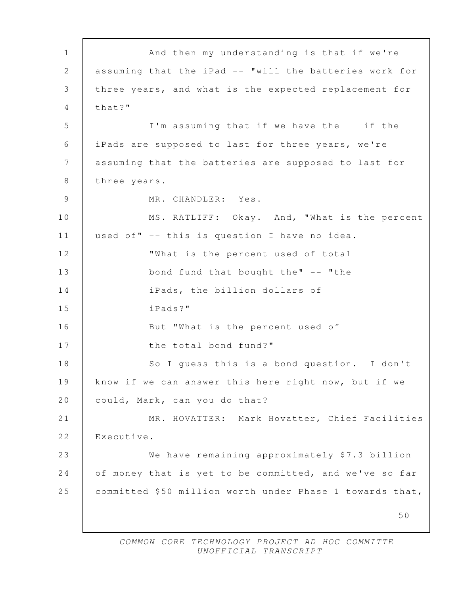50 1 **And then my understanding is that if we're**  2 assuming that the iPad -- "will the batteries work for 3 three years, and what is the expected replacement for 4 that?" 5 I'm assuming that if we have the -- if the 6 iPads are supposed to last for three years, we're 7 assuming that the batteries are supposed to last for 8 three years. 9 MR. CHANDLER: Yes. 10 MS. RATLIFF: Okay. And, "What is the percent 11 used of" -- this is question I have no idea. 12 **What is the percent used of total** 13 bond fund that bought the" -- "the 14 iPads, the billion dollars of 15 iPads?" 16 But "What is the percent used of 17 I the total bond fund?" 18 So I guess this is a bond question. I don't 19 know if we can answer this here right now, but if we 20 could, Mark, can you do that? 21 MR. HOVATTER: Mark Hovatter, Chief Facilities 22 | Executive. 23 We have remaining approximately \$7.3 billion 24 of money that is yet to be committed, and we've so far 25 committed \$50 million worth under Phase 1 towards that,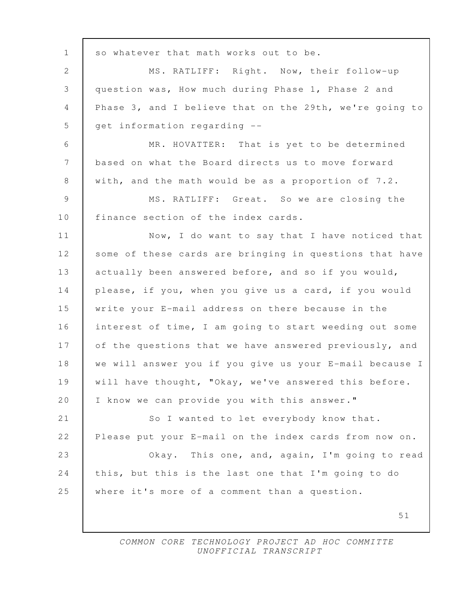51 1 | so whatever that math works out to be. 2 MS. RATLIFF: Right. Now, their follow-up 3 question was, How much during Phase 1, Phase 2 and 4 Phase 3, and I believe that on the 29th, we're going to  $5$  get information regarding  $-$  6 MR. HOVATTER: That is yet to be determined 7 based on what the Board directs us to move forward 8 with, and the math would be as a proportion of 7.2. 9 MS. RATLIFF: Great. So we are closing the 10 | finance section of the index cards. 11 Now, I do want to say that I have noticed that 12 | some of these cards are bringing in questions that have 13 actually been answered before, and so if you would, 14 please, if you, when you give us a card, if you would 15 write your E-mail address on there because in the 16 interest of time, I am going to start weeding out some 17 of the questions that we have answered previously, and 18 we will answer you if you give us your E-mail because I 19 | will have thought, "Okay, we've answered this before. 20 | I know we can provide you with this answer." 21 So I wanted to let everybody know that. 22 Please put your E-mail on the index cards from now on. 23 Okay. This one, and, again, I'm going to read 24 this, but this is the last one that I'm going to do 25 where it's more of a comment than a question.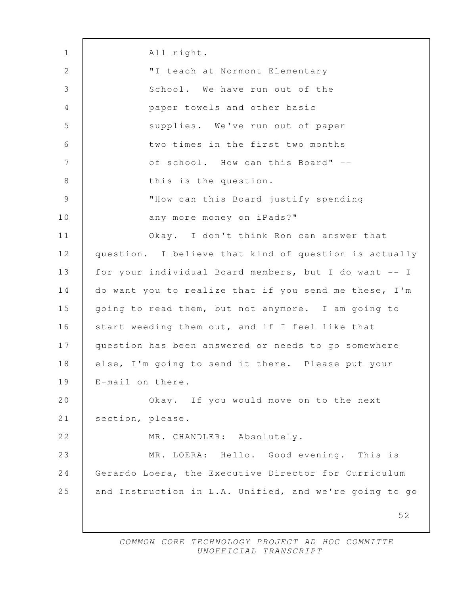52 1 All right. 2 | TI teach at Normont Elementary 3 School. We have run out of the 4 paper towels and other basic 5 supplies. We've run out of paper 6 two times in the first two months 7 | Contract of school. How can this Board" --8 **b** this is the question. 9 "How can this Board justify spending 10 any more money on iPads?" 11 Okay. I don't think Ron can answer that 12 question. I believe that kind of question is actually 13 for your individual Board members, but I do want -- I 14 do want you to realize that if you send me these, I'm 15 going to read them, but not anymore. I am going to 16 start weeding them out, and if I feel like that 17 question has been answered or needs to go somewhere 18 else, I'm going to send it there. Please put your 19 E-mail on there. 20 Okay. If you would move on to the next 21 section, please. 22 MR. CHANDLER: Absolutely. 23 MR. LOERA: Hello. Good evening. This is 24 Gerardo Loera, the Executive Director for Curriculum 25 and Instruction in L.A. Unified, and we're going to go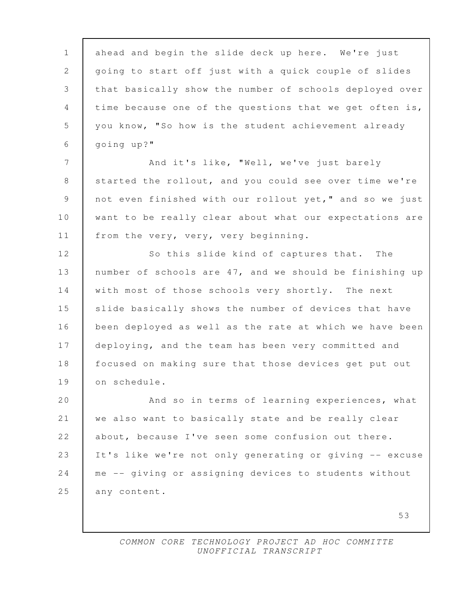1 ahead and begin the slide deck up here. We're just 2 going to start off just with a quick couple of slides 3 that basically show the number of schools deployed over 4 time because one of the questions that we get often is, 5 you know, "So how is the student achievement already 6 going up?" 7 | And it's like, "Well, we've just barely 8 Started the rollout, and you could see over time we're 9 not even finished with our rollout yet," and so we just 10 want to be really clear about what our expectations are 11 | from the very, very, very beginning. 12 So this slide kind of captures that. The 13 number of schools are 47, and we should be finishing up 14 with most of those schools very shortly. The next 15 slide basically shows the number of devices that have 16 been deployed as well as the rate at which we have been 17 deploying, and the team has been very committed and 18 focused on making sure that those devices get put out 19 on schedule. 20 And so in terms of learning experiences, what 21 we also want to basically state and be really clear 22 about, because I've seen some confusion out there. 23 | It's like we're not only generating or giving -- excuse 24 me -- giving or assigning devices to students without 25 any content.

> COMMON CORE TECHNOLOGY PROJECT AD HOC COMMITTE UNOFFICIAL TRANSCRIPT

53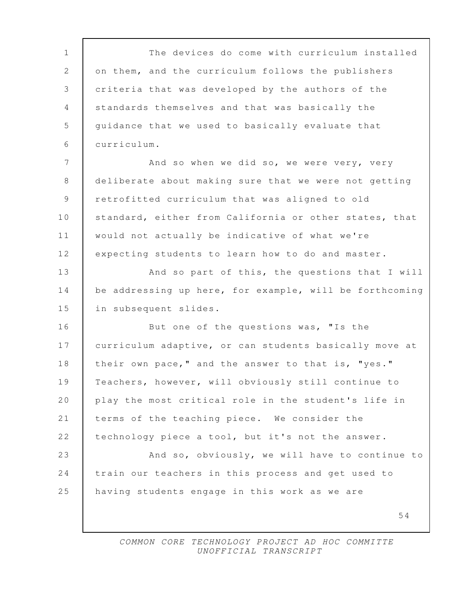54 1 The devices do come with curriculum installed 2 on them, and the curriculum follows the publishers 3 criteria that was developed by the authors of the 4 standards themselves and that was basically the 5 guidance that we used to basically evaluate that 6 curriculum. 7 And so when we did so, we were very, very 8 deliberate about making sure that we were not getting 9 retrofitted curriculum that was aligned to old 10 standard, either from California or other states, that 11 would not actually be indicative of what we're 12 expecting students to learn how to do and master. 13 And so part of this, the questions that I will 14 be addressing up here, for example, will be forthcoming 15 in subsequent slides. 16 But one of the questions was, "Is the 17 curriculum adaptive, or can students basically move at 18 | their own pace," and the answer to that is, "yes." 19 Teachers, however, will obviously still continue to 20 play the most critical role in the student's life in 21 terms of the teaching piece. We consider the 22 technology piece a tool, but it's not the answer. 23 And so, obviously, we will have to continue to 24 train our teachers in this process and get used to 25 having students engage in this work as we are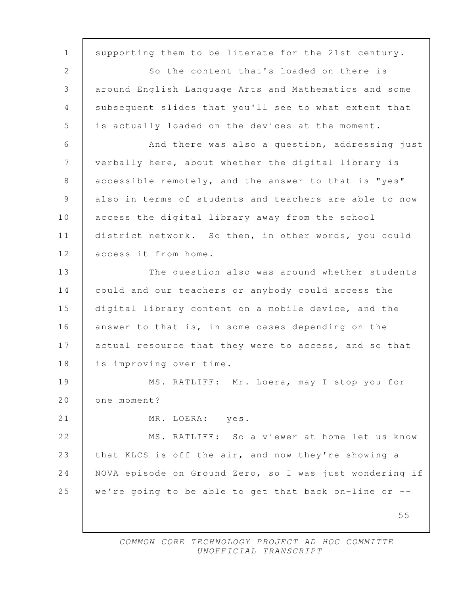55 1 supporting them to be literate for the 21st century. 2 So the content that's loaded on there is 3 around English Language Arts and Mathematics and some 4 subsequent slides that you'll see to what extent that 5 is actually loaded on the devices at the moment. 6 And there was also a question, addressing just 7 verbally here, about whether the digital library is 8 accessible remotely, and the answer to that is "yes" 9 also in terms of students and teachers are able to now 10 access the digital library away from the school 11 district network. So then, in other words, you could 12 access it from home. 13 The question also was around whether students 14 could and our teachers or anybody could access the 15 digital library content on a mobile device, and the 16 answer to that is, in some cases depending on the 17 actual resource that they were to access, and so that 18 is improving over time. 19 MS. RATLIFF: Mr. Loera, may I stop you for 20 | one moment? 21 | MR. LOERA: yes. 22 | MS. RATLIFF: So a viewer at home let us know 23 that KLCS is off the air, and now they're showing a 24 NOVA episode on Ground Zero, so I was just wondering if 25 we're going to be able to get that back on-line or --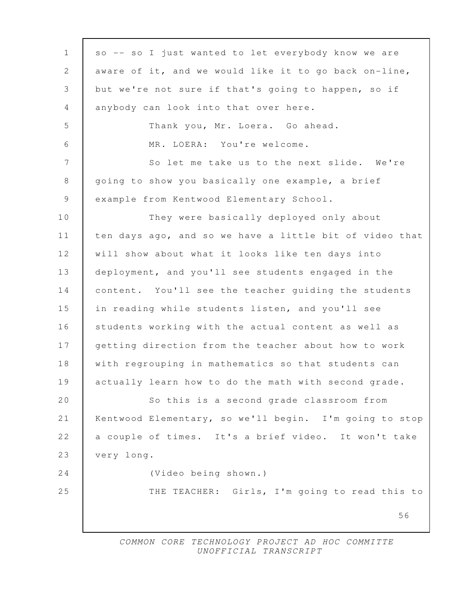| $\mathbf{1}$   | so -- so I just wanted to let everybody know we are     |
|----------------|---------------------------------------------------------|
| $\mathbf{2}$   | aware of it, and we would like it to go back on-line,   |
| 3              | but we're not sure if that's going to happen, so if     |
| 4              | anybody can look into that over here.                   |
| 5              | Thank you, Mr. Loera. Go ahead.                         |
| 6              | MR. LOERA: You're welcome.                              |
| $7\phantom{.}$ | So let me take us to the next slide. We're              |
| $\,8\,$        | going to show you basically one example, a brief        |
| $\mathsf 9$    | example from Kentwood Elementary School.                |
| 10             | They were basically deployed only about                 |
| 11             | ten days ago, and so we have a little bit of video that |
| 12             | will show about what it looks like ten days into        |
| 13             | deployment, and you'll see students engaged in the      |
| 14             | content. You'll see the teacher quiding the students    |
| 15             | in reading while students listen, and you'll see        |
| 16             | students working with the actual content as well as     |
| 17             | getting direction from the teacher about how to work    |
| 18             | with regrouping in mathematics so that students can     |
| 19             | actually learn how to do the math with second grade.    |
| $2\,0$         | So this is a second grade classroom from                |
| 21             | Kentwood Elementary, so we'll begin. I'm going to stop  |
| 22             | a couple of times. It's a brief video. It won't take    |
| 23             | very long.                                              |
| 24             | (Video being shown.)                                    |
| 25             | THE TEACHER: Girls, I'm going to read this to           |
|                | 56                                                      |
|                |                                                         |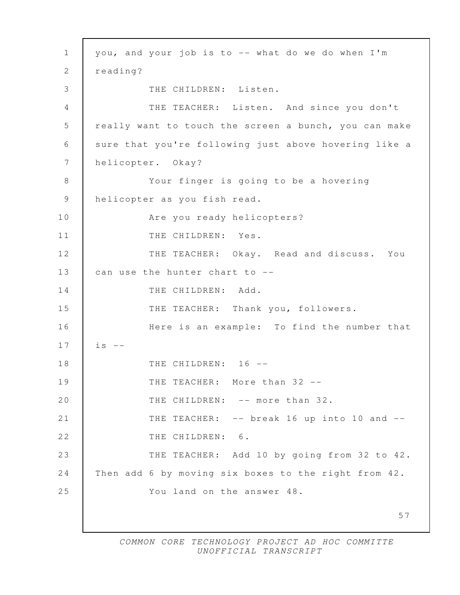57 1 you, and your job is to -- what do we do when I'm 2 | reading? 3 THE CHILDREN: Listen. 4 THE TEACHER: Listen. And since you don't 5 really want to touch the screen a bunch, you can make 6 sure that you're following just above hovering like a 7 helicopter. Okay? 8 Your finger is going to be a hovering 9 helicopter as you fish read. 10 | Rice you ready helicopters? 11 | THE CHILDREN: Yes. 12 THE TEACHER: Okay. Read and discuss. You 13 can use the hunter chart to --14 THE CHILDREN: Add. 15 THE TEACHER: Thank you, followers. 16 Here is an example: To find the number that  $17$  is  $-$ 18 THE CHILDREN: 16 --19 THE TEACHER: More than 32 --20 THE CHILDREN: -- more than 32. 21 **THE TEACHER:** -- break 16 up into 10 and --22 | THE CHILDREN: 6. 23 THE TEACHER: Add 10 by going from 32 to 42. 24 Then add 6 by moving six boxes to the right from 42. 25 You land on the answer 48.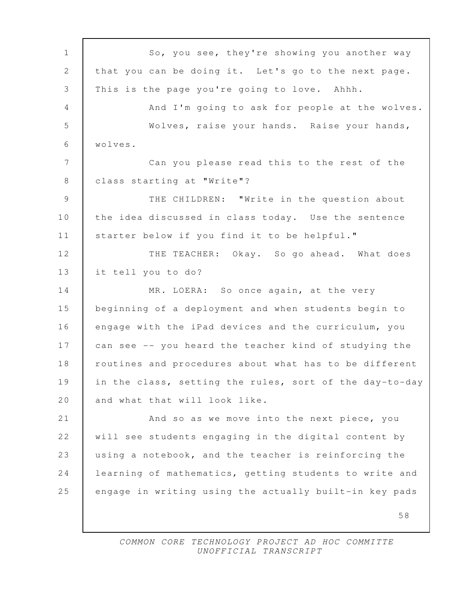58 1 So, you see, they're showing you another way 2 that you can be doing it. Let's go to the next page. 3 This is the page you're going to love. Ahhh. 4 | And I'm going to ask for people at the wolves. 5 Wolves, raise your hands. Raise your hands, 6 wolves. 7 Can you please read this to the rest of the 8 | class starting at "Write"? 9 THE CHILDREN: "Write in the question about 10 the idea discussed in class today. Use the sentence 11 | starter below if you find it to be helpful." 12 THE TEACHER: Okay. So go ahead. What does 13 it tell you to do? 14 MR. LOERA: So once again, at the very 15 beginning of a deployment and when students begin to 16 engage with the iPad devices and the curriculum, you 17 can see -- you heard the teacher kind of studying the 18 | routines and procedures about what has to be different 19 in the class, setting the rules, sort of the day-to-day 20 | and what that will look like. 21 And so as we move into the next piece, you 22 will see students engaging in the digital content by 23 using a notebook, and the teacher is reinforcing the 24 learning of mathematics, getting students to write and 25 engage in writing using the actually built-in key pads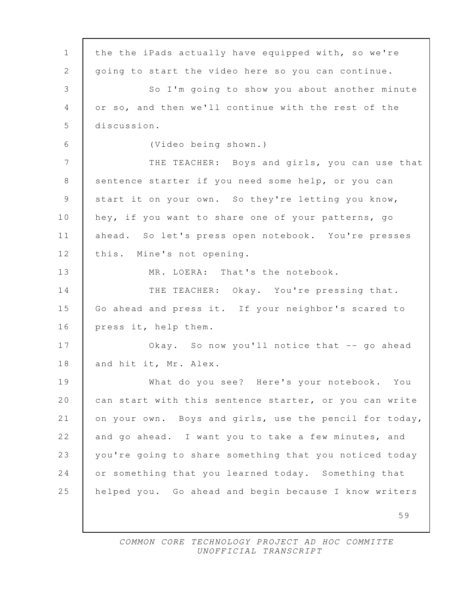59 1 the the iPads actually have equipped with, so we're 2 | going to start the video here so you can continue. 3 So I'm going to show you about another minute 4 or so, and then we'll continue with the rest of the 5 discussion. 6 (Video being shown.) 7 THE TEACHER: Boys and girls, you can use that 8 sentence starter if you need some help, or you can 9 start it on your own. So they're letting you know, 10 hey, if you want to share one of your patterns, go 11 ahead. So let's press open notebook. You're presses 12 this. Mine's not opening. 13 MR. LOERA: That's the notebook. 14 THE TEACHER: Okay. You're pressing that. 15 Go ahead and press it. If your neighbor's scared to 16 press it, help them. 17 | Okay. So now you'll notice that -- go ahead 18 and hit it, Mr. Alex. 19 What do you see? Here's your notebook. You 20 can start with this sentence starter, or you can write 21 on your own. Boys and girls, use the pencil for today, 22 and go ahead. I want you to take a few minutes, and 23 you're going to share something that you noticed today 24 or something that you learned today. Something that 25 helped you. Go ahead and begin because I know writers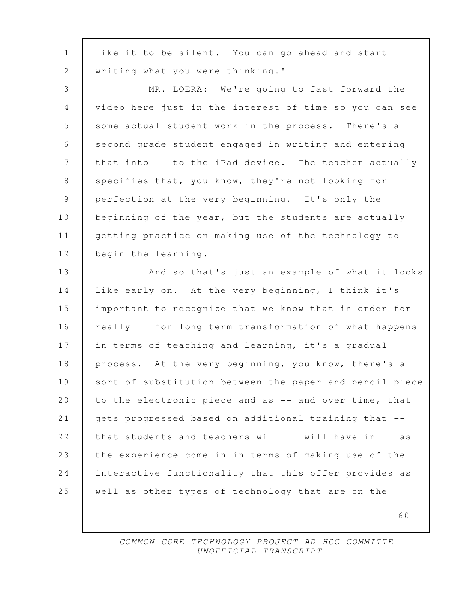| $\mathbf{1}$   | like it to be silent. You can go ahead and start        |
|----------------|---------------------------------------------------------|
| $\mathbf{2}$   | writing what you were thinking."                        |
| $\mathfrak{Z}$ | MR. LOERA: We're going to fast forward the              |
| $\overline{4}$ | video here just in the interest of time so you can see  |
| $\overline{5}$ | some actual student work in the process. There's a      |
| 6              | second grade student engaged in writing and entering    |
| 7              | that into -- to the iPad device. The teacher actually   |
| $\,8\,$        | specifies that, you know, they're not looking for       |
| $\mathsf 9$    | perfection at the very beginning. It's only the         |
| 10             | beginning of the year, but the students are actually    |
| 11             | getting practice on making use of the technology to     |
| 12             | begin the learning.                                     |
| 13             | And so that's just an example of what it looks          |
| 14             | like early on. At the very beginning, I think it's      |
| 15             | important to recognize that we know that in order for   |
| 16             | really -- for long-term transformation of what happens  |
| 17             | in terms of teaching and learning, it's a gradual       |
| 18             | process. At the very beginning, you know, there's a     |
| 19             | sort of substitution between the paper and pencil piece |
| 20             | to the electronic piece and as -- and over time, that   |
| 21             | gets progressed based on additional training that --    |
| 22             | that students and teachers will -- will have in -- as   |
| 23             | the experience come in in terms of making use of the    |
| 24             | interactive functionality that this offer provides as   |
| 25             | well as other types of technology that are on the       |
|                | 60                                                      |
|                |                                                         |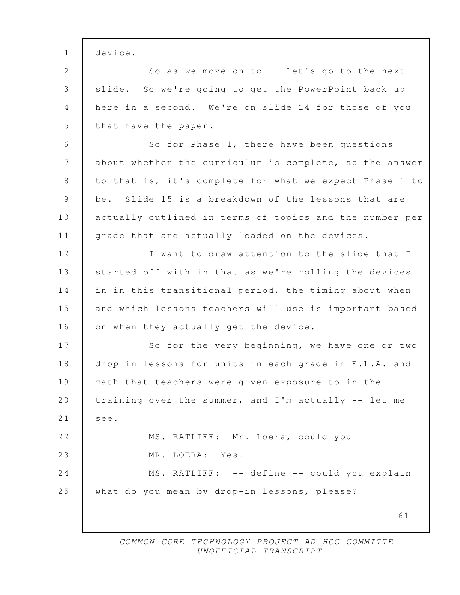| $1\,$         | device.                                                 |
|---------------|---------------------------------------------------------|
| 2             | So as we move on to -- let's go to the next             |
| 3             | slide. So we're going to get the PowerPoint back up     |
| 4             | here in a second. We're on slide 14 for those of you    |
| 5             | that have the paper.                                    |
| 6             | So for Phase 1, there have been questions               |
| 7             | about whether the curriculum is complete, so the answer |
| $8\,$         | to that is, it's complete for what we expect Phase 1 to |
| $\mathcal{G}$ | be. Slide 15 is a breakdown of the lessons that are     |
| 10            | actually outlined in terms of topics and the number per |
| 11            | grade that are actually loaded on the devices.          |
| 12            | I want to draw attention to the slide that I            |
| 13            | started off with in that as we're rolling the devices   |
| 14            | in in this transitional period, the timing about when   |
| 15            | and which lessons teachers will use is important based  |
| 16            | on when they actually get the device.                   |
| 17            | So for the very beginning, we have one or two           |
| 18            | drop-in lessons for units in each grade in E.L.A. and   |
| 19            | math that teachers were given exposure to in the        |
| 20            | training over the summer, and I'm actually -- let me    |
| 21            | see.                                                    |
| 22            | MS. RATLIFF: Mr. Loera, could you --                    |
| 23            | MR. LOERA: Yes.                                         |
| 24            | MS. RATLIFF: -- define -- could you explain             |
| 25            | what do you mean by drop-in lessons, please?            |
|               | 61                                                      |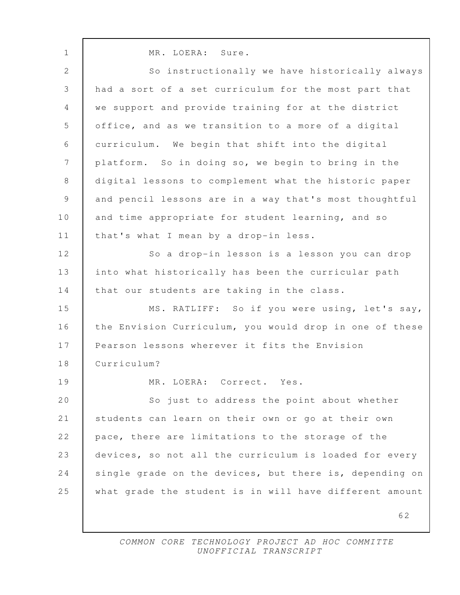62 1 MR. LOERA: Sure. 2 So instructionally we have historically always 3 had a sort of a set curriculum for the most part that 4 we support and provide training for at the district 5 office, and as we transition to a more of a digital 6 curriculum. We begin that shift into the digital 7 platform. So in doing so, we begin to bring in the 8 digital lessons to complement what the historic paper 9 and pencil lessons are in a way that's most thoughtful 10 and time appropriate for student learning, and so 11 that's what I mean by a drop-in less. 12 So a drop-in lesson is a lesson you can drop 13 into what historically has been the curricular path 14 that our students are taking in the class. 15 MS. RATLIFF: So if you were using, let's say, 16 the Envision Curriculum, you would drop in one of these 17 Pearson lessons wherever it fits the Envision 18 Curriculum? 19 MR. LOERA: Correct. Yes. 20 So just to address the point about whether 21 students can learn on their own or go at their own 22 pace, there are limitations to the storage of the 23 devices, so not all the curriculum is loaded for every 24 single grade on the devices, but there is, depending on 25 what grade the student is in will have different amount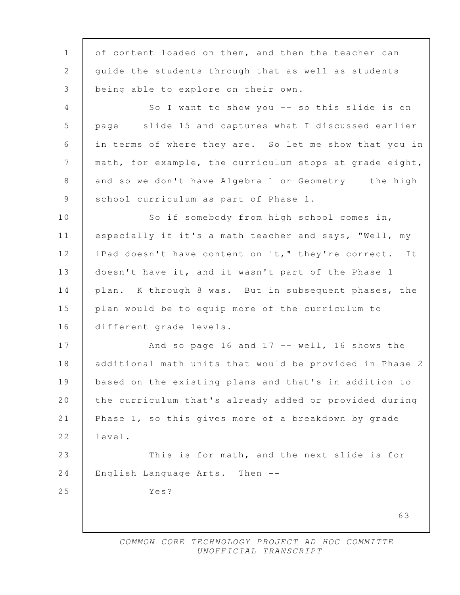63 1 of content loaded on them, and then the teacher can 2 quide the students through that as well as students 3 being able to explore on their own. 4 So I want to show you -- so this slide is on 5 page -- slide 15 and captures what I discussed earlier 6 in terms of where they are. So let me show that you in 7 | math, for example, the curriculum stops at grade eight, 8 and so we don't have Algebra 1 or Geometry -- the high 9 School curriculum as part of Phase 1. 10 So if somebody from high school comes in, 11 especially if it's a math teacher and says, "Well, my 12 | iPad doesn't have content on it," they're correct. It 13 doesn't have it, and it wasn't part of the Phase 1 14 plan. K through 8 was. But in subsequent phases, the 15 plan would be to equip more of the curriculum to 16 different grade levels. 17 | And so page 16 and 17 -- well, 16 shows the 18 additional math units that would be provided in Phase 2 19 based on the existing plans and that's in addition to 20 the curriculum that's already added or provided during 21 Phase 1, so this gives more of a breakdown by grade 22 level. 23 This is for math, and the next slide is for 24 English Language Arts. Then -- 25 Yes?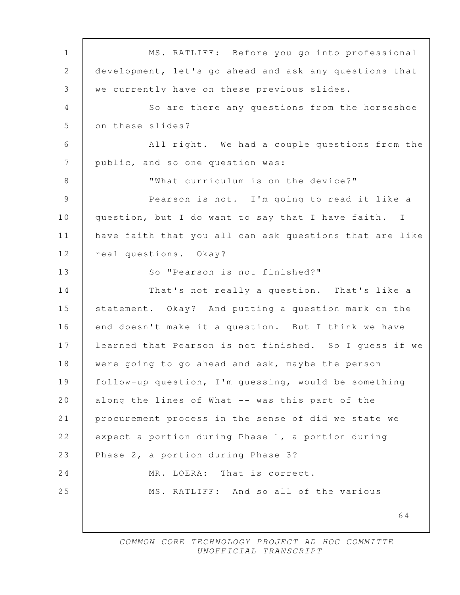64 1 MS. RATLIFF: Before you go into professional 2 development, let's go ahead and ask any questions that 3 we currently have on these previous slides. 4 So are there any questions from the horseshoe 5 on these slides? 6 All right. We had a couple questions from the 7 | public, and so one question was: 8 "What curriculum is on the device?" 9 Pearson is not. I'm going to read it like a 10 question, but I do want to say that I have faith. I 11 have faith that you all can ask questions that are like 12 real questions. Okay? 13 So "Pearson is not finished?" 14 That's not really a question. That's like a 15 statement. Okay? And putting a question mark on the 16 end doesn't make it a question. But I think we have 17 learned that Pearson is not finished. So I guess if we 18 were going to go ahead and ask, maybe the person 19 follow-up question, I'm guessing, would be something 20 along the lines of What -- was this part of the 21 procurement process in the sense of did we state we 22 expect a portion during Phase 1, a portion during 23 Phase 2, a portion during Phase 3? 24 MR. LOERA: That is correct. 25 MS. RATLIFF: And so all of the various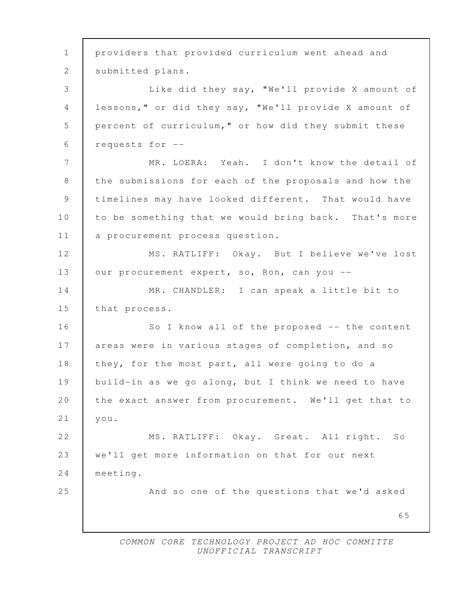65 1 providers that provided curriculum went ahead and 2 | submitted plans. 3 Like did they say, "We'll provide X amount of 4 lessons," or did they say, "We'll provide X amount of 5 percent of curriculum," or how did they submit these 6 requests for -- 7 | MR. LOERA: Yeah. I don't know the detail of 8 the submissions for each of the proposals and how the 9 timelines may have looked different. That would have 10 to be something that we would bring back. That's more 11 | a procurement process question. 12 | MS. RATLIFF: Okay. But I believe we've lost 13 | our procurement expert, so, Ron, can you --14 MR. CHANDLER: I can speak a little bit to 15 | that process. 16 So I know all of the proposed -- the content 17 areas were in various stages of completion, and so 18 they, for the most part, all were going to do a 19 build-in as we go along, but I think we need to have 20 the exact answer from procurement. We'll get that to 21 you. 22 | MS. RATLIFF: Okay. Great. All right. So 23 we'll get more information on that for our next 24 meeting. 25 And so one of the questions that we'd asked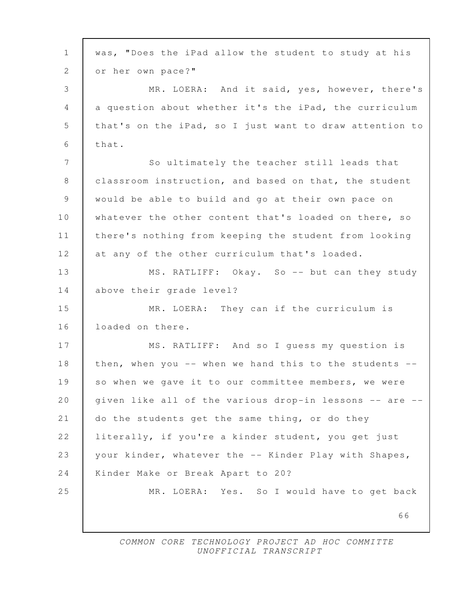66 1 was, "Does the iPad allow the student to study at his 2 or her own pace?" 3 | MR. LOERA: And it said, yes, however, there's 4 a question about whether it's the iPad, the curriculum 5 that's on the iPad, so I just want to draw attention to  $6$  that. 7 So ultimately the teacher still leads that 8 | classroom instruction, and based on that, the student 9 would be able to build and go at their own pace on 10 whatever the other content that's loaded on there, so 11 there's nothing from keeping the student from looking 12 at any of the other curriculum that's loaded. 13 MS. RATLIFF: Okay. So -- but can they study 14 above their grade level? 15 MR. LOERA: They can if the curriculum is 16 **loaded on there.** 17 MS. RATLIFF: And so I quess my question is 18 then, when you -- when we hand this to the students --19 so when we gave it to our committee members, we were 20 given like all of the various drop-in lessons -- are --21 do the students get the same thing, or do they 22 literally, if you're a kinder student, you get just 23 your kinder, whatever the -- Kinder Play with Shapes, 24 | Kinder Make or Break Apart to 20? 25 MR. LOERA: Yes. So I would have to get back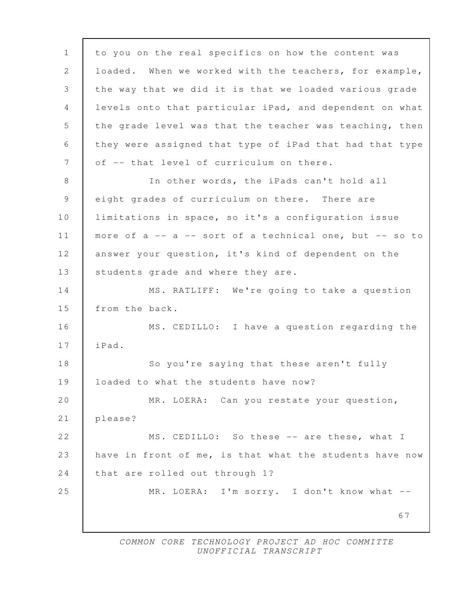67 1 to you on the real specifics on how the content was 2 loaded. When we worked with the teachers, for example, 3 the way that we did it is that we loaded various grade 4 levels onto that particular iPad, and dependent on what 5 the grade level was that the teacher was teaching, then 6 they were assigned that type of iPad that had that type 7 of  $-$ - that level of curriculum on there. 8 In other words, the iPads can't hold all 9 eight grades of curriculum on there. There are 10 | limitations in space, so it's a configuration issue 11 more of a -- a -- sort of a technical one, but -- so to 12 answer your question, it's kind of dependent on the 13 | students grade and where they are. 14 MS. RATLIFF: We're going to take a question 15 from the back. 16 MS. CEDILLO: I have a question regarding the 17 iPad. 18 So you're saying that these aren't fully 19 loaded to what the students have now? 20 | MR. LOERA: Can you restate your question, 21 please? 22 MS. CEDILLO: So these -- are these, what I 23 have in front of me, is that what the students have now 24 that are rolled out through 1? 25 MR. LOERA: I'm sorry. I don't know what --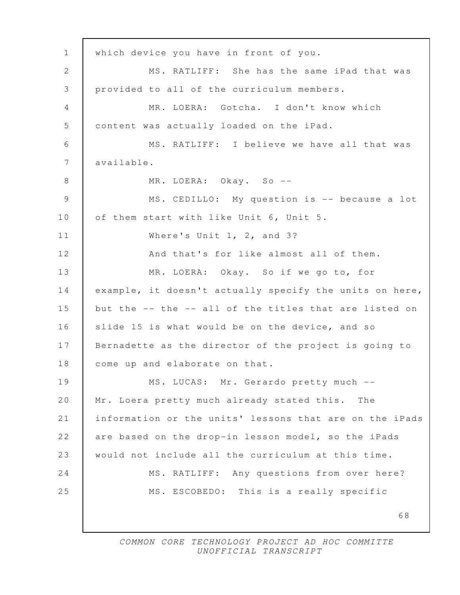68 1 which device you have in front of you. 2 MS. RATLIFF: She has the same iPad that was 3 provided to all of the curriculum members. 4 MR. LOERA: Gotcha. I don't know which 5 content was actually loaded on the iPad. 6 MS. RATLIFF: I believe we have all that was 7 available. 8 MR. LOERA: Okay. So -- 9 MS. CEDILLO: My question is -- because a lot 10 | of them start with like Unit 6, Unit 5. 11 Where's Unit 1, 2, and 3? 12 And that's for like almost all of them. 13 MR. LOERA: Okay. So if we go to, for 14 example, it doesn't actually specify the units on here, 15 but the -- the -- all of the titles that are listed on 16 slide 15 is what would be on the device, and so 17 Bernadette as the director of the project is going to 18 come up and elaborate on that. 19 | MS. LUCAS: Mr. Gerardo pretty much --20 Mr. Loera pretty much already stated this. The 21 information or the units' lessons that are on the iPads 22 are based on the drop-in lesson model, so the iPads 23 would not include all the curriculum at this time. 24 MS. RATLIFF: Any questions from over here? 25 MS. ESCOBEDO: This is a really specific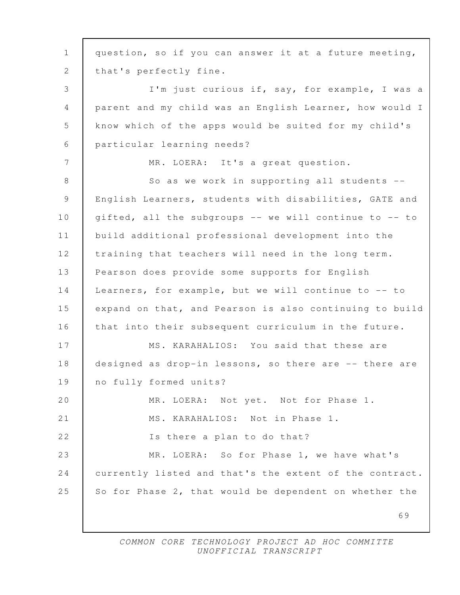69 1 question, so if you can answer it at a future meeting, 2 | that's perfectly fine. 3 I'm just curious if, say, for example, I was a 4 parent and my child was an English Learner, how would I 5 know which of the apps would be suited for my child's 6 particular learning needs? 7 MR. LOERA: It's a great question. 8 So as we work in supporting all students -- 9 English Learners, students with disabilities, GATE and 10 gifted, all the subgroups -- we will continue to -- to 11 build additional professional development into the 12 training that teachers will need in the long term. 13 Pearson does provide some supports for English 14 Learners, for example, but we will continue to -- to 15 expand on that, and Pearson is also continuing to build 16 that into their subsequent curriculum in the future. 17 MS. KARAHALIOS: You said that these are 18 designed as drop-in lessons, so there are -- there are 19 no fully formed units? 20 MR. LOERA: Not yet. Not for Phase 1. 21 MS. KARAHALIOS: Not in Phase 1. 22 | Is there a plan to do that? 23 MR. LOERA: So for Phase 1, we have what's 24 currently listed and that's the extent of the contract. 25 So for Phase 2, that would be dependent on whether the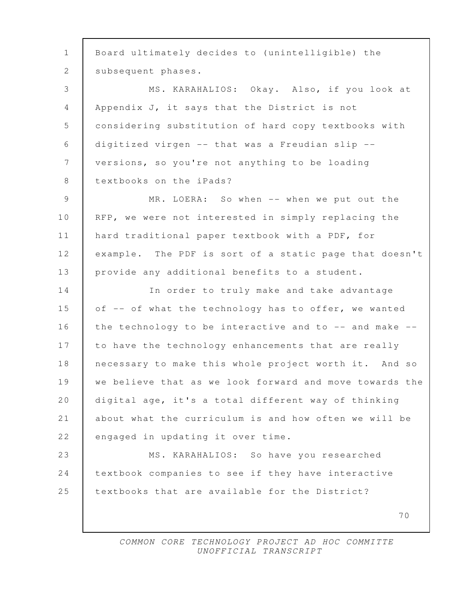70 1 Board ultimately decides to (unintelligible) the 2 | subsequent phases. 3 MS. KARAHALIOS: Okay. Also, if you look at 4 Appendix J, it says that the District is not 5 considering substitution of hard copy textbooks with 6 digitized virgen -- that was a Freudian slip -- 7 versions, so you're not anything to be loading 8 textbooks on the iPads? 9 MR. LOERA: So when -- when we put out the 10 | RFP, we were not interested in simply replacing the 11 hard traditional paper textbook with a PDF, for 12 example. The PDF is sort of a static page that doesn't 13 provide any additional benefits to a student. 14 In order to truly make and take advantage 15 of -- of what the technology has to offer, we wanted 16 the technology to be interactive and to -- and make --17 to have the technology enhancements that are really 18 necessary to make this whole project worth it. And so 19 we believe that as we look forward and move towards the 20 digital age, it's a total different way of thinking 21 about what the curriculum is and how often we will be 22 engaged in updating it over time. 23 MS. KARAHALIOS: So have you researched 24 textbook companies to see if they have interactive 25 textbooks that are available for the District?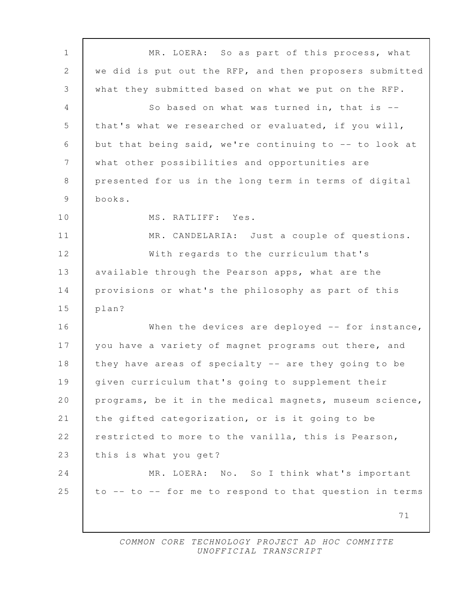71 1 MR. LOERA: So as part of this process, what 2 we did is put out the RFP, and then proposers submitted 3 what they submitted based on what we put on the RFP. 4 | So based on what was turned in, that is --5 | that's what we researched or evaluated, if you will, 6 but that being said, we're continuing to -- to look at 7 what other possibilities and opportunities are 8 presented for us in the long term in terms of digital 9 books. 10 | MS. RATLIFF: Yes. 11 | MR. CANDELARIA: Just a couple of questions. 12 With regards to the curriculum that's 13 available through the Pearson apps, what are the 14 provisions or what's the philosophy as part of this 15 plan? 16 When the devices are deployed -- for instance, 17 you have a variety of magnet programs out there, and 18 they have areas of specialty -- are they going to be 19 given curriculum that's going to supplement their 20 programs, be it in the medical magnets, museum science, 21 the gifted categorization, or is it going to be 22 restricted to more to the vanilla, this is Pearson, 23 this is what you get? 24 MR. LOERA: No. So I think what's important 25  $\vert$  to -- to -- for me to respond to that question in terms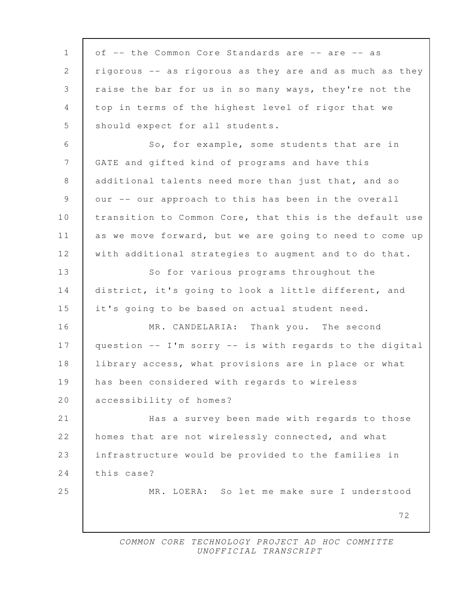72 1 of -- the Common Core Standards are -- are -- as 2 rigorous -- as rigorous as they are and as much as they 3 raise the bar for us in so many ways, they're not the 4 top in terms of the highest level of rigor that we 5 | should expect for all students. 6 So, for example, some students that are in 7 GATE and gifted kind of programs and have this 8 additional talents need more than just that, and so 9 our -- our approach to this has been in the overall 10 | transition to Common Core, that this is the default use 11 as we move forward, but we are going to need to come up 12 with additional strategies to augment and to do that. 13 So for various programs throughout the 14 district, it's going to look a little different, and 15 it's going to be based on actual student need. 16 MR. CANDELARIA: Thank you. The second 17 question -- I'm sorry -- is with regards to the digital 18 | library access, what provisions are in place or what 19 has been considered with regards to wireless 20 accessibility of homes? 21 **Has a survey been made with regards to those** 22 homes that are not wirelessly connected, and what 23 infrastructure would be provided to the families in 24 this case? 25 MR. LOERA: So let me make sure I understood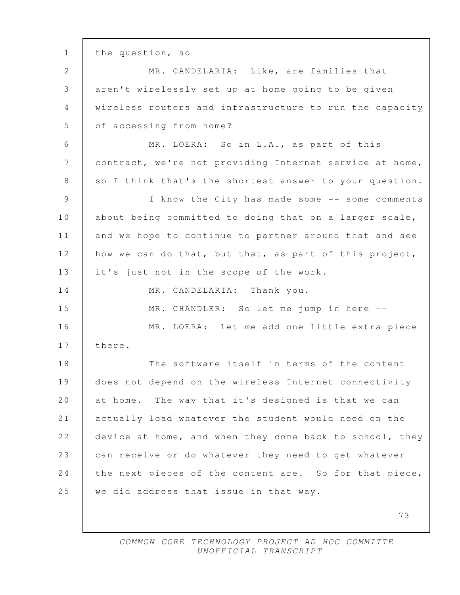73 1 the question, so -- 2 | MR. CANDELARIA: Like, are families that 3 | aren't wirelessly set up at home going to be given 4 wireless routers and infrastructure to run the capacity 5 of accessing from home? 6 MR. LOERA: So in L.A., as part of this 7 contract, we're not providing Internet service at home, 8 so I think that's the shortest answer to your question. 9 I know the City has made some -- some comments 10 about being committed to doing that on a larger scale, 11 and we hope to continue to partner around that and see 12 how we can do that, but that, as part of this project, 13 | it's just not in the scope of the work. 14 MR. CANDELARIA: Thank you. 15 MR. CHANDLER: So let me jump in here -- 16 MR. LOERA: Let me add one little extra piece 17 there. 18 The software itself in terms of the content 19 does not depend on the wireless Internet connectivity 20 at home. The way that it's designed is that we can 21 actually load whatever the student would need on the 22 device at home, and when they come back to school, they 23 can receive or do whatever they need to get whatever 24 the next pieces of the content are. So for that piece, 25 we did address that issue in that way.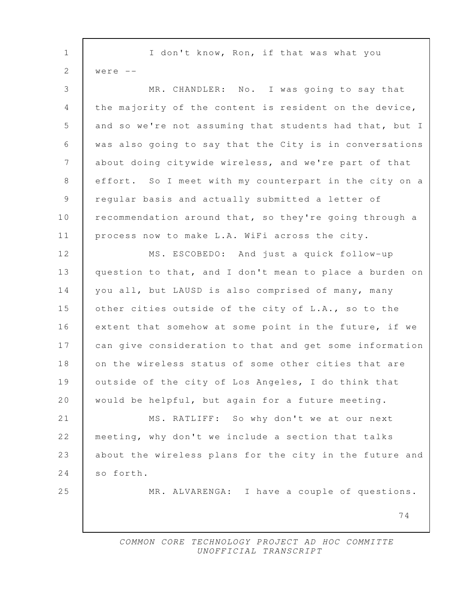| $\mathbf 1$     | I don't know, Ron, if that was what you                 |
|-----------------|---------------------------------------------------------|
| $\mathbf{2}$    | were $--$                                               |
| 3               | MR. CHANDLER: No. I was going to say that               |
| 4               | the majority of the content is resident on the device,  |
| 5               | and so we're not assuming that students had that, but I |
| $6\,$           | was also going to say that the City is in conversations |
| $7\phantom{.0}$ | about doing citywide wireless, and we're part of that   |
| 8               | effort. So I meet with my counterpart in the city on a  |
| $\overline{9}$  | regular basis and actually submitted a letter of        |
| 10              | recommendation around that, so they're going through a  |
| 11              | process now to make L.A. WiFi across the city.          |
| 12              | MS. ESCOBEDO: And just a quick follow-up                |
| 13              | question to that, and I don't mean to place a burden on |
| 14              | you all, but LAUSD is also comprised of many, many      |
| 15              | other cities outside of the city of L.A., so to the     |
| 16              | extent that somehow at some point in the future, if we  |
| 17              | can give consideration to that and get some information |
| 18              | on the wireless status of some other cities that are    |
| 19              | outside of the city of Los Angeles, I do think that     |
| 20              | would be helpful, but again for a future meeting.       |
| 21              | MS. RATLIFF: So why don't we at our next                |
| 22              | meeting, why don't we include a section that talks      |
| 23              | about the wireless plans for the city in the future and |
| 24              | so forth.                                               |
| 25              | MR. ALVARENGA: I have a couple of questions.            |
|                 | 74                                                      |
|                 |                                                         |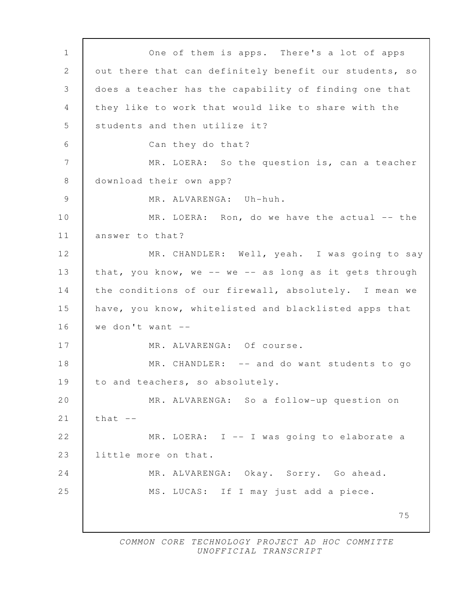75 1 One of them is apps. There's a lot of apps 2 | out there that can definitely benefit our students, so 3 does a teacher has the capability of finding one that 4 they like to work that would like to share with the 5 Students and then utilize it? 6 Can they do that? 7 MR. LOERA: So the question is, can a teacher 8 | download their own app? 9 MR. ALVARENGA: Uh-huh. 10 MR. LOERA: Ron, do we have the actual -- the 11 | answer to that? 12 | MR. CHANDLER: Well, yeah. I was going to say 13 that, you know, we -- we -- as long as it gets through 14 the conditions of our firewall, absolutely. I mean we 15 have, you know, whitelisted and blacklisted apps that 16  $\vert$  we don't want  $\vert$  --17 MR. ALVARENGA: Of course. 18 MR. CHANDLER: -- and do want students to go 19 to and teachers, so absolutely. 20 MR. ALVARENGA: So a follow-up question on 21  $\vert$  that  $\vert$  --22 MR. LOERA: I -- I was going to elaborate a 23 little more on that. 24 MR. ALVARENGA: Okay. Sorry. Go ahead. 25 MS. LUCAS: If I may just add a piece.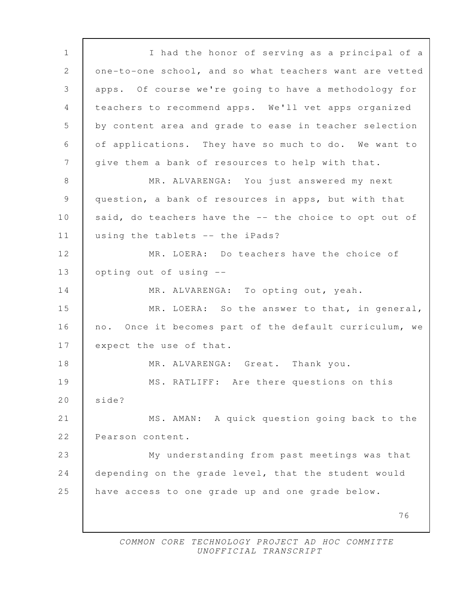76 1 I had the honor of serving as a principal of a 2 one-to-one school, and so what teachers want are vetted 3 apps. Of course we're going to have a methodology for 4 teachers to recommend apps. We'll vet apps organized 5 by content area and grade to ease in teacher selection 6 of applications. They have so much to do. We want to 7 give them a bank of resources to help with that. 8 MR. ALVARENGA: You just answered my next 9 question, a bank of resources in apps, but with that 10 said, do teachers have the -- the choice to opt out of 11 using the tablets -- the iPads? 12 MR. LOERA: Do teachers have the choice of 13 opting out of using -- 14 MR. ALVARENGA: To opting out, yeah. 15 MR. LOERA: So the answer to that, in general, 16 no. Once it becomes part of the default curriculum, we 17 expect the use of that. 18 MR. ALVARENGA: Great. Thank you. 19 MS. RATLIFF: Are there questions on this 20 side? 21 MS. AMAN: A quick question going back to the 22 Pearson content. 23 My understanding from past meetings was that 24 depending on the grade level, that the student would 25 have access to one grade up and one grade below.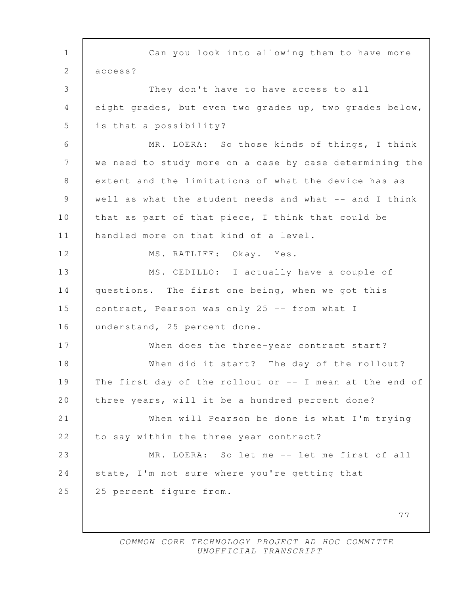77 1 Can you look into allowing them to have more 2 access? 3 They don't have to have access to all 4 eight grades, but even two grades up, two grades below, 5 | is that a possibility? 6 MR. LOERA: So those kinds of things, I think 7 we need to study more on a case by case determining the 8 extent and the limitations of what the device has as 9 well as what the student needs and what -- and I think 10 that as part of that piece, I think that could be 11 | handled more on that kind of a level. 12 MS. RATLIFF: Okay. Yes. 13 MS. CEDILLO: I actually have a couple of 14 questions. The first one being, when we got this 15 contract, Pearson was only 25 -- from what I 16 understand, 25 percent done. 17 When does the three-year contract start? 18 When did it start? The day of the rollout? 19 The first day of the rollout or -- I mean at the end of 20 | three years, will it be a hundred percent done? 21 When will Pearson be done is what I'm trying 22 to say within the three-year contract? 23 MR. LOERA: So let me -- let me first of all 24 state, I'm not sure where you're getting that 25 25 percent figure from.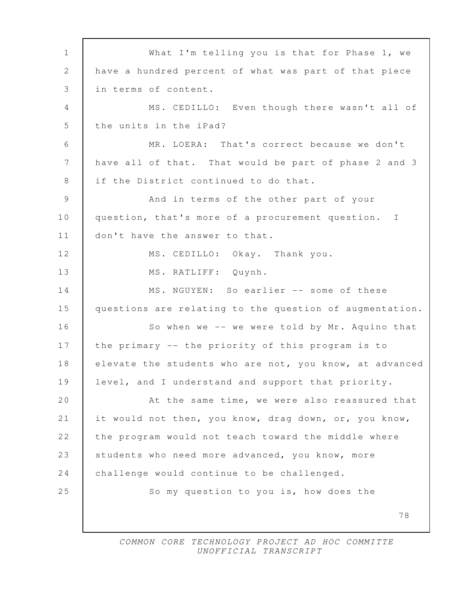78 1 What I'm telling you is that for Phase 1, we 2 have a hundred percent of what was part of that piece 3 in terms of content. 4 MS. CEDILLO: Even though there wasn't all of 5 the units in the iPad? 6 MR. LOERA: That's correct because we don't 7 have all of that. That would be part of phase 2 and 3 8 if the District continued to do that. 9 And in terms of the other part of your 10 question, that's more of a procurement question. I 11 | don't have the answer to that. 12 MS. CEDILLO: Okay. Thank you. 13 | MS. RATLIFF: Quynh. 14 MS. NGUYEN: So earlier -- some of these 15 questions are relating to the question of augmentation. 16 So when we -- we were told by Mr. Aquino that 17 the primary -- the priority of this program is to 18 elevate the students who are not, you know, at advanced 19 level, and I understand and support that priority. 20 **At the same time, we were also reassured that** 21 it would not then, you know, drag down, or, you know, 22 the program would not teach toward the middle where 23 students who need more advanced, you know, more 24 challenge would continue to be challenged. 25 So my question to you is, how does the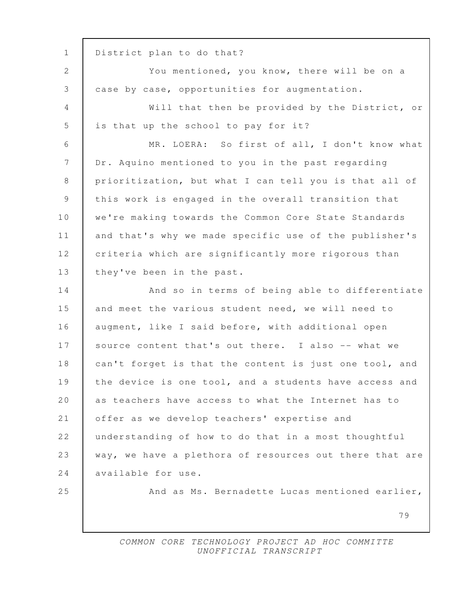79 1 District plan to do that? 2 You mentioned, you know, there will be on a 3 case by case, opportunities for augmentation. 4 Will that then be provided by the District, or 5 is that up the school to pay for it? 6 MR. LOERA: So first of all, I don't know what 7 Dr. Aquino mentioned to you in the past regarding 8 prioritization, but what I can tell you is that all of 9 this work is engaged in the overall transition that 10 we're making towards the Common Core State Standards 11 and that's why we made specific use of the publisher's 12 criteria which are significantly more rigorous than 13 | they've been in the past. 14 And so in terms of being able to differentiate 15 and meet the various student need, we will need to 16 augment, like I said before, with additional open 17 Source content that's out there. I also -- what we 18 can't forget is that the content is just one tool, and 19 the device is one tool, and a students have access and 20 as teachers have access to what the Internet has to 21 offer as we develop teachers' expertise and 22 understanding of how to do that in a most thoughtful 23 way, we have a plethora of resources out there that are 24 available for use. 25 And as Ms. Bernadette Lucas mentioned earlier,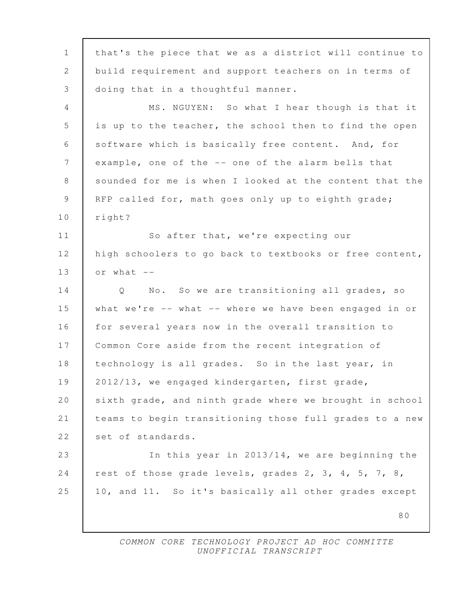80 1 that's the piece that we as a district will continue to 2 build requirement and support teachers on in terms of 3 doing that in a thoughtful manner. 4 MS. NGUYEN: So what I hear though is that it 5 is up to the teacher, the school then to find the open 6 software which is basically free content. And, for 7 example, one of the -- one of the alarm bells that 8 sounded for me is when I looked at the content that the 9 RFP called for, math goes only up to eighth grade; 10 right? 11 So after that, we're expecting our 12 high schoolers to go back to textbooks or free content,  $13$  or what  $-$ 14 Q No. So we are transitioning all grades, so 15 what we're -- what -- where we have been engaged in or 16 for several years now in the overall transition to 17 Common Core aside from the recent integration of 18 technology is all grades. So in the last year, in 19 2012/13, we engaged kindergarten, first grade, 20 sixth grade, and ninth grade where we brought in school 21 teams to begin transitioning those full grades to a new 22 set of standards. 23 In this year in 2013/14, we are beginning the 24 rest of those grade levels, grades 2, 3, 4, 5, 7, 8, 25 10, and 11. So it's basically all other grades except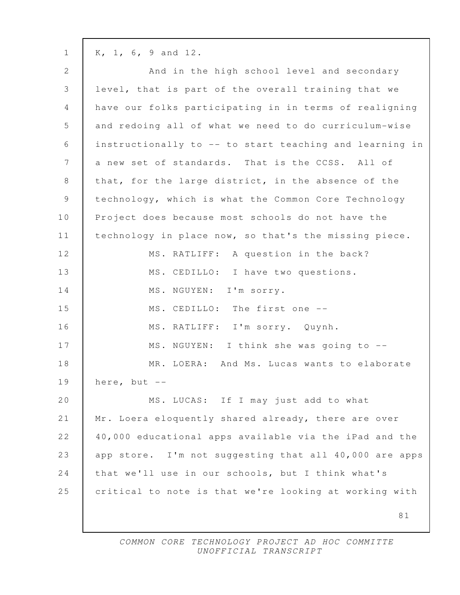1 K, 1, 6, 9 and 12.

| $\mathbf{2}$    | And in the high school level and secondary              |
|-----------------|---------------------------------------------------------|
| 3               | level, that is part of the overall training that we     |
| $\overline{4}$  | have our folks participating in in terms of realigning  |
| 5               | and redoing all of what we need to do curriculum-wise   |
| 6               | instructionally to -- to start teaching and learning in |
| $7\phantom{.0}$ | a new set of standards. That is the CCSS. All of        |
| 8               | that, for the large district, in the absence of the     |
| 9               | technology, which is what the Common Core Technology    |
| 10              | Project does because most schools do not have the       |
| 11              | technology in place now, so that's the missing piece.   |
| 12              | MS. RATLIFF: A question in the back?                    |
| 13              | MS. CEDILLO: I have two questions.                      |
| 14              | MS. NGUYEN: I'm sorry.                                  |
| 15              | MS. CEDILLO: The first one --                           |
| 16              | MS. RATLIFF: I'm sorry. Quynh.                          |
| 17              | MS. NGUYEN: I think she was going to --                 |
| 18              | MR. LOERA: And Ms. Lucas wants to elaborate             |
| 19              | here, but $--$                                          |
| 20              | MS. LUCAS: If I may just add to what                    |
| 21              | Mr. Loera eloquently shared already, there are over     |
| 22              | 40,000 educational apps available via the iPad and the  |
| 23              | app store. I'm not suggesting that all 40,000 are apps  |
| 24              | that we'll use in our schools, but I think what's       |
| 25              | critical to note is that we're looking at working with  |
|                 | 81                                                      |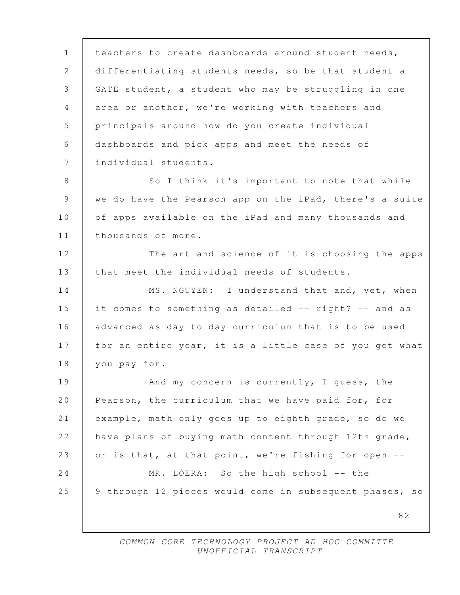82 1 teachers to create dashboards around student needs, 2 differentiating students needs, so be that student a 3 GATE student, a student who may be struggling in one 4 area or another, we're working with teachers and 5 principals around how do you create individual 6 dashboards and pick apps and meet the needs of 7 individual students. 8 So I think it's important to note that while 9 we do have the Pearson app on the iPad, there's a suite 10 of apps available on the iPad and many thousands and 11 | thousands of more. 12 The art and science of it is choosing the apps 13 that meet the individual needs of students. 14 MS. NGUYEN: I understand that and, yet, when 15 it comes to something as detailed -- right? -- and as 16 advanced as day-to-day curriculum that is to be used 17 for an entire year, it is a little case of you get what 18 you pay for. 19 And my concern is currently, I guess, the 20 Pearson, the curriculum that we have paid for, for 21 example, math only goes up to eighth grade, so do we 22 have plans of buying math content through 12th grade, 23 or is that, at that point, we're fishing for open  $-$ 24 MR. LOERA: So the high school -- the 25 | 9 through 12 pieces would come in subsequent phases, so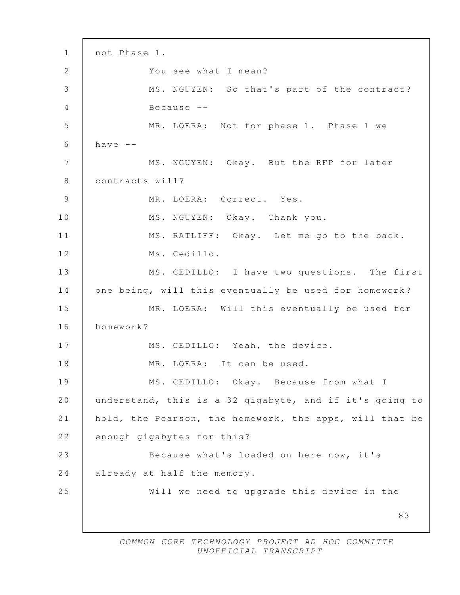83 1 not Phase 1. 2 You see what I mean? 3 MS. NGUYEN: So that's part of the contract? 4 Because -- 5 MR. LOERA: Not for phase 1. Phase 1 we  $6$  have  $-$ 7 | MS. NGUYEN: Okay. But the RFP for later 8 contracts will? 9 MR. LOERA: Correct. Yes. 10 MS. NGUYEN: Okay. Thank you. 11 | MS. RATLIFF: Okay. Let me go to the back. 12 Ms. Cedillo. 13 MS. CEDILLO: I have two questions. The first 14 one being, will this eventually be used for homework? 15 MR. LOERA: Will this eventually be used for 16 homework? 17 MS. CEDILLO: Yeah, the device. 18 MR. LOERA: It can be used. 19 MS. CEDILLO: Okay. Because from what I 20 understand, this is a 32 gigabyte, and if it's going to 21 hold, the Pearson, the homework, the apps, will that be 22 enough gigabytes for this? 23 Because what's loaded on here now, it's 24 already at half the memory. 25 Will we need to upgrade this device in the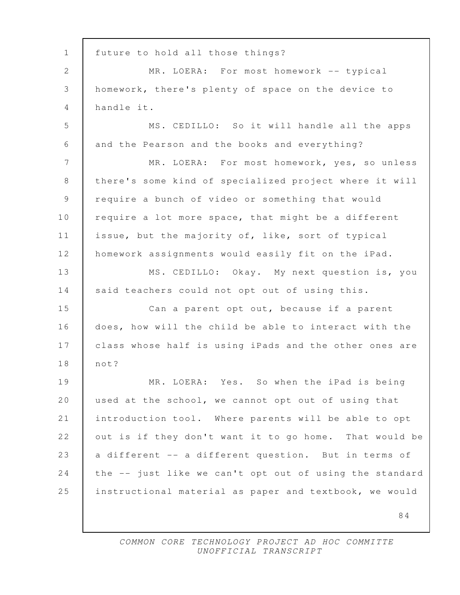84 1 future to hold all those things? 2 MR. LOERA: For most homework -- typical 3 homework, there's plenty of space on the device to 4 handle it. 5 MS. CEDILLO: So it will handle all the apps 6 and the Pearson and the books and everything? 7 MR. LOERA: For most homework, yes, so unless 8 there's some kind of specialized project where it will 9 require a bunch of video or something that would 10 require a lot more space, that might be a different 11 issue, but the majority of, like, sort of typical 12 homework assignments would easily fit on the iPad. 13 MS. CEDILLO: Okay. My next question is, you 14 said teachers could not opt out of using this. 15 Can a parent opt out, because if a parent 16 does, how will the child be able to interact with the 17 class whose half is using iPads and the other ones are 18 not? 19 MR. LOERA: Yes. So when the iPad is being 20 used at the school, we cannot opt out of using that 21 introduction tool. Where parents will be able to opt 22 out is if they don't want it to go home. That would be 23 a different -- a different question. But in terms of 24 the -- just like we can't opt out of using the standard 25 instructional material as paper and textbook, we would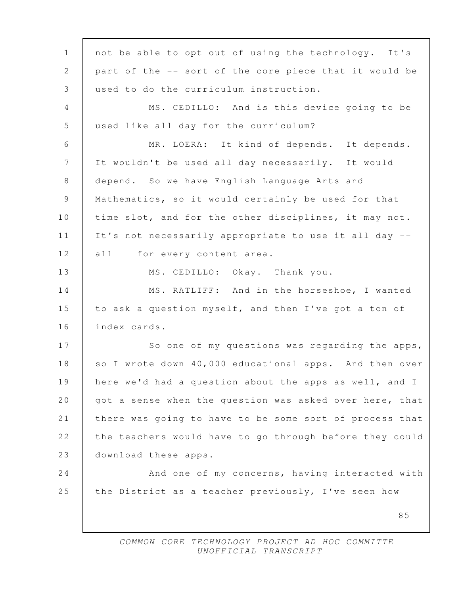85 1 | not be able to opt out of using the technology. It's 2 part of the -- sort of the core piece that it would be 3 used to do the curriculum instruction. 4 MS. CEDILLO: And is this device going to be 5 used like all day for the curriculum? 6 MR. LOERA: It kind of depends. It depends. 7 It wouldn't be used all day necessarily. It would 8 depend. So we have English Language Arts and 9 Mathematics, so it would certainly be used for that 10 time slot, and for the other disciplines, it may not. 11 It's not necessarily appropriate to use it all day -- 12 | all -- for every content area. 13 MS. CEDILLO: Okay. Thank you. 14 MS. RATLIFF: And in the horseshoe, I wanted 15 to ask a question myself, and then I've got a ton of 16 index cards. 17 So one of my questions was regarding the apps, 18 so I wrote down 40,000 educational apps. And then over 19 here we'd had a question about the apps as well, and I 20 | got a sense when the question was asked over here, that 21 there was going to have to be some sort of process that 22 the teachers would have to go through before they could 23 download these apps. 24 And one of my concerns, having interacted with 25 the District as a teacher previously, I've seen how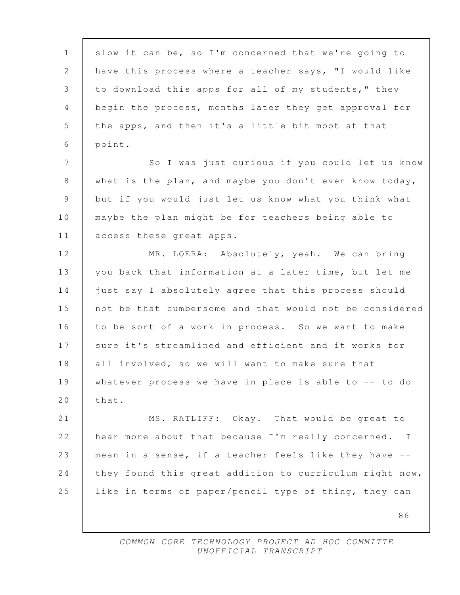86 1 slow it can be, so I'm concerned that we're going to 2 have this process where a teacher says, "I would like 3 to download this apps for all of my students," they 4 begin the process, months later they get approval for 5 the apps, and then it's a little bit moot at that 6 point. 7 | So I was just curious if you could let us know 8 what is the plan, and maybe you don't even know today, 9 but if you would just let us know what you think what 10 maybe the plan might be for teachers being able to 11 access these great apps. 12 | MR. LOERA: Absolutely, yeah. We can bring 13 you back that information at a later time, but let me 14 iust say I absolutely agree that this process should 15 not be that cumbersome and that would not be considered 16 to be sort of a work in process. So we want to make 17 Sure it's streamlined and efficient and it works for 18 all involved, so we will want to make sure that 19 whatever process we have in place is able to -- to do 20 | that. 21 MS. RATLIFF: Okay. That would be great to 22 hear more about that because I'm really concerned. I 23 mean in a sense, if a teacher feels like they have -- 24 they found this great addition to curriculum right now, 25 like in terms of paper/pencil type of thing, they can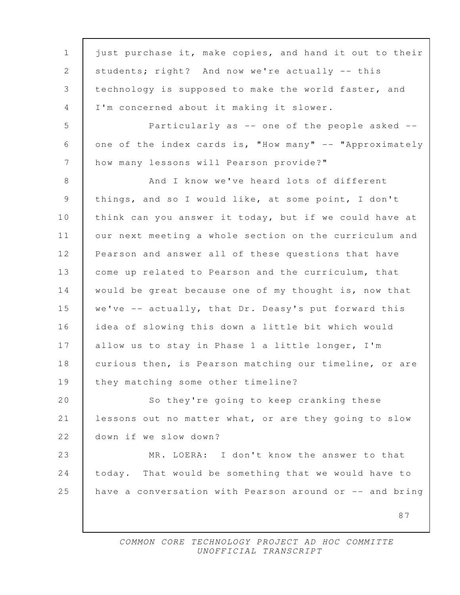87 1 just purchase it, make copies, and hand it out to their 2 | students; right? And now we're actually -- this 3 technology is supposed to make the world faster, and 4 I'm concerned about it making it slower. 5 Particularly as -- one of the people asked -- 6 one of the index cards is, "How many" -- "Approximately 7 how many lessons will Pearson provide?" 8 And I know we've heard lots of different 9 things, and so I would like, at some point, I don't 10 | think can you answer it today, but if we could have at 11 our next meeting a whole section on the curriculum and 12 Pearson and answer all of these questions that have 13 | come up related to Pearson and the curriculum, that 14 would be great because one of my thought is, now that 15 we've -- actually, that Dr. Deasy's put forward this 16 idea of slowing this down a little bit which would 17 | allow us to stay in Phase 1 a little longer, I'm 18 | curious then, is Pearson matching our timeline, or are 19 they matching some other timeline? 20 So they're going to keep cranking these 21 lessons out no matter what, or are they going to slow 22 down if we slow down? 23 MR. LOERA: I don't know the answer to that 24 today. That would be something that we would have to 25 have a conversation with Pearson around or -- and bring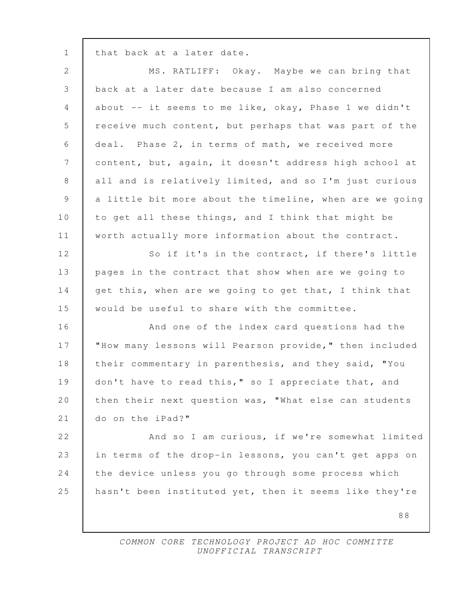1 | that back at a later date.

| $\mathbf{2}$    | MS. RATLIFF: Okay. Maybe we can bring that              |
|-----------------|---------------------------------------------------------|
| 3               | back at a later date because I am also concerned        |
| $\overline{4}$  | about -- it seems to me like, okay, Phase 1 we didn't   |
| 5               | receive much content, but perhaps that was part of the  |
| $6\,$           | deal. Phase 2, in terms of math, we received more       |
| $7\phantom{.0}$ | content, but, again, it doesn't address high school at  |
| $8\,$           | all and is relatively limited, and so I'm just curious  |
| 9               | a little bit more about the timeline, when are we going |
| 10              | to get all these things, and I think that might be      |
| 11              | worth actually more information about the contract.     |
| 12              | So if it's in the contract, if there's little           |
| 13              | pages in the contract that show when are we going to    |
| 14              | get this, when are we going to get that, I think that   |
| 15              | would be useful to share with the committee.            |
| 16              | And one of the index card questions had the             |
| 17              | "How many lessons will Pearson provide," then included  |
| 18              | their commentary in parenthesis, and they said, "You    |
| 19              | don't have to read this," so I appreciate that, and     |
| 20              | then their next question was, "What else can students   |
| 21              | do on the iPad?"                                        |
| 22              | And so I am curious, if we're somewhat limited          |
| 23              | in terms of the drop-in lessons, you can't get apps on  |
| 24              | the device unless you go through some process which     |
| 25              | hasn't been instituted yet, then it seems like they're  |
|                 | 88                                                      |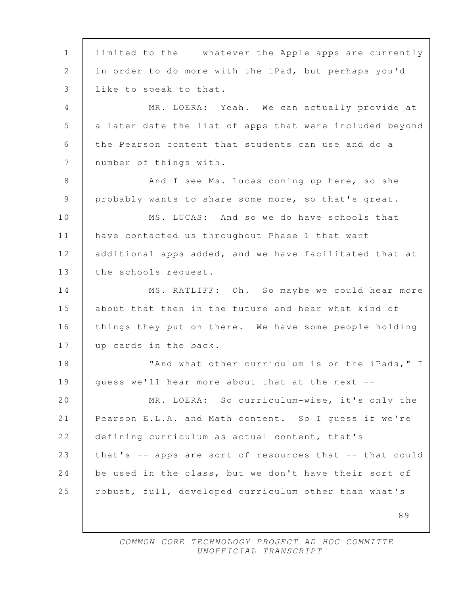89 1 limited to the -- whatever the Apple apps are currently 2 in order to do more with the iPad, but perhaps you'd 3 like to speak to that. 4 MR. LOERA: Yeah. We can actually provide at 5 a later date the list of apps that were included beyond 6 the Pearson content that students can use and do a 7 | number of things with. 8 And I see Ms. Lucas coming up here, so she 9 probably wants to share some more, so that's great. 10 MS. LUCAS: And so we do have schools that 11 have contacted us throughout Phase 1 that want 12 additional apps added, and we have facilitated that at 13 | the schools request. 14 MS. RATLIFF: Oh. So maybe we could hear more 15 about that then in the future and hear what kind of 16 things they put on there. We have some people holding 17 up cards in the back. 18 **WE** Tand what other curriculum is on the iPads, "I 19 guess we'll hear more about that at the next --20 MR. LOERA: So curriculum-wise, it's only the 21 Pearson E.L.A. and Math content. So I guess if we're 22 defining curriculum as actual content, that's -- 23 that's -- apps are sort of resources that -- that could 24 be used in the class, but we don't have their sort of 25 | robust, full, developed curriculum other than what's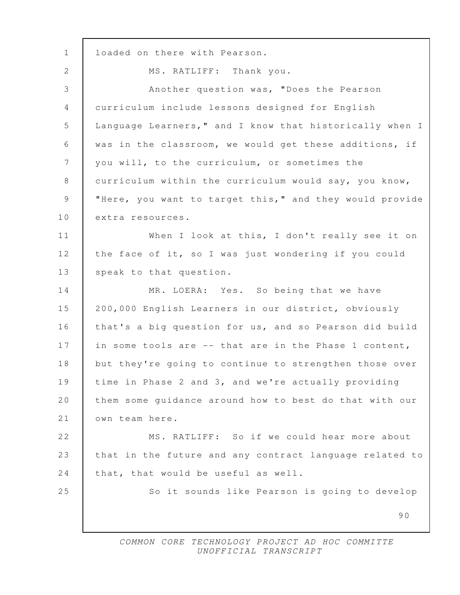| $\mathbf{1}$   | loaded on there with Pearson.                           |
|----------------|---------------------------------------------------------|
| 2              | MS. RATLIFF: Thank you.                                 |
| 3              | Another question was, "Does the Pearson                 |
| $\overline{4}$ | curriculum include lessons designed for English         |
| 5              | Language Learners," and I know that historically when I |
| 6              | was in the classroom, we would get these additions, if  |
| $7\phantom{.}$ | you will, to the curriculum, or sometimes the           |
| 8              | curriculum within the curriculum would say, you know,   |
| 9              | "Here, you want to target this," and they would provide |
| 10             | extra resources.                                        |
| 11             | When I look at this, I don't really see it on           |
| 12             | the face of it, so I was just wondering if you could    |
| 13             | speak to that question.                                 |
| 14             | MR. LOERA: Yes. So being that we have                   |
| 15             | 200,000 English Learners in our district, obviously     |
| 16             | that's a big question for us, and so Pearson did build  |
| 17             | in some tools are -- that are in the Phase 1 content,   |
| 18             | but they're going to continue to strengthen those over  |
| 19             | time in Phase 2 and 3, and we're actually providing     |
| 20             | them some guidance around how to best do that with our  |
| 21             | own team here.                                          |
| 22             | MS. RATLIFF: So if we could hear more about             |
| 23             | that in the future and any contract language related to |
| 24             | that, that would be useful as well.                     |
| 25             | So it sounds like Pearson is going to develop           |
|                | 90                                                      |
|                |                                                         |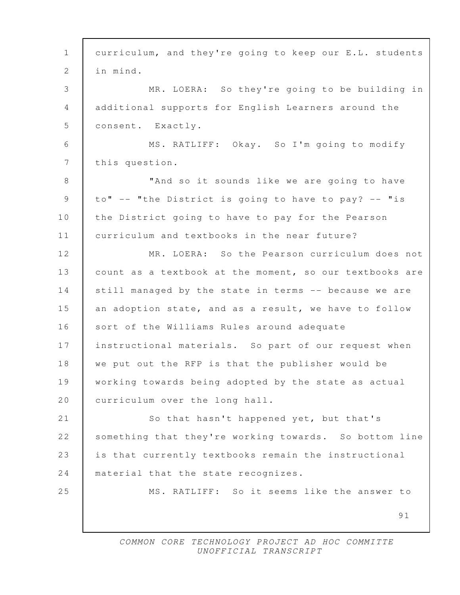| $\mathbf 1$    | curriculum, and they're going to keep our E.L. students |
|----------------|---------------------------------------------------------|
| 2              | in mind.                                                |
| 3              | MR. LOERA: So they're going to be building in           |
| $\overline{4}$ | additional supports for English Learners around the     |
| 5              | consent. Exactly.                                       |
| 6              | MS. RATLIFF: Okay. So I'm going to modify               |
| 7              | this question.                                          |
| 8              | "And so it sounds like we are going to have             |
| $\mathsf 9$    | to" -- "the District is going to have to pay? -- "is    |
| 10             | the District going to have to pay for the Pearson       |
| 11             | curriculum and textbooks in the near future?            |
| 12             | MR. LOERA: So the Pearson curriculum does not           |
| 13             | count as a textbook at the moment, so our textbooks are |
| 14             | still managed by the state in terms -- because we are   |
| 15             | an adoption state, and as a result, we have to follow   |
| 16             | sort of the Williams Rules around adequate              |
| 17             | instructional materials. So part of our request when    |
| 18             | we put out the RFP is that the publisher would be       |
| 19             | working towards being adopted by the state as actual    |
| 20             | curriculum over the long hall.                          |
| 21             | So that hasn't happened yet, but that's                 |
| 22             | something that they're working towards. So bottom line  |
| 23             | is that currently textbooks remain the instructional    |
| 24             | material that the state recognizes.                     |
| 25             | MS. RATLIFF: So it seems like the answer to             |
|                | 91                                                      |
|                |                                                         |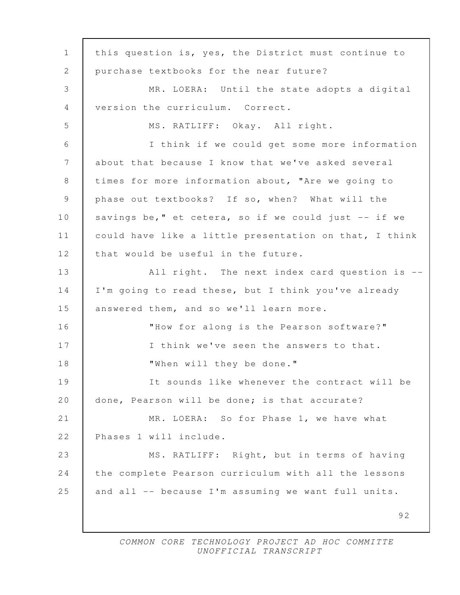92 1 this question is, yes, the District must continue to 2 purchase textbooks for the near future? 3 MR. LOERA: Until the state adopts a digital 4 version the curriculum. Correct. 5 MS. RATLIFF: Okay. All right. 6 I think if we could get some more information 7 about that because I know that we've asked several 8 | times for more information about, "Are we going to 9 phase out textbooks? If so, when? What will the 10 savings be," et cetera, so if we could just -- if we 11 could have like a little presentation on that, I think 12 that would be useful in the future. 13 | All right. The next index card question is --14 I'm going to read these, but I think you've already 15 answered them, and so we'll learn more. 16 "How for along is the Pearson software?" 17 I think we've seen the answers to that. 18 When will they be done." 19 It sounds like whenever the contract will be 20 done, Pearson will be done; is that accurate? 21 | MR. LOERA: So for Phase 1, we have what 22 Phases 1 will include. 23 MS. RATLIFF: Right, but in terms of having 24 the complete Pearson curriculum with all the lessons 25 and all -- because I'm assuming we want full units.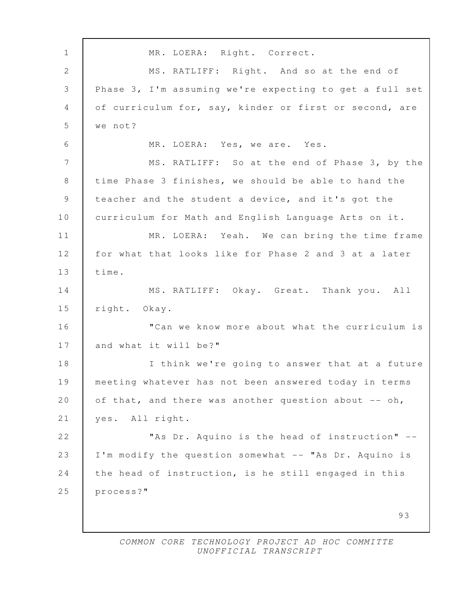93 1 | MR. LOERA: Right. Correct. 2 MS. RATLIFF: Right. And so at the end of 3 Phase 3, I'm assuming we're expecting to get a full set 4 of curriculum for, say, kinder or first or second, are 5 we not? 6 MR. LOERA: Yes, we are. Yes. 7 | MS. RATLIFF: So at the end of Phase 3, by the 8 time Phase 3 finishes, we should be able to hand the 9 teacher and the student a device, and it's got the 10 curriculum for Math and English Language Arts on it. 11 MR. LOERA: Yeah. We can bring the time frame 12 for what that looks like for Phase 2 and 3 at a later 13 time. 14 MS. RATLIFF: Okay. Great. Thank you. All 15 right. Okay. 16 **The Interpolana Communis** 16 **The Curriculum** is 17 and what it will be?" 18 | I think we're going to answer that at a future 19 meeting whatever has not been answered today in terms 20 of that, and there was another question about -- oh, 21 yes. All right. 22 **Notai As Dr.** Aquino is the head of instruction" --23 I'm modify the question somewhat -- "As Dr. Aquino is 24 the head of instruction, is he still engaged in this 25 process?"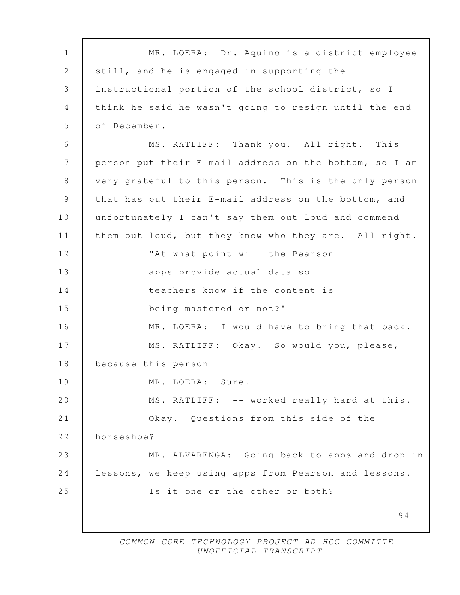| $\mathbf{1}$ | MR. LOERA: Dr. Aquino is a district employee           |
|--------------|--------------------------------------------------------|
| 2            | still, and he is engaged in supporting the             |
| 3            | instructional portion of the school district, so I     |
| 4            | think he said he wasn't going to resign until the end  |
| 5            | of December.                                           |
| 6            | MS. RATLIFF: Thank you. All right. This                |
| 7            | person put their E-mail address on the bottom, so I am |
| 8            | very grateful to this person. This is the only person  |
| 9            | that has put their E-mail address on the bottom, and   |
| 10           | unfortunately I can't say them out loud and commend    |
| 11           | them out loud, but they know who they are. All right.  |
| 12           | "At what point will the Pearson                        |
| 13           | apps provide actual data so                            |
| 14           | teachers know if the content is                        |
| 15           | being mastered or not?"                                |
| 16           | MR. LOERA: I would have to bring that back.            |
| 17           | MS. RATLIFF: Okay. So would you, please,               |
| 18           | because this person --                                 |
| 19           | MR. LOERA: Sure.                                       |
| 20           | MS. RATLIFF: -- worked really hard at this.            |
| 21           | Okay. Questions from this side of the                  |
| 22           | horseshoe?                                             |
| 23           | MR. ALVARENGA: Going back to apps and drop-in          |
| 24           | lessons, we keep using apps from Pearson and lessons.  |
| 25           | Is it one or the other or both?                        |
|              | 94                                                     |
|              |                                                        |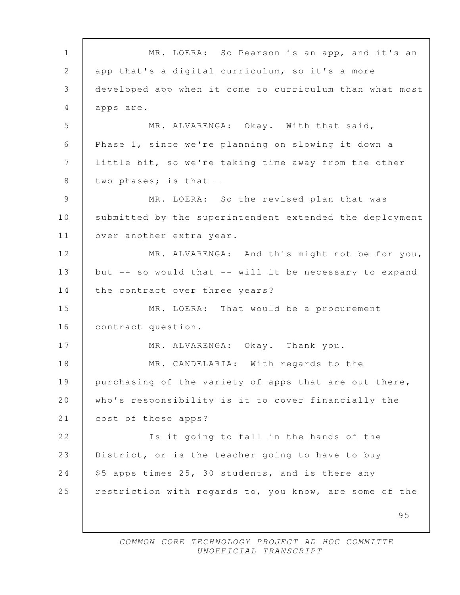95 1 | MR. LOERA: So Pearson is an app, and it's an 2 app that's a digital curriculum, so it's a more 3 developed app when it come to curriculum than what most 4 apps are. 5 MR. ALVARENGA: Okay. With that said, 6 Phase 1, since we're planning on slowing it down a 7 little bit, so we're taking time away from the other  $8$  two phases; is that  $-$  9 MR. LOERA: So the revised plan that was 10 submitted by the superintendent extended the deployment 11 over another extra year. 12 MR. ALVARENGA: And this might not be for you, 13 but -- so would that -- will it be necessary to expand 14 the contract over three years? 15 MR. LOERA: That would be a procurement 16 | contract question. 17 MR. ALVARENGA: Okay. Thank you. 18 MR. CANDELARIA: With regards to the 19 purchasing of the variety of apps that are out there, 20 who's responsibility is it to cover financially the 21 cost of these apps? 22 Is it going to fall in the hands of the 23 District, or is the teacher going to have to buy 24 | \$5 apps times 25, 30 students, and is there any 25 restriction with regards to, you know, are some of the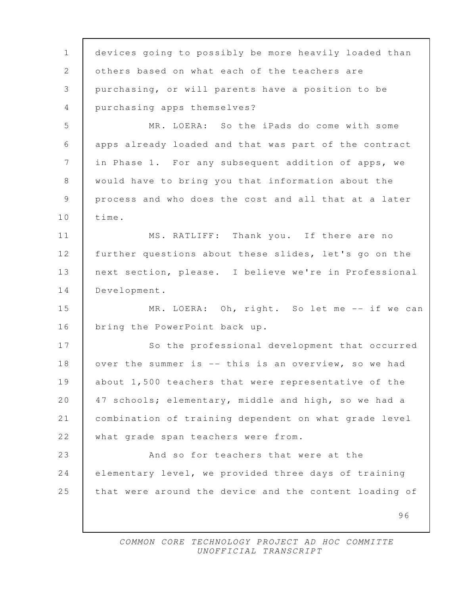| $\mathbf 1$    | devices going to possibly be more heavily loaded than  |
|----------------|--------------------------------------------------------|
| $\mathbf{2}$   | others based on what each of the teachers are          |
| 3              | purchasing, or will parents have a position to be      |
| $\overline{4}$ | purchasing apps themselves?                            |
| 5              | MR. LOERA: So the iPads do come with some              |
| 6              | apps already loaded and that was part of the contract  |
| 7              | in Phase 1. For any subsequent addition of apps, we    |
| 8              | would have to bring you that information about the     |
| $\mathcal{G}$  | process and who does the cost and all that at a later  |
| 10             | time.                                                  |
| 11             | MS. RATLIFF: Thank you. If there are no                |
| 12             | further questions about these slides, let's go on the  |
| 13             | next section, please. I believe we're in Professional  |
| 14             | Development.                                           |
| 15             | MR. LOERA: Oh, right. So let me -- if we can           |
| 16             | bring the PowerPoint back up.                          |
| 17             | So the professional development that occurred          |
| 18             | over the summer is -- this is an overview, so we had   |
| 19             | about 1,500 teachers that were representative of the   |
| 20             | 47 schools; elementary, middle and high, so we had a   |
| 21             | combination of training dependent on what grade level  |
| 22             | what grade span teachers were from.                    |
| 23             | And so for teachers that were at the                   |
| 24             | elementary level, we provided three days of training   |
| 25             | that were around the device and the content loading of |
|                | 96                                                     |
|                |                                                        |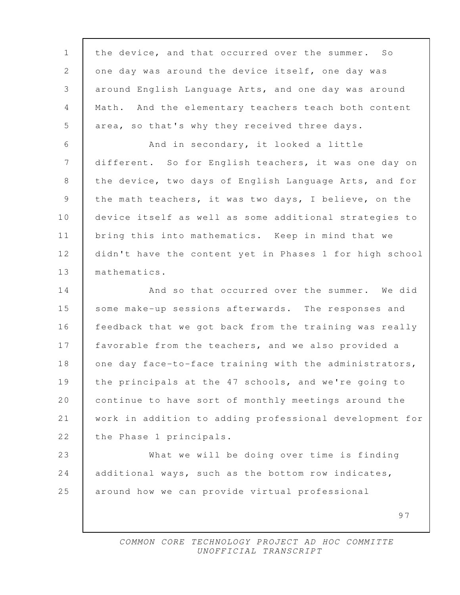| $\mathbf 1$ | the device, and that occurred over the summer. So       |
|-------------|---------------------------------------------------------|
| 2           | one day was around the device itself, one day was       |
| 3           | around English Language Arts, and one day was around    |
| 4           | Math. And the elementary teachers teach both content    |
| 5           | area, so that's why they received three days.           |
| 6           | And in secondary, it looked a little                    |
| 7           | different. So for English teachers, it was one day on   |
| 8           | the device, two days of English Language Arts, and for  |
| $\mathsf 9$ | the math teachers, it was two days, I believe, on the   |
| 10          | device itself as well as some additional strategies to  |
| 11          | bring this into mathematics. Keep in mind that we       |
| 12          | didn't have the content yet in Phases 1 for high school |
| 13          | mathematics.                                            |
| 14          | And so that occurred over the summer. We did            |
| 15          | some make-up sessions afterwards. The responses and     |
| 16          | feedback that we got back from the training was really  |
| 17          | favorable from the teachers, and we also provided a     |
| 18          | one day face-to-face training with the administrators,  |
| 19          | the principals at the 47 schools, and we're going to    |
| 20          | continue to have sort of monthly meetings around the    |
| 21          | work in addition to adding professional development for |
| 22          | the Phase 1 principals.                                 |
| 23          | What we will be doing over time is finding              |
| 24          | additional ways, such as the bottom row indicates,      |
| 25          | around how we can provide virtual professional          |
|             | 97                                                      |
|             |                                                         |

 $\mathbf l$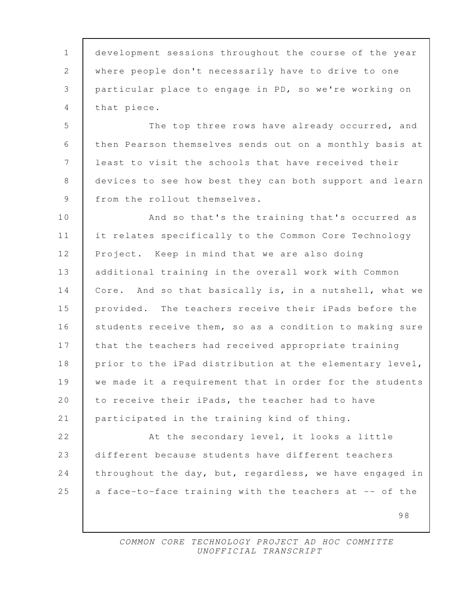1 development sessions throughout the course of the year 2 where people don't necessarily have to drive to one 3 particular place to engage in PD, so we're working on 4 that piece.

5 The top three rows have already occurred, and 6 then Pearson themselves sends out on a monthly basis at 7 least to visit the schools that have received their 8 devices to see how best they can both support and learn 9 | from the rollout themselves.

10 **And so that's the training that's occurred as** 11 it relates specifically to the Common Core Technology 12 Project. Keep in mind that we are also doing 13 additional training in the overall work with Common 14 Core. And so that basically is, in a nutshell, what we 15 provided. The teachers receive their iPads before the 16 students receive them, so as a condition to making sure 17 that the teachers had received appropriate training 18 prior to the iPad distribution at the elementary level, 19 we made it a requirement that in order for the students 20 to receive their iPads, the teacher had to have 21 participated in the training kind of thing.

22 **At the secondary level, it looks a little** 23 different because students have different teachers 24 throughout the day, but, regardless, we have engaged in 25  $\vert$  a face-to-face training with the teachers at -- of the

> COMMON CORE TECHNOLOGY PROJECT AD HOC COMMITTE UNOFFICIAL TRANSCRIPT

98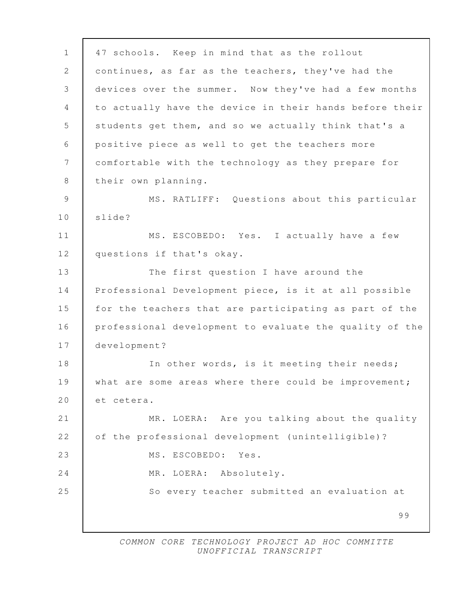99 1 47 schools. Keep in mind that as the rollout 2 continues, as far as the teachers, they've had the 3 devices over the summer. Now they've had a few months 4 to actually have the device in their hands before their 5 students get them, and so we actually think that's a 6 positive piece as well to get the teachers more 7 comfortable with the technology as they prepare for 8 | their own planning. 9 MS. RATLIFF: Questions about this particular 10 slide? 11 | MS. ESCOBEDO: Yes. I actually have a few 12 questions if that's okay. 13 The first question I have around the 14 Professional Development piece, is it at all possible 15 for the teachers that are participating as part of the 16 professional development to evaluate the quality of the 17 development? 18 | In other words, is it meeting their needs; 19 what are some areas where there could be improvement; 20 et cetera. 21 MR. LOERA: Are you talking about the quality 22 of the professional development (unintelligible)? 23 | MS. ESCOBEDO: Yes. 24 | MR. LOERA: Absolutely. 25 So every teacher submitted an evaluation at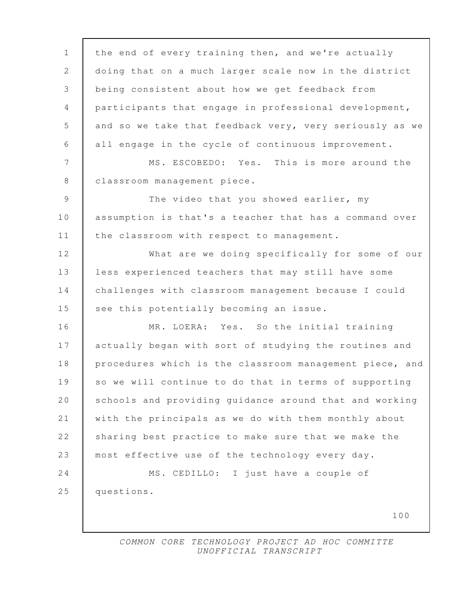100 1 the end of every training then, and we're actually 2 doing that on a much larger scale now in the district 3 being consistent about how we get feedback from 4 participants that engage in professional development, 5 and so we take that feedback very, very seriously as we 6 all engage in the cycle of continuous improvement. 7 | MS. ESCOBEDO: Yes. This is more around the 8 | classroom management piece. 9 The video that you showed earlier, my 10 assumption is that's a teacher that has a command over 11 | the classroom with respect to management. 12 What are we doing specifically for some of our 13 | less experienced teachers that may still have some 14 challenges with classroom management because I could 15 see this potentially becoming an issue. 16 MR. LOERA: Yes. So the initial training 17 actually began with sort of studying the routines and 18 procedures which is the classroom management piece, and 19 so we will continue to do that in terms of supporting 20 Schools and providing guidance around that and working 21 with the principals as we do with them monthly about 22 sharing best practice to make sure that we make the 23 most effective use of the technology every day. 24 MS. CEDILLO: I just have a couple of 25 questions.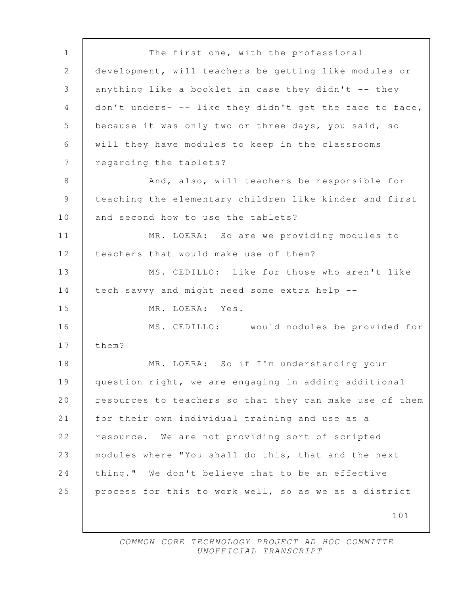101 1 The first one, with the professional 2 development, will teachers be getting like modules or 3 anything like a booklet in case they didn't -- they 4 don't unders- -- like they didn't get the face to face, 5 | because it was only two or three days, you said, so 6 will they have modules to keep in the classrooms 7 | regarding the tablets? 8 And, also, will teachers be responsible for 9 teaching the elementary children like kinder and first 10 and second how to use the tablets? 11 MR. LOERA: So are we providing modules to 12 teachers that would make use of them? 13 MS. CEDILLO: Like for those who aren't like 14 tech savvy and might need some extra help -- 15 MR. LOERA: Yes. 16 MS. CEDILLO: -- would modules be provided for 17 them? 18 MR. LOERA: So if I'm understanding your 19 question right, we are engaging in adding additional 20 resources to teachers so that they can make use of them 21 for their own individual training and use as a 22 resource. We are not providing sort of scripted 23 modules where "You shall do this, that and the next 24 thing." We don't believe that to be an effective 25 process for this to work well, so as we as a district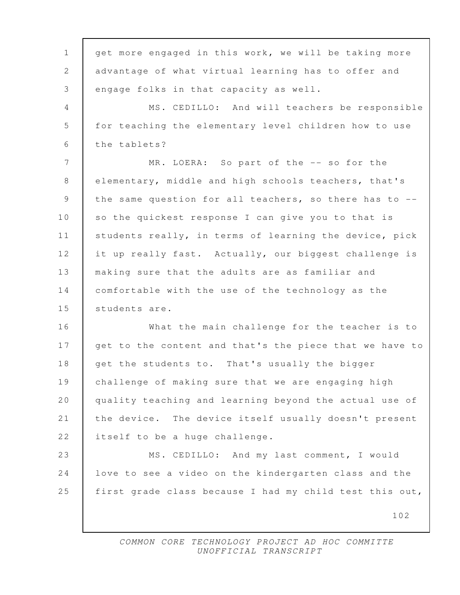102 1 get more engaged in this work, we will be taking more 2 advantage of what virtual learning has to offer and 3 engage folks in that capacity as well. 4 MS. CEDILLO: And will teachers be responsible 5 for teaching the elementary level children how to use 6 the tablets? 7 MR. LOERA: So part of the -- so for the 8 elementary, middle and high schools teachers, that's 9 the same question for all teachers, so there has to --10 so the quickest response I can give you to that is 11 | students really, in terms of learning the device, pick 12 it up really fast. Actually, our biggest challenge is 13 making sure that the adults are as familiar and 14 comfortable with the use of the technology as the 15 Students are. 16 What the main challenge for the teacher is to 17 get to the content and that's the piece that we have to 18 get the students to. That's usually the bigger 19 challenge of making sure that we are engaging high 20 quality teaching and learning beyond the actual use of 21 the device. The device itself usually doesn't present 22 | itself to be a huge challenge. 23 MS. CEDILLO: And my last comment, I would 24 love to see a video on the kindergarten class and the 25 first grade class because I had my child test this out,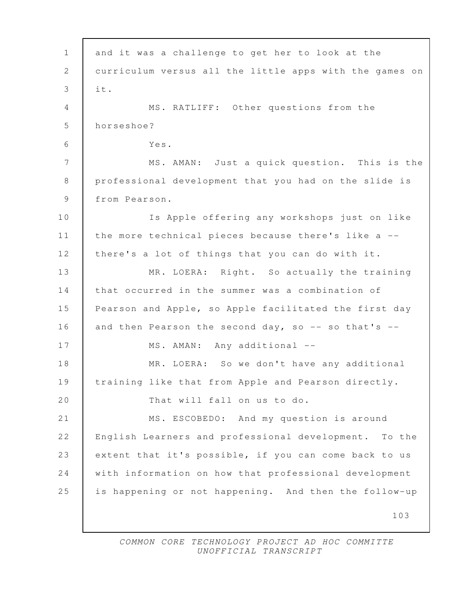| $\mathbf{1}$   | and it was a challenge to get her to look at the        |
|----------------|---------------------------------------------------------|
| 2              | curriculum versus all the little apps with the games on |
| 3              | it.                                                     |
| 4              | MS. RATLIFF: Other questions from the                   |
| 5              | horseshoe?                                              |
| 6              | Yes.                                                    |
| $\overline{7}$ | MS. AMAN: Just a quick question. This is the            |
| 8              | professional development that you had on the slide is   |
| $\mathcal{G}$  | from Pearson.                                           |
| 10             | Is Apple offering any workshops just on like            |
| 11             | the more technical pieces because there's like a --     |
| 12             | there's a lot of things that you can do with it.        |
| 13             | MR. LOERA: Right. So actually the training              |
| 14             | that occurred in the summer was a combination of        |
| 15             | Pearson and Apple, so Apple facilitated the first day   |
| 16             | and then Pearson the second day, so -- so that's --     |
| 17             | MS. AMAN: Any additional --                             |
| 18             | MR. LOERA: So we don't have any additional              |
| 19             | training like that from Apple and Pearson directly.     |
| 20             | That will fall on us to do.                             |
| 21             | MS. ESCOBEDO:<br>And my question is around              |
| 22             | English Learners and professional development. To the   |
| 23             | extent that it's possible, if you can come back to us   |
| 24             | with information on how that professional development   |
| 25             | is happening or not happening. And then the follow-up   |
|                | 103                                                     |
|                |                                                         |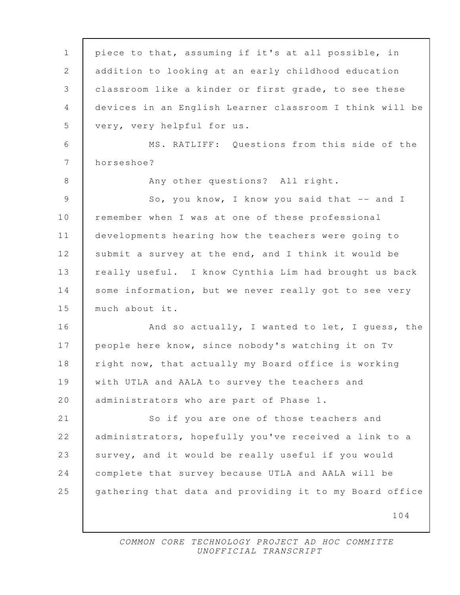| $\mathbf 1$     | piece to that, assuming if it's at all possible, in     |
|-----------------|---------------------------------------------------------|
| 2               | addition to looking at an early childhood education     |
| 3               | classroom like a kinder or first grade, to see these    |
| 4               | devices in an English Learner classroom I think will be |
| 5               | very, very helpful for us.                              |
| $6\,$           | MS. RATLIFF: Questions from this side of the            |
| $7\phantom{.0}$ | horseshoe?                                              |
| 8               | Any other questions? All right.                         |
| $\mathcal{G}$   | So, you know, I know you said that -- and I             |
| $10$            | remember when I was at one of these professional        |
| 11              | developments hearing how the teachers were going to     |
| 12              | submit a survey at the end, and I think it would be     |
| 13              | really useful. I know Cynthia Lim had brought us back   |
| 14              | some information, but we never really got to see very   |
| 15              | much about it.                                          |
| 16              | And so actually, I wanted to let, I guess, the          |
| 17              | people here know, since nobody's watching it on Tv      |
| 18              | right now, that actually my Board office is working     |
| 19              | with UTLA and AALA to survey the teachers and           |
| 20              | administrators who are part of Phase 1.                 |
| 21              | So if you are one of those teachers and                 |
| 22              | administrators, hopefully you've received a link to a   |
| 23              | survey, and it would be really useful if you would      |
| 24              | complete that survey because UTLA and AALA will be      |
| 25              | gathering that data and providing it to my Board office |
|                 | 104                                                     |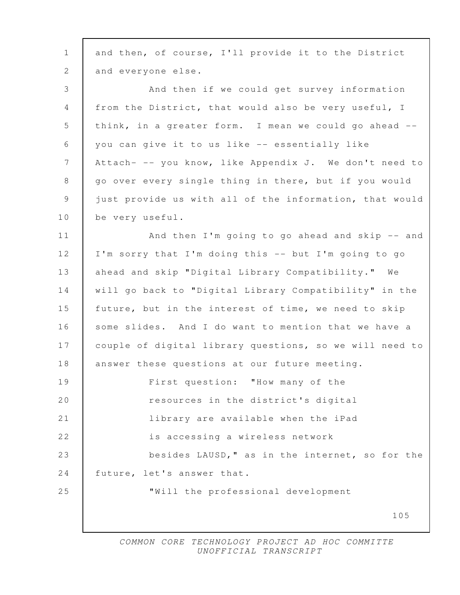| $\mathbf{1}$   | and then, of course, I'll provide it to the District    |
|----------------|---------------------------------------------------------|
| 2              | and everyone else.                                      |
| 3              | And then if we could get survey information             |
| $\overline{4}$ | from the District, that would also be very useful, I    |
| 5              | think, in a greater form. I mean we could go ahead --   |
| 6              | you can give it to us like -- essentially like          |
| 7              | Attach- -- you know, like Appendix J. We don't need to  |
| 8              | go over every single thing in there, but if you would   |
| $\mathcal{G}$  | just provide us with all of the information, that would |
| 10             | be very useful.                                         |
| 11             | And then I'm going to go ahead and skip -- and          |
| 12             | I'm sorry that I'm doing this -- but I'm going to go    |
| 13             | ahead and skip "Digital Library Compatibility." We      |
| 14             | will go back to "Digital Library Compatibility" in the  |
| 15             | future, but in the interest of time, we need to skip    |
| 16             | some slides. And I do want to mention that we have a    |
| 17             | couple of digital library questions, so we will need to |
| 18             | answer these questions at our future meeting.           |
| 19             | First question: "How many of the                        |
| 20             | resources in the district's digital                     |
| 21             | library are available when the iPad                     |
| 22             | is accessing a wireless network                         |
| 23             | besides LAUSD," as in the internet, so for the          |
| 24             | future, let's answer that.                              |
| 25             | "Will the professional development                      |
|                | 105                                                     |
|                |                                                         |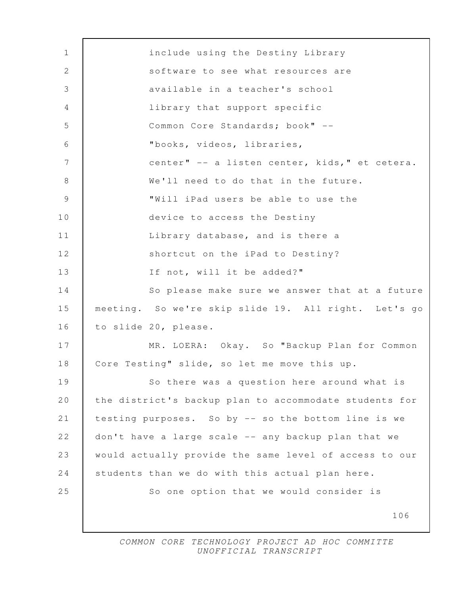| $\mathbf 1$     | include using the Destiny Library                      |
|-----------------|--------------------------------------------------------|
| 2               | software to see what resources are                     |
| $\mathcal{S}$   | available in a teacher's school                        |
| 4               | library that support specific                          |
| 5               | Common Core Standards; book" --                        |
| 6               | "books, videos, libraries,                             |
| $7\phantom{.0}$ | center" -- a listen center, kids," et cetera.          |
| 8               | We'll need to do that in the future.                   |
| 9               | "Will iPad users be able to use the                    |
| 10              | device to access the Destiny                           |
| 11              | Library database, and is there a                       |
| 12              | shortcut on the iPad to Destiny?                       |
| 13              | If not, will it be added?"                             |
| 14              | So please make sure we answer that at a future         |
| 15              | meeting. So we're skip slide 19. All right. Let's go   |
| 16              | to slide 20, please.                                   |
| 17              | MR. LOERA: Okay. So "Backup Plan for Common            |
| 18              | Core Testing" slide, so let me move this up.           |
| 19              | So there was a question here around what is            |
| 20              | the district's backup plan to accommodate students for |
| 21              | testing purposes. So by -- so the bottom line is we    |
| 22              | don't have a large scale -- any backup plan that we    |
| 23              | would actually provide the same level of access to our |
| 24              | students than we do with this actual plan here.        |
| 25              | So one option that we would consider is                |
|                 | 106                                                    |
|                 |                                                        |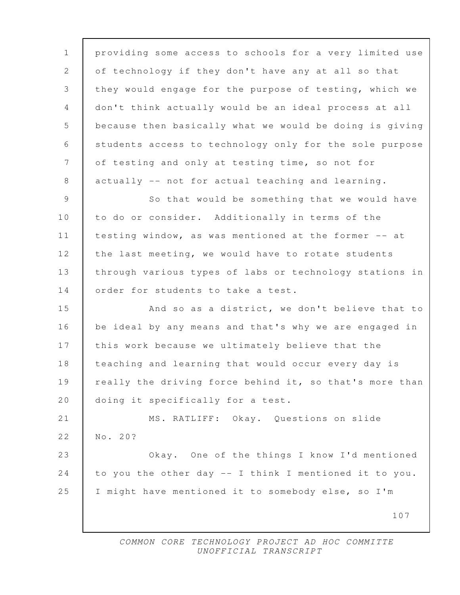107 1 providing some access to schools for a very limited use 2 of technology if they don't have any at all so that 3 they would engage for the purpose of testing, which we 4 don't think actually would be an ideal process at all 5 because then basically what we would be doing is giving 6 students access to technology only for the sole purpose 7 of testing and only at testing time, so not for 8 actually -- not for actual teaching and learning. 9 So that would be something that we would have 10 to do or consider. Additionally in terms of the 11 testing window, as was mentioned at the former -- at 12 the last meeting, we would have to rotate students 13 through various types of labs or technology stations in 14 order for students to take a test. 15 And so as a district, we don't believe that to 16 be ideal by any means and that's why we are engaged in 17 this work because we ultimately believe that the 18 teaching and learning that would occur every day is 19 really the driving force behind it, so that's more than 20 | doing it specifically for a test. 21 | MS. RATLIFF: Okay. Questions on slide 22 No. 20? 23 Okay. One of the things I know I'd mentioned 24 to you the other day -- I think I mentioned it to you. 25 I might have mentioned it to somebody else, so I'm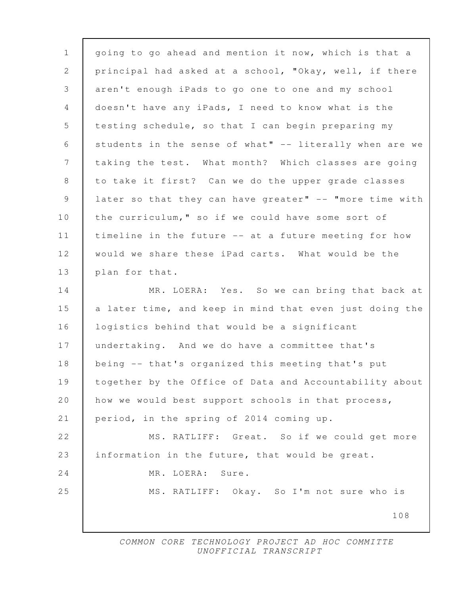108 1 going to go ahead and mention it now, which is that a 2 principal had asked at a school, "Okay, well, if there 3 aren't enough iPads to go one to one and my school 4 doesn't have any iPads, I need to know what is the 5 testing schedule, so that I can begin preparing my 6 students in the sense of what" -- literally when are we 7 taking the test. What month? Which classes are going 8 to take it first? Can we do the upper grade classes 9 later so that they can have greater" -- "more time with 10 the curriculum," so if we could have some sort of 11 timeline in the future -- at a future meeting for how 12 would we share these iPad carts. What would be the 13 | plan for that. 14 MR. LOERA: Yes. So we can bring that back at 15 a later time, and keep in mind that even just doing the 16 logistics behind that would be a significant 17 undertaking. And we do have a committee that's 18 being -- that's organized this meeting that's put 19 together by the Office of Data and Accountability about 20 how we would best support schools in that process, 21 period, in the spring of 2014 coming up. 22 MS. RATLIFF: Great. So if we could get more 23 information in the future, that would be great. 24 MR. LOERA: Sure. 25 MS. RATLIFF: Okay. So I'm not sure who is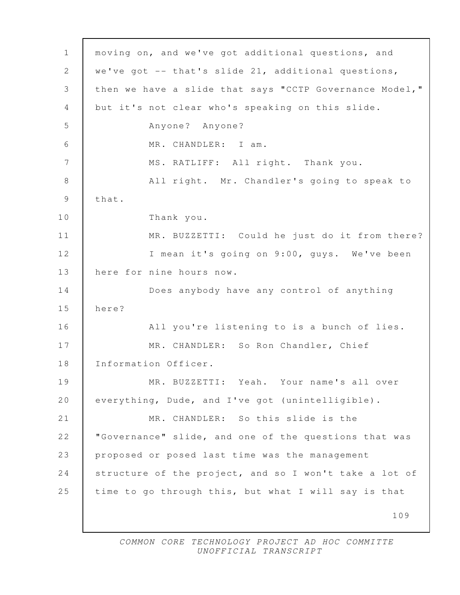| $\mathbf 1$     | moving on, and we've got additional questions, and      |
|-----------------|---------------------------------------------------------|
| $\mathbf{2}$    | we've got $--$ that's slide 21, additional questions,   |
| 3               | then we have a slide that says "CCTP Governance Model," |
| 4               | but it's not clear who's speaking on this slide.        |
| 5               | Anyone? Anyone?                                         |
| 6               | MR. CHANDLER: I am.                                     |
| $7\phantom{.0}$ | MS. RATLIFF: All right. Thank you.                      |
| 8               | All right. Mr. Chandler's going to speak to             |
| $\mathcal{G}$   | that.                                                   |
| 10              | Thank you.                                              |
| 11              | MR. BUZZETTI: Could he just do it from there?           |
| 12              | I mean it's going on 9:00, guys. We've been             |
| 13              | here for nine hours now.                                |
| 14              | Does anybody have any control of anything               |
| 15              | here?                                                   |
| 16              | All you're listening to is a bunch of lies.             |
| 17              | MR. CHANDLER: So Ron Chandler, Chief                    |
| 18              | Information Officer.                                    |
| 19              | MR. BUZZETTI: Yeah. Your name's all over                |
| 20              | everything, Dude, and I've got (unintelligible).        |
| 21              | MR. CHANDLER: So this slide is the                      |
| 22              | "Governance" slide, and one of the questions that was   |
| 23              | proposed or posed last time was the management          |
| 24              | structure of the project, and so I won't take a lot of  |
| 25              | time to go through this, but what I will say is that    |
|                 | 109                                                     |
|                 |                                                         |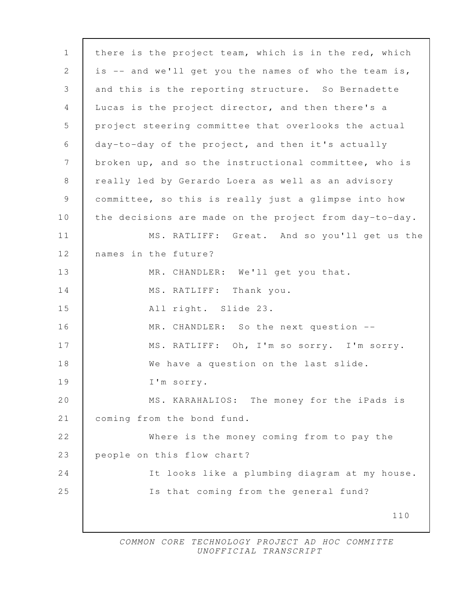| $\mathbf{1}$  | there is the project team, which is in the red, which  |
|---------------|--------------------------------------------------------|
| 2             | is -- and we'll get you the names of who the team is,  |
| 3             | and this is the reporting structure. So Bernadette     |
| 4             | Lucas is the project director, and then there's a      |
| 5             | project steering committee that overlooks the actual   |
| 6             | day-to-day of the project, and then it's actually      |
| 7             | broken up, and so the instructional committee, who is  |
| 8             | really led by Gerardo Loera as well as an advisory     |
| $\mathcal{G}$ | committee, so this is really just a glimpse into how   |
| 10            | the decisions are made on the project from day-to-day. |
| 11            | MS. RATLIFF: Great. And so you'll get us the           |
| 12            | names in the future?                                   |
| 13            | MR. CHANDLER: We'll get you that.                      |
| 14            | MS. RATLIFF: Thank you.                                |
| 15            | All right. Slide 23.                                   |
| 16            | MR. CHANDLER: So the next question --                  |
| 17            | MS. RATLIFF: Oh, I'm so sorry. I'm sorry.              |
| 18            | We have a question on the last slide.                  |
| 19            | I'm sorry.                                             |
| 20            | MS. KARAHALIOS: The money for the iPads is             |
| 21            | coming from the bond fund.                             |
| 22            | Where is the money coming from to pay the              |
| 23            | people on this flow chart?                             |
| 24            | It looks like a plumbing diagram at my house.          |
| 25            | Is that coming from the general fund?                  |
|               | 110                                                    |
|               |                                                        |

 $\Gamma$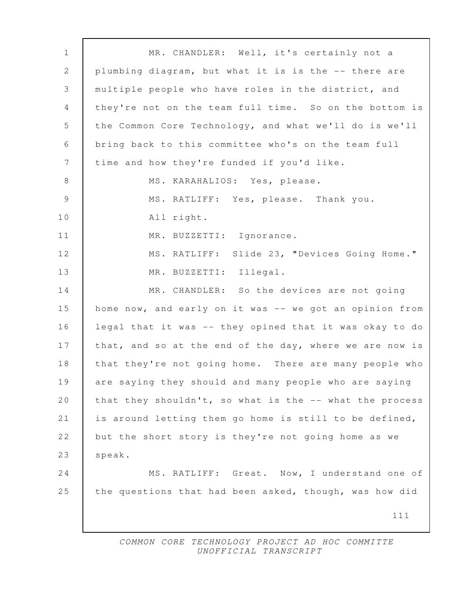111 1 MR. CHANDLER: Well, it's certainly not a 2 plumbing diagram, but what it is is the -- there are 3 multiple people who have roles in the district, and 4 | they're not on the team full time. So on the bottom is 5 | the Common Core Technology, and what we'll do is we'll 6 bring back to this committee who's on the team full 7 time and how they're funded if you'd like. 8 | MS. KARAHALIOS: Yes, please. 9 MS. RATLIFF: Yes, please. Thank you. 10 All right. 11 | MR. BUZZETTI: Ignorance. 12 | MS. RATLIFF: Slide 23, "Devices Going Home." 13 | MR. BUZZETTI: Illegal. 14 MR. CHANDLER: So the devices are not going 15 home now, and early on it was -- we got an opinion from 16 legal that it was -- they opined that it was okay to do 17 | that, and so at the end of the day, where we are now is 18 | that they're not going home. There are many people who 19 are saying they should and many people who are saying 20 | that they shouldn't, so what is the -- what the process 21 is around letting them go home is still to be defined, 22 but the short story is they're not going home as we 23 | speak. 24 MS. RATLIFF: Great. Now, I understand one of 25 the questions that had been asked, though, was how did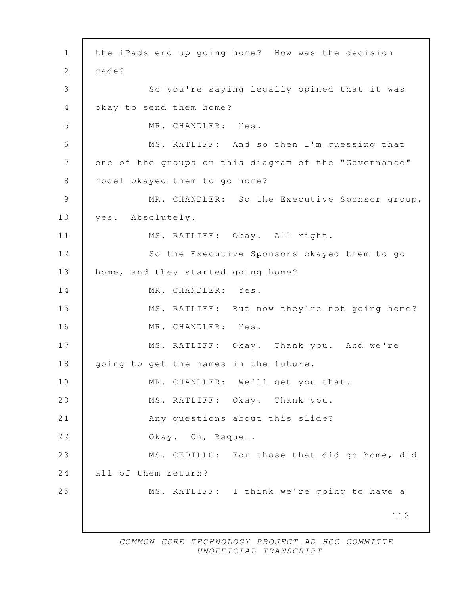112 1 the iPads end up going home? How was the decision 2 | made? 3 So you're saying legally opined that it was 4 okay to send them home? 5 MR. CHANDLER: Yes. 6 MS. RATLIFF: And so then I'm guessing that 7 one of the groups on this diagram of the "Governance" 8 model okayed them to go home? 9 MR. CHANDLER: So the Executive Sponsor group, 10 yes. Absolutely. 11 | MS. RATLIFF: Okay. All right. 12 So the Executive Sponsors okayed them to go 13 home, and they started going home? 14 MR. CHANDLER: Yes. 15 MS. RATLIFF: But now they're not going home? 16 | MR. CHANDLER: Yes. 17 MS. RATLIFF: Okay. Thank you. And we're 18 | going to get the names in the future. 19 MR. CHANDLER: We'll get you that. 20 MS. RATLIFF: Okay. Thank you. 21 Any questions about this slide? 22 Okay. Oh, Raquel. 23 MS. CEDILLO: For those that did go home, did 24 all of them return? 25 MS. RATLIFF: I think we're going to have a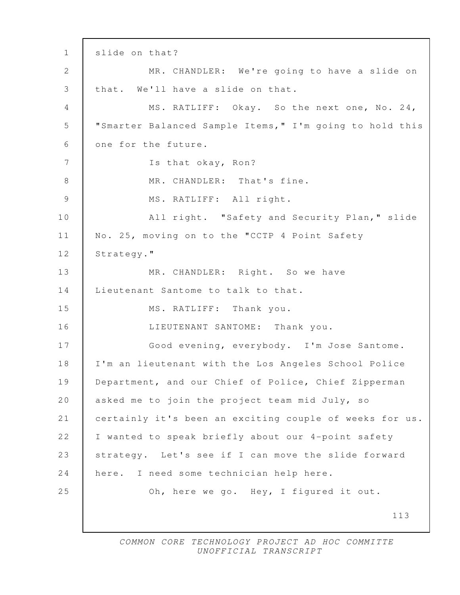113 1 slide on that? 2 | MR. CHANDLER: We're going to have a slide on 3 that. We'll have a slide on that. 4 MS. RATLIFF: Okay. So the next one, No. 24, 5 "Smarter Balanced Sample Items," I'm going to hold this 6 one for the future. 7 Is that okay, Ron? 8 MR. CHANDLER: That's fine. 9 | MS. RATLIFF: All right. 10 | All right. "Safety and Security Plan," slide 11 | No. 25, moving on to the "CCTP 4 Point Safety 12 | Strategy." 13 MR. CHANDLER: Right. So we have 14 Lieutenant Santome to talk to that. 15 MS. RATLIFF: Thank you. 16 LIEUTENANT SANTOME: Thank you. 17 Good evening, everybody. I'm Jose Santome. 18 I'm an lieutenant with the Los Angeles School Police 19 Department, and our Chief of Police, Chief Zipperman 20 asked me to join the project team mid July, so 21 certainly it's been an exciting couple of weeks for us. 22 I wanted to speak briefly about our 4-point safety 23 strategy. Let's see if I can move the slide forward 24 here. I need some technician help here. 25 Oh, here we go. Hey, I figured it out.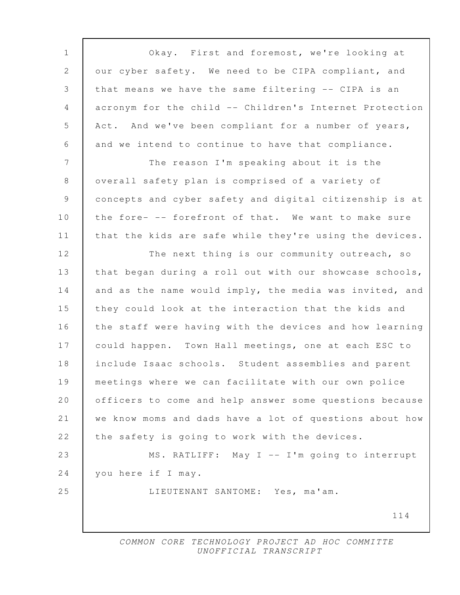114 1 Okay. First and foremost, we're looking at 2 our cyber safety. We need to be CIPA compliant, and 3 that means we have the same filtering -- CIPA is an 4 acronym for the child -- Children's Internet Protection 5 | Act. And we've been compliant for a number of years, 6 and we intend to continue to have that compliance. 7 The reason I'm speaking about it is the 8 overall safety plan is comprised of a variety of 9 concepts and cyber safety and digital citizenship is at 10 the fore- -- forefront of that. We want to make sure 11 that the kids are safe while they're using the devices. 12 The next thing is our community outreach, so 13 | that began during a roll out with our showcase schools, 14 and as the name would imply, the media was invited, and 15 they could look at the interaction that the kids and 16 the staff were having with the devices and how learning 17 could happen. Town Hall meetings, one at each ESC to 18 include Isaac schools. Student assemblies and parent 19 meetings where we can facilitate with our own police 20 officers to come and help answer some questions because 21 we know moms and dads have a lot of questions about how 22 the safety is going to work with the devices. 23 MS. RATLIFF: May I -- I'm going to interrupt 24 you here if I may. 25 LIEUTENANT SANTOME: Yes, ma'am.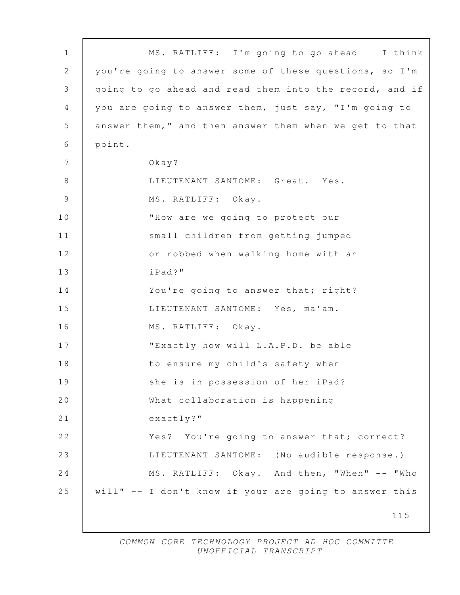| $\mathbf{1}$   | MS. RATLIFF: I'm going to go ahead -- I think           |
|----------------|---------------------------------------------------------|
| $\mathbf{2}$   | you're going to answer some of these questions, so I'm  |
| 3              | going to go ahead and read them into the record, and if |
| 4              | you are going to answer them, just say, "I'm going to   |
| 5              | answer them," and then answer them when we get to that  |
| 6              | point.                                                  |
| 7              | $0$ kay?                                                |
| 8              | LIEUTENANT SANTOME: Great. Yes.                         |
| $\overline{9}$ | MS. RATLIFF: Okay.                                      |
| 10             | "How are we going to protect our                        |
| 11             | small children from getting jumped                      |
| 12             | or robbed when walking home with an                     |
| 13             | iPad?"                                                  |
| 14             | You're going to answer that; right?                     |
| 15             | LIEUTENANT SANTOME: Yes, ma'am.                         |
| 16             | MS. RATLIFF: Okay.                                      |
| 17             | "Exactly how will L.A.P.D. be able                      |
| 18             | to ensure my child's safety when                        |
| 19             | she is in possession of her iPad?                       |
| 20             | What collaboration is happening                         |
| 21             | $exactly?$ "                                            |
| 22             | Yes? You're going to answer that; correct?              |
| 23             | LIEUTENANT SANTOME: (No audible response.)              |
| 24             | MS. RATLIFF: Okay. And then, "When" -- "Who             |
| 25             | will" -- I don't know if your are going to answer this  |
|                | 115                                                     |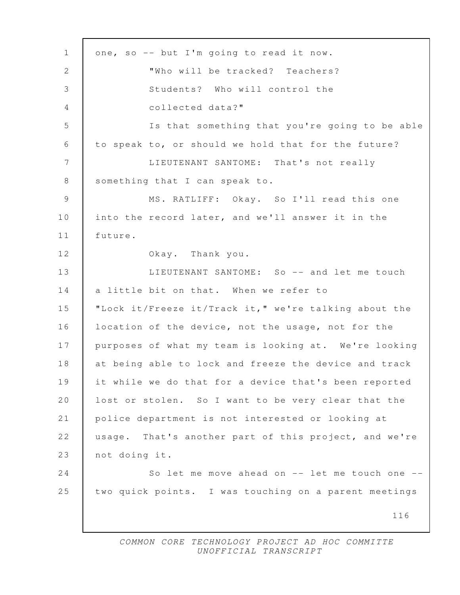116 1 one, so -- but I'm going to read it now. 2 Who will be tracked? Teachers? 3 Students? Who will control the 4 collected data?" 5 Is that something that you're going to be able 6 to speak to, or should we hold that for the future? 7 LIEUTENANT SANTOME: That's not really 8 Something that I can speak to. 9 MS. RATLIFF: Okay. So I'll read this one 10 into the record later, and we'll answer it in the 11 future. 12 **Okay.** Thank you. 13 LIEUTENANT SANTOME: So -- and let me touch 14 a little bit on that. When we refer to 15 "Lock it/Freeze it/Track it," we're talking about the 16 | location of the device, not the usage, not for the 17 purposes of what my team is looking at. We're looking 18 at being able to lock and freeze the device and track 19 it while we do that for a device that's been reported 20 | lost or stolen. So I want to be very clear that the 21 police department is not interested or looking at 22 usage. That's another part of this project, and we're 23 not doing it. 24 So let me move ahead on -- let me touch one --25 two quick points. I was touching on a parent meetings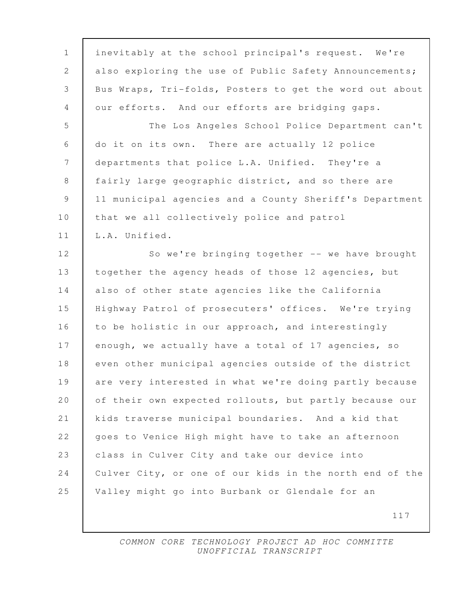| $\mathbf 1$     | inevitably at the school principal's request. We're     |
|-----------------|---------------------------------------------------------|
| 2               | also exploring the use of Public Safety Announcements;  |
| $\mathfrak{Z}$  | Bus Wraps, Tri-folds, Posters to get the word out about |
| $\overline{4}$  | our efforts. And our efforts are bridging gaps.         |
| 5               | The Los Angeles School Police Department can't          |
| 6               | do it on its own. There are actually 12 police          |
| $7\phantom{.0}$ | departments that police L.A. Unified. They're a         |
| $8\,$           | fairly large geographic district, and so there are      |
| $\overline{9}$  | 11 municipal agencies and a County Sheriff's Department |
| 10              | that we all collectively police and patrol              |
| 11              | L.A. Unified.                                           |
| 12              | So we're bringing together -- we have brought           |
| 13              | together the agency heads of those 12 agencies, but     |
| 14              | also of other state agencies like the California        |
| 15              | Highway Patrol of prosecuters' offices. We're trying    |
| 16              | to be holistic in our approach, and interestingly       |
| 17              | enough, we actually have a total of 17 agencies, so     |
| 18              | even other municipal agencies outside of the district   |
| 19              | are very interested in what we're doing partly because  |
| 20              | of their own expected rollouts, but partly because our  |
| 21              | kids traverse municipal boundaries. And a kid that      |
| 22              | goes to Venice High might have to take an afternoon     |
| 23              | class in Culver City and take our device into           |
| 24              | Culver City, or one of our kids in the north end of the |
| 25              | Valley might go into Burbank or Glendale for an         |
|                 | 117                                                     |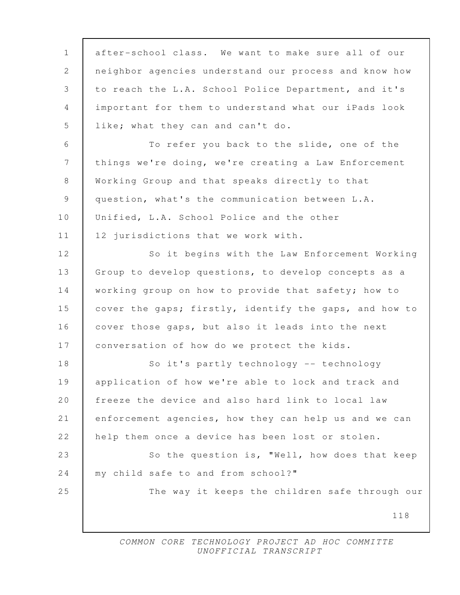| $\mathbf{1}$ | after-school class. We want to make sure all of our    |
|--------------|--------------------------------------------------------|
| 2            | neighbor agencies understand our process and know how  |
| 3            | to reach the L.A. School Police Department, and it's   |
| 4            | important for them to understand what our iPads look   |
| 5            | like; what they can and can't do.                      |
| 6            | To refer you back to the slide, one of the             |
| 7            | things we're doing, we're creating a Law Enforcement   |
| $8\,$        | Working Group and that speaks directly to that         |
| 9            | question, what's the communication between L.A.        |
| 10           | Unified, L.A. School Police and the other              |
| 11           | 12 jurisdictions that we work with.                    |
| 12           | So it begins with the Law Enforcement Working          |
| 13           | Group to develop questions, to develop concepts as a   |
| 14           | working group on how to provide that safety; how to    |
| 15           | cover the gaps; firstly, identify the gaps, and how to |
| 16           | cover those gaps, but also it leads into the next      |
| 17           | conversation of how do we protect the kids.            |
| 18           | So it's partly technology -- technology                |
| 19           | application of how we're able to lock and track and    |
| 20           | freeze the device and also hard link to local law      |
| 21           | enforcement agencies, how they can help us and we can  |
| 22           | help them once a device has been lost or stolen.       |
| 23           | So the question is, "Well, how does that keep          |
| 24           | my child safe to and from school?"                     |
| 25           | The way it keeps the children safe through our         |
|              | 118                                                    |
|              |                                                        |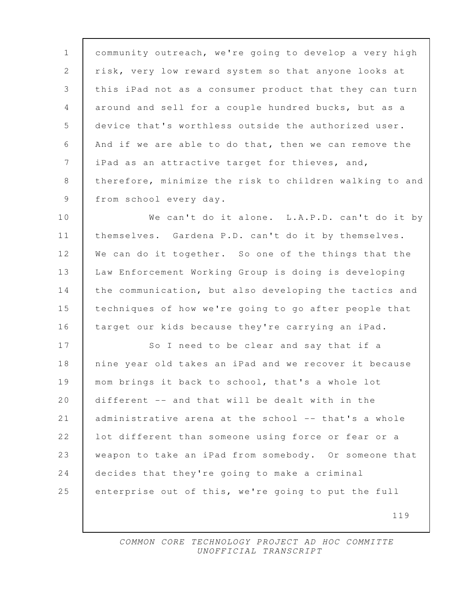1 community outreach, we're going to develop a very high 2 risk, very low reward system so that anyone looks at 3 this iPad not as a consumer product that they can turn 4 around and sell for a couple hundred bucks, but as a 5 device that's worthless outside the authorized user. 6 And if we are able to do that, then we can remove the 7 | iPad as an attractive target for thieves, and, 8 therefore, minimize the risk to children walking to and 9 from school every day.

10 We can't do it alone. L.A.P.D. can't do it by 11 themselves. Gardena P.D. can't do it by themselves. 12 We can do it together. So one of the things that the 13 Law Enforcement Working Group is doing is developing 14 the communication, but also developing the tactics and 15 techniques of how we're going to go after people that 16 target our kids because they're carrying an iPad.

17 So I need to be clear and say that if a 18 nine year old takes an iPad and we recover it because 19 mom brings it back to school, that's a whole lot 20 different -- and that will be dealt with in the 21 administrative arena at the school -- that's a whole 22 | lot different than someone using force or fear or a 23 weapon to take an iPad from somebody. Or someone that 24 decides that they're going to make a criminal 25 enterprise out of this, we're going to put the full

119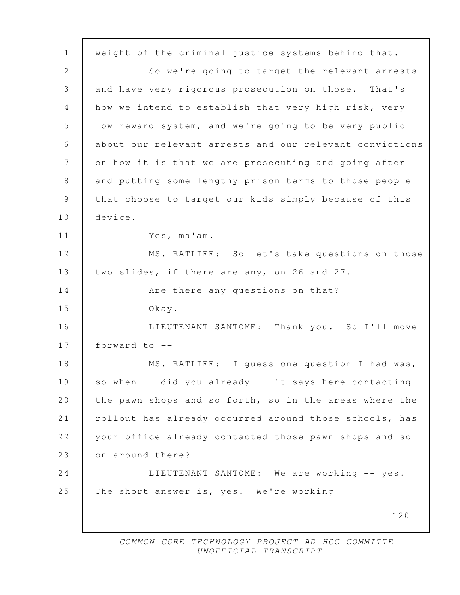120 1 weight of the criminal justice systems behind that. 2 So we're going to target the relevant arrests 3 and have very rigorous prosecution on those. That's 4 | how we intend to establish that very high risk, very 5 low reward system, and we're going to be very public 6 about our relevant arrests and our relevant convictions 7 | on how it is that we are prosecuting and going after 8 and putting some lengthy prison terms to those people 9 that choose to target our kids simply because of this 10 device. 11 Yes, ma'am. 12 MS. RATLIFF: So let's take questions on those 13 two slides, if there are any, on 26 and 27. 14 **Are there any questions on that?** 15 Okay. 16 LIEUTENANT SANTOME: Thank you. So I'll move 17 forward to -- 18 | MS. RATLIFF: I guess one question I had was, 19 so when -- did you already -- it says here contacting 20 the pawn shops and so forth, so in the areas where the 21 rollout has already occurred around those schools, has 22 your office already contacted those pawn shops and so 23 on around there? 24 | LIEUTENANT SANTOME: We are working -- yes. 25 The short answer is, yes. We're working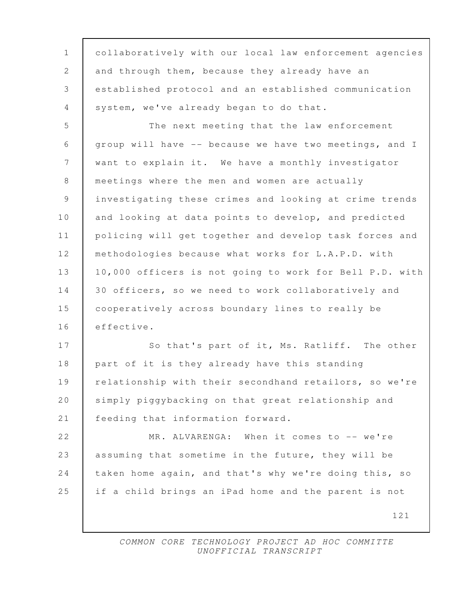121 1 collaboratively with our local law enforcement agencies 2 and through them, because they already have an 3 established protocol and an established communication 4 system, we've already began to do that. 5 The next meeting that the law enforcement 6 group will have -- because we have two meetings, and I 7 want to explain it. We have a monthly investigator 8 meetings where the men and women are actually 9 investigating these crimes and looking at crime trends 10 and looking at data points to develop, and predicted 11 policing will get together and develop task forces and 12 methodologies because what works for L.A.P.D. with 13 10,000 officers is not going to work for Bell P.D. with 14 30 officers, so we need to work collaboratively and 15 cooperatively across boundary lines to really be 16 effective. 17 So that's part of it, Ms. Ratliff. The other 18 part of it is they already have this standing 19 relationship with their secondhand retailors, so we're 20 simply piggybacking on that great relationship and 21 | feeding that information forward. 22 MR. ALVARENGA: When it comes to -- we're 23 assuming that sometime in the future, they will be 24 taken home again, and that's why we're doing this, so 25 if a child brings an iPad home and the parent is not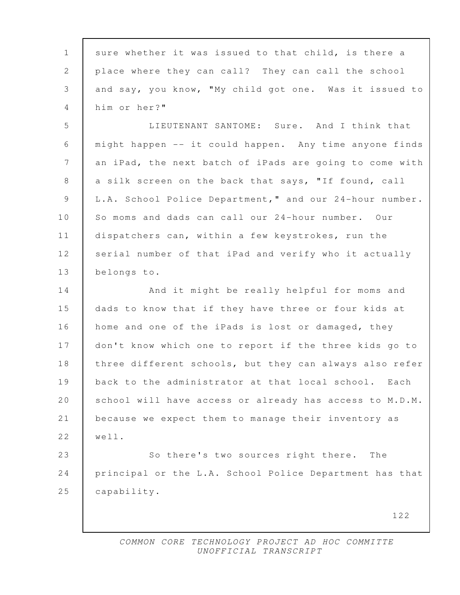1 sure whether it was issued to that child, is there a 2 place where they can call? They can call the school 3 and say, you know, "My child got one. Was it issued to 4 him or her?" 5 LIEUTENANT SANTOME: Sure. And I think that 6 might happen -- it could happen. Any time anyone finds 7 an iPad, the next batch of iPads are going to come with 8 a silk screen on the back that says, "If found, call 9 L.A. School Police Department," and our 24-hour number. 10 So moms and dads can call our 24-hour number. Our 11 dispatchers can, within a few keystrokes, run the 12 serial number of that iPad and verify who it actually 13 belongs to. 14 And it might be really helpful for moms and 15 dads to know that if they have three or four kids at 16 home and one of the iPads is lost or damaged, they 17 don't know which one to report if the three kids go to 18 | three different schools, but they can always also refer 19 back to the administrator at that local school. Each 20 school will have access or already has access to M.D.M. 21 because we expect them to manage their inventory as 22 well. 23 So there's two sources right there. The 24 principal or the L.A. School Police Department has that 25 capability.

122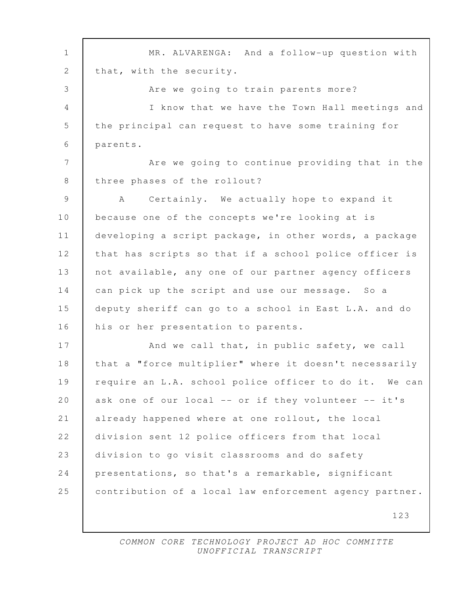123 1 MR. ALVARENGA: And a follow-up question with 2 | that, with the security. 3 Are we going to train parents more? 4 I know that we have the Town Hall meetings and 5 the principal can request to have some training for 6 parents. 7 | Are we going to continue providing that in the 8 three phases of the rollout? 9 A Certainly. We actually hope to expand it 10 because one of the concepts we're looking at is 11 developing a script package, in other words, a package 12 that has scripts so that if a school police officer is 13 | not available, any one of our partner agency officers 14 can pick up the script and use our message. So a 15 deputy sheriff can go to a school in East L.A. and do 16 his or her presentation to parents. 17 And we call that, in public safety, we call 18 | that a "force multiplier" where it doesn't necessarily 19 | require an L.A. school police officer to do it. We can 20 ask one of our local -- or if they volunteer -- it's 21 already happened where at one rollout, the local 22 division sent 12 police officers from that local 23 division to go visit classrooms and do safety 24 presentations, so that's a remarkable, significant 25 | contribution of a local law enforcement agency partner.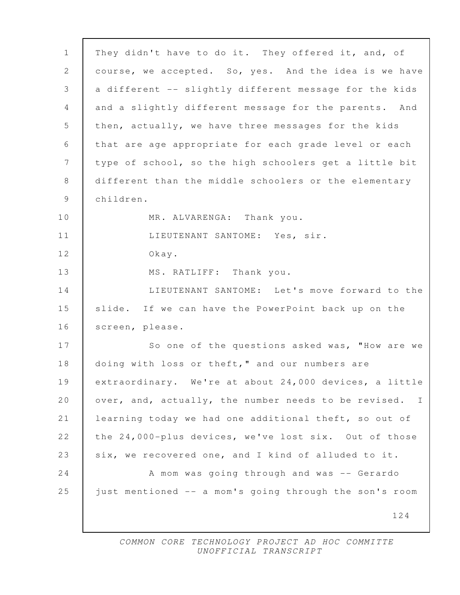| $\mathbf{1}$    | They didn't have to do it. They offered it, and, of                  |
|-----------------|----------------------------------------------------------------------|
| 2               | course, we accepted. So, yes. And the idea is we have                |
| 3               | a different -- slightly different message for the kids               |
| 4               | and a slightly different message for the parents. And                |
| 5               | then, actually, we have three messages for the kids                  |
| 6               | that are age appropriate for each grade level or each                |
| $7\phantom{.0}$ | type of school, so the high schoolers get a little bit               |
| 8               | different than the middle schoolers or the elementary                |
| 9               | children.                                                            |
| 10              | MR. ALVARENGA: Thank you.                                            |
| 11              | LIEUTENANT SANTOME: Yes, sir.                                        |
| 12              | Okay.                                                                |
| 13              | MS. RATLIFF: Thank you.                                              |
| 14              | LIEUTENANT SANTOME: Let's move forward to the                        |
| 15              | slide. If we can have the PowerPoint back up on the                  |
| 16              | screen, please.                                                      |
| 17              | So one of the questions asked was, "How are we                       |
| 18              | doing with loss or theft," and our numbers are                       |
| 19              | extraordinary. We're at about 24,000 devices, a little               |
| 20              | over, and, actually, the number needs to be revised.<br>$\mathbb{I}$ |
| 21              | learning today we had one additional theft, so out of                |
| 22              | the 24,000-plus devices, we've lost six. Out of those                |
| 23              | six, we recovered one, and I kind of alluded to it.                  |
| 24              | A mom was going through and was -- Gerardo                           |
| 25              | just mentioned -- a mom's going through the son's room               |
|                 | 124                                                                  |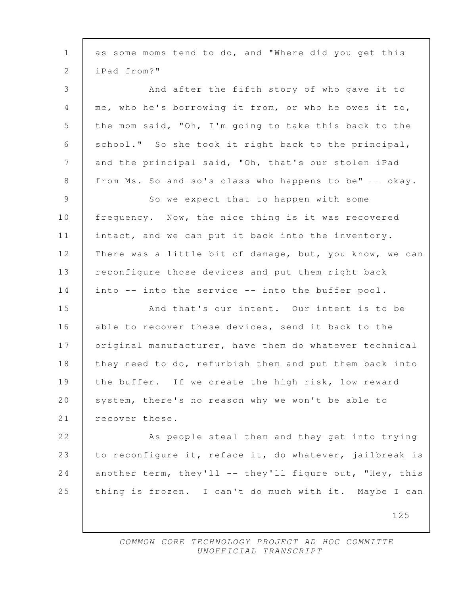| $\mathbf{1}$ | as some moms tend to do, and "Where did you get this    |
|--------------|---------------------------------------------------------|
| 2            | iPad from?"                                             |
| 3            | And after the fifth story of who gave it to             |
| 4            | me, who he's borrowing it from, or who he owes it to,   |
| 5            | the mom said, "Oh, I'm going to take this back to the   |
| 6            | school." So she took it right back to the principal,    |
| 7            | and the principal said, "Oh, that's our stolen iPad     |
| 8            | from Ms. So-and-so's class who happens to be" -- okay.  |
| 9            | So we expect that to happen with some                   |
| 10           | frequency. Now, the nice thing is it was recovered      |
| 11           | intact, and we can put it back into the inventory.      |
| 12           | There was a little bit of damage, but, you know, we can |
| 13           | reconfigure those devices and put them right back       |
| 14           | into -- into the service -- into the buffer pool.       |
| 15           | And that's our intent. Our intent is to be              |
| 16           | able to recover these devices, send it back to the      |
| 17           | original manufacturer, have them do whatever technical  |
| 18           | they need to do, refurbish them and put them back into  |
| 19           | the buffer. If we create the high risk, low reward      |
| 20           | system, there's no reason why we won't be able to       |
| 21           | recover these.                                          |
| 22           | As people steal them and they get into trying           |
| 23           | to reconfigure it, reface it, do whatever, jailbreak is |
| 24           | another term, they'll -- they'll figure out, "Hey, this |
| 25           | thing is frozen. I can't do much with it. Maybe I can   |
|              | 125                                                     |
|              |                                                         |

 $\mathsf{l}$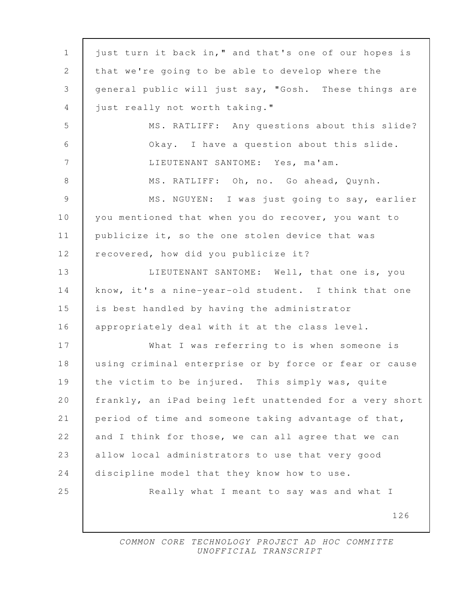| $\mathbf 1$     | just turn it back in," and that's one of our hopes is   |
|-----------------|---------------------------------------------------------|
| 2               | that we're going to be able to develop where the        |
| 3               | general public will just say, "Gosh. These things are   |
| 4               | just really not worth taking."                          |
| 5               | MS. RATLIFF: Any questions about this slide?            |
| 6               | Okay. I have a question about this slide.               |
| $7\phantom{.0}$ | LIEUTENANT SANTOME: Yes, ma'am.                         |
| $8\,$           | MS. RATLIFF: Oh, no. Go ahead, Quynh.                   |
| $\overline{9}$  | MS. NGUYEN: I was just going to say, earlier            |
| 10              | you mentioned that when you do recover, you want to     |
| 11              | publicize it, so the one stolen device that was         |
| 12              | recovered, how did you publicize it?                    |
| 13              | LIEUTENANT SANTOME: Well, that one is, you              |
| 14              | know, it's a nine-year-old student. I think that one    |
| 15              | is best handled by having the administrator             |
| 16              | appropriately deal with it at the class level.          |
| 17              | What I was referring to is when someone is              |
| 18              | using criminal enterprise or by force or fear or cause  |
| 19              | the victim to be injured. This simply was, quite        |
| 20              | frankly, an iPad being left unattended for a very short |
| 21              | period of time and someone taking advantage of that,    |
| 22              | and I think for those, we can all agree that we can     |
| 23              | allow local administrators to use that very good        |
| 24              | discipline model that they know how to use.             |
| 25              | Really what I meant to say was and what I               |
|                 | 126                                                     |
|                 |                                                         |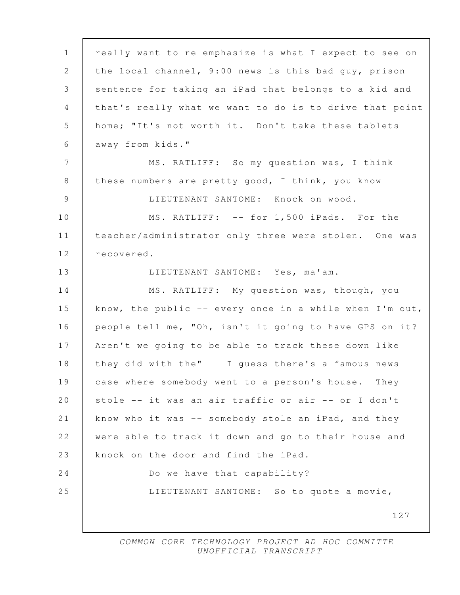127 1 really want to re-emphasize is what I expect to see on 2 the local channel, 9:00 news is this bad guy, prison 3 sentence for taking an iPad that belongs to a kid and 4 that's really what we want to do is to drive that point 5 home; "It's not worth it. Don't take these tablets 6 away from kids." 7 MS. RATLIFF: So my question was, I think 8 | these numbers are pretty good, I think, you know -- 9 LIEUTENANT SANTOME: Knock on wood. 10 MS. RATLIFF: -- for 1,500 iPads. For the 11 | teacher/administrator only three were stolen. One was 12 recovered. 13 LIEUTENANT SANTOME: Yes, ma'am. 14 MS. RATLIFF: My question was, though, you 15 know, the public -- every once in a while when I'm out, 16 people tell me, "Oh, isn't it going to have GPS on it? 17 Aren't we going to be able to track these down like 18 | they did with the" -- I guess there's a famous news 19 case where somebody went to a person's house. They 20 | stole -- it was an air traffic or air -- or I don't 21 know who it was -- somebody stole an iPad, and they 22 were able to track it down and go to their house and 23 knock on the door and find the iPad. 24 Do we have that capability? 25 LIEUTENANT SANTOME: So to quote a movie,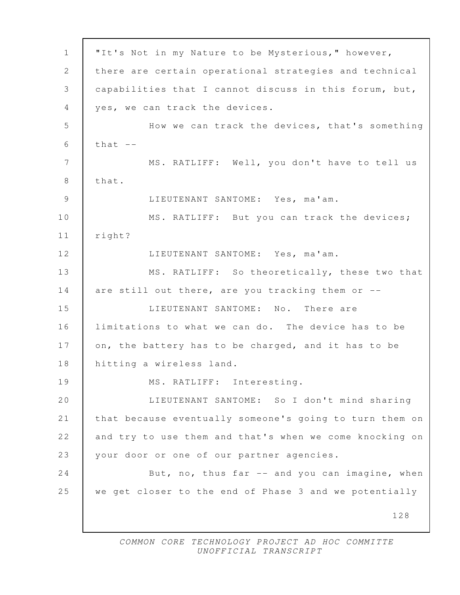128 1 "It's Not in my Nature to be Mysterious," however, 2 there are certain operational strategies and technical 3 capabilities that I cannot discuss in this forum, but, 4 yes, we can track the devices. 5 How we can track the devices, that's something  $6$  that  $-$  7 MS. RATLIFF: Well, you don't have to tell us 8 | that. 9 LIEUTENANT SANTOME: Yes, ma'am. 10 | MS. RATLIFF: But you can track the devices; 11 right? 12 LIEUTENANT SANTOME: Yes, ma'am. 13 MS. RATLIFF: So theoretically, these two that 14 are still out there, are you tracking them or --15 LIEUTENANT SANTOME: No. There are 16 limitations to what we can do. The device has to be 17 on, the battery has to be charged, and it has to be 18 hitting a wireless land. 19 MS. RATLIFF: Interesting. 20 LIEUTENANT SANTOME: So I don't mind sharing 21 that because eventually someone's going to turn them on 22 and try to use them and that's when we come knocking on 23 | your door or one of our partner agencies. 24 But, no, thus far -- and you can imagine, when 25 we get closer to the end of Phase 3 and we potentially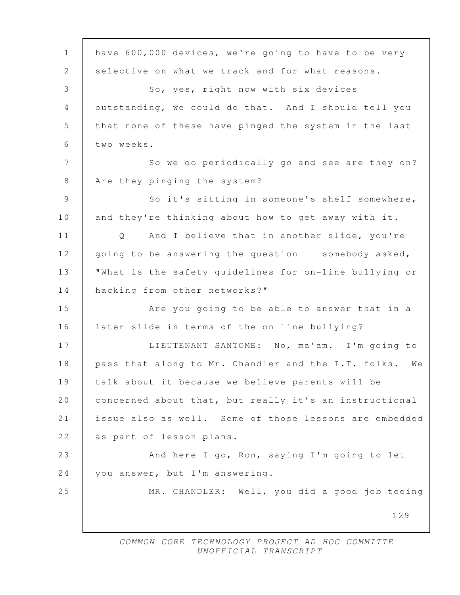129 1 have 600,000 devices, we're going to have to be very 2 selective on what we track and for what reasons. 3 So, yes, right now with six devices 4 outstanding, we could do that. And I should tell you 5 that none of these have pinged the system in the last 6 two weeks. 7 So we do periodically go and see are they on? 8 Are they pinging the system? 9 So it's sitting in someone's shelf somewhere, 10 and they're thinking about how to get away with it. 11 Q And I believe that in another slide, you're 12 going to be answering the question -- somebody asked, 13 "What is the safety guidelines for on-line bullying or 14 hacking from other networks?" 15 **Are you going to be able to answer that in a** 16 later slide in terms of the on-line bullying? 17 LIEUTENANT SANTOME: No, ma'am. I'm going to 18 | pass that along to Mr. Chandler and the I.T. folks. We 19 talk about it because we believe parents will be 20 concerned about that, but really it's an instructional 21 issue also as well. Some of those lessons are embedded 22 as part of lesson plans. 23 And here I go, Ron, saying I'm going to let 24 you answer, but I'm answering. 25 MR. CHANDLER: Well, you did a good job teeing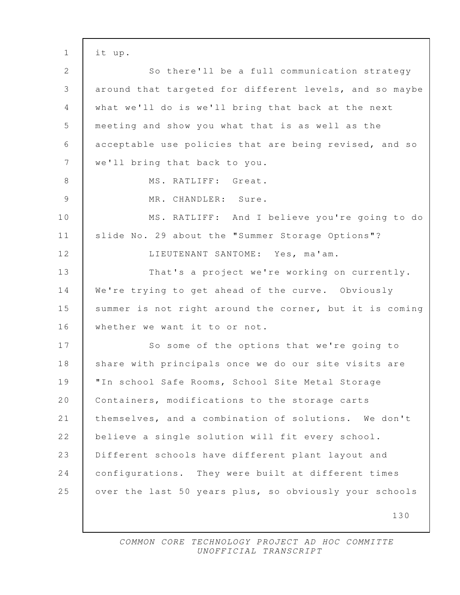130 1 it up. 2 So there'll be a full communication strategy 3 around that targeted for different levels, and so maybe 4 what we'll do is we'll bring that back at the next 5 meeting and show you what that is as well as the 6 acceptable use policies that are being revised, and so 7 | we'll bring that back to you. 8 MS. RATLIFF: Great. 9 MR. CHANDLER: Sure. 10 MS. RATLIFF: And I believe you're going to do 11 | slide No. 29 about the "Summer Storage Options"? 12 | LIEUTENANT SANTOME: Yes, ma'am. 13 That's a project we're working on currently. 14 We're trying to get ahead of the curve. Obviously 15 summer is not right around the corner, but it is coming 16 | whether we want it to or not. 17 So some of the options that we're going to 18 | share with principals once we do our site visits are 19 "In school Safe Rooms, School Site Metal Storage 20 | Containers, modifications to the storage carts 21 themselves, and a combination of solutions. We don't 22 believe a single solution will fit every school. 23 Different schools have different plant layout and 24 configurations. They were built at different times 25 | over the last 50 years plus, so obviously your schools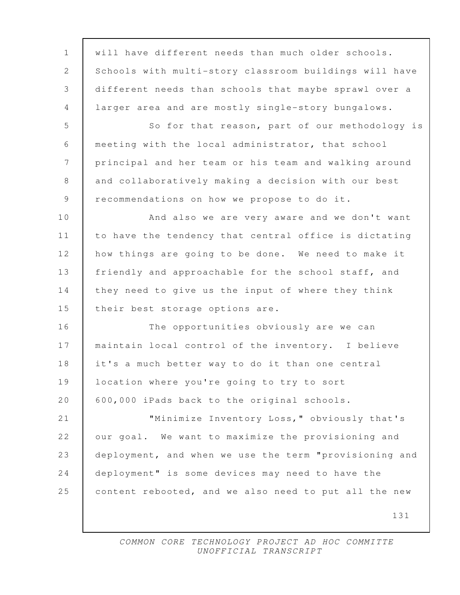| $\mathbf{1}$ | will have different needs than much older schools.     |
|--------------|--------------------------------------------------------|
| 2            | Schools with multi-story classroom buildings will have |
| 3            | different needs than schools that maybe sprawl over a  |
| 4            | larger area and are mostly single-story bungalows.     |
| 5            | So for that reason, part of our methodology is         |
| 6            | meeting with the local administrator, that school      |
| 7            | principal and her team or his team and walking around  |
| $8\,$        | and collaboratively making a decision with our best    |
| $\mathsf 9$  | recommendations on how we propose to do it.            |
| 10           | And also we are very aware and we don't want           |
| 11           | to have the tendency that central office is dictating  |
| 12           | how things are going to be done. We need to make it    |
| 13           | friendly and approachable for the school staff, and    |
| 14           | they need to give us the input of where they think     |
| 15           | their best storage options are.                        |
| 16           | The opportunities obviously are we can                 |
| 17           | maintain local control of the inventory. I believe     |
| 18           | it's a much better way to do it than one central       |
| 19           | location where you're going to try to sort             |
| 20           | 600,000 iPads back to the original schools.            |
| 21           | "Minimize Inventory Loss," obviously that's            |
| 22           | our goal. We want to maximize the provisioning and     |
| 23           | deployment, and when we use the term "provisioning and |
| 24           | deployment" is some devices may need to have the       |
| 25           | content rebooted, and we also need to put all the new  |
|              | 131                                                    |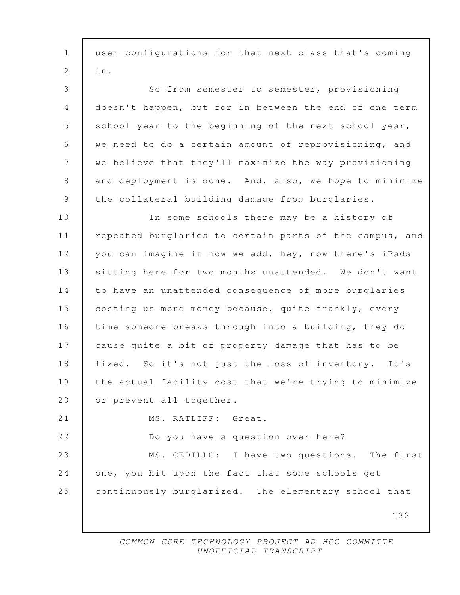132 1 user configurations for that next class that's coming 2 in. 3 So from semester to semester, provisioning 4 doesn't happen, but for in between the end of one term 5 school year to the beginning of the next school year, 6 we need to do a certain amount of reprovisioning, and 7 we believe that they'll maximize the way provisioning 8 and deployment is done. And, also, we hope to minimize 9 the collateral building damage from burglaries. 10 In some schools there may be a history of 11 | repeated burglaries to certain parts of the campus, and 12 you can imagine if now we add, hey, now there's iPads 13 sitting here for two months unattended. We don't want 14 to have an unattended consequence of more burglaries 15 costing us more money because, quite frankly, every 16 time someone breaks through into a building, they do 17 cause quite a bit of property damage that has to be 18 | fixed. So it's not just the loss of inventory. It's 19 the actual facility cost that we're trying to minimize 20 or prevent all together. 21 | MS. RATLIFF: Great. 22 Do you have a question over here? 23 MS. CEDILLO: I have two questions. The first 24 one, you hit upon the fact that some schools get 25 continuously burglarized. The elementary school that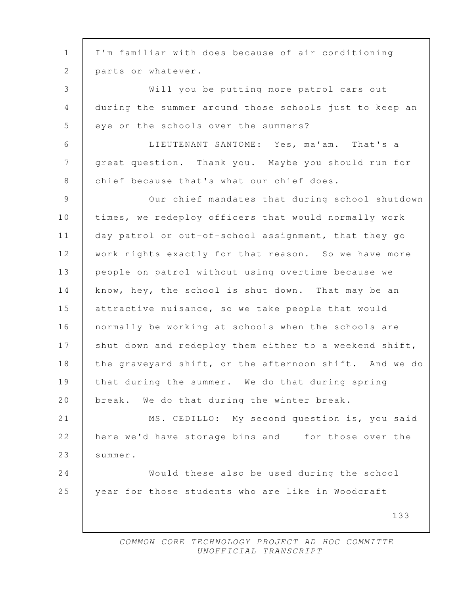133 1 I'm familiar with does because of air-conditioning 2 parts or whatever. 3 Will you be putting more patrol cars out 4 during the summer around those schools just to keep an 5 eye on the schools over the summers? 6 LIEUTENANT SANTOME: Yes, ma'am. That's a 7 great question. Thank you. Maybe you should run for 8 chief because that's what our chief does. 9 Our chief mandates that during school shutdown 10 times, we redeploy officers that would normally work 11 day patrol or out-of-school assignment, that they go 12 | work nights exactly for that reason. So we have more 13 people on patrol without using overtime because we 14 know, hey, the school is shut down. That may be an 15 attractive nuisance, so we take people that would 16 normally be working at schools when the schools are 17 shut down and redeploy them either to a weekend shift, 18 | the graveyard shift, or the afternoon shift. And we do 19 that during the summer. We do that during spring 20 break. We do that during the winter break. 21 MS. CEDILLO: My second question is, you said 22 here we'd have storage bins and -- for those over the 23 Summer. 24 Would these also be used during the school 25 year for those students who are like in Woodcraft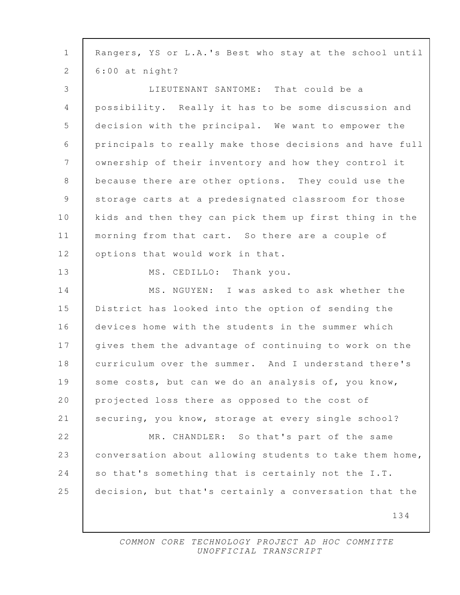| $\mathbf{1}$    | Rangers, YS or L.A.'s Best who stay at the school until |
|-----------------|---------------------------------------------------------|
| 2               | $6:00$ at night?                                        |
| 3               | LIEUTENANT SANTOME: That could be a                     |
| $\overline{4}$  | possibility. Really it has to be some discussion and    |
| 5               | decision with the principal. We want to empower the     |
| $\sqrt{6}$      | principals to really make those decisions and have full |
| $7\phantom{.0}$ | ownership of their inventory and how they control it    |
| $8\,$           | because there are other options. They could use the     |
| 9               | storage carts at a predesignated classroom for those    |
| 10              | kids and then they can pick them up first thing in the  |
| 11              | morning from that cart. So there are a couple of        |
| 12              | options that would work in that.                        |
| 13              | MS. CEDILLO: Thank you.                                 |
| 14              | MS. NGUYEN: I was asked to ask whether the              |
| 15              | District has looked into the option of sending the      |
| 16              | devices home with the students in the summer which      |
| 17              | gives them the advantage of continuing to work on the   |
| 18              | curriculum over the summer. And I understand there's    |
| 19              | some costs, but can we do an analysis of, you know,     |
| 20              | projected loss there as opposed to the cost of          |
| 21              | securing, you know, storage at every single school?     |
| 22              | MR. CHANDLER: So that's part of the same                |
| 23              | conversation about allowing students to take them home, |
| 24              | so that's something that is certainly not the I.T.      |
| 25              | decision, but that's certainly a conversation that the  |
|                 | 134                                                     |
|                 |                                                         |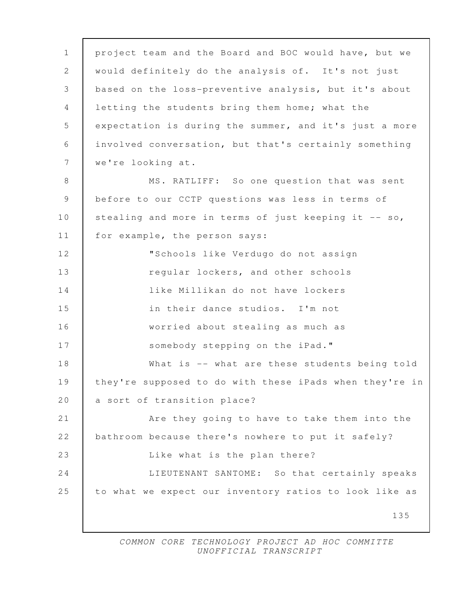135 1 project team and the Board and BOC would have, but we 2 would definitely do the analysis of. It's not just 3 based on the loss-preventive analysis, but it's about 4 letting the students bring them home; what the 5 expectation is during the summer, and it's just a more 6 involved conversation, but that's certainly something 7 we're looking at. 8 MS. RATLIFF: So one question that was sent 9 before to our CCTP questions was less in terms of 10 stealing and more in terms of just keeping it -- so, 11 | for example, the person says: 12 "Schools like Verdugo do not assign 13 **The Second Exercise Schools** regular lockers, and other schools 14 like Millikan do not have lockers 15 in their dance studios. I'm not 16 worried about stealing as much as 17 Somebody stepping on the iPad." 18 What is -- what are these students being told 19 they're supposed to do with these iPads when they're in 20 a sort of transition place? 21 **Are they going to have to take them into the** 22 bathroom because there's nowhere to put it safely? 23 | Like what is the plan there? 24 LIEUTENANT SANTOME: So that certainly speaks 25 to what we expect our inventory ratios to look like as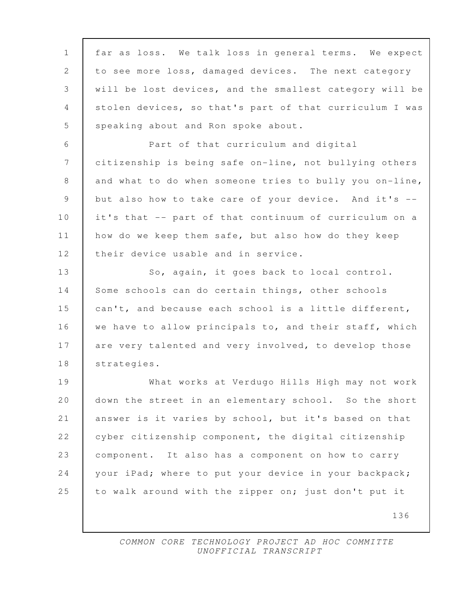136 1 far as loss. We talk loss in general terms. We expect 2 to see more loss, damaged devices. The next category 3 will be lost devices, and the smallest category will be 4 stolen devices, so that's part of that curriculum I was 5 speaking about and Ron spoke about. 6 Part of that curriculum and digital 7 citizenship is being safe on-line, not bullying others 8 and what to do when someone tries to bully you on-line, 9 but also how to take care of your device. And it's -- 10 it's that -- part of that continuum of curriculum on a 11 how do we keep them safe, but also how do they keep 12 their device usable and in service. 13 So, again, it goes back to local control. 14 Some schools can do certain things, other schools 15 can't, and because each school is a little different, 16 we have to allow principals to, and their staff, which 17 are very talented and very involved, to develop those 18 strategies. 19 What works at Verdugo Hills High may not work 20 down the street in an elementary school. So the short 21 answer is it varies by school, but it's based on that 22 cyber citizenship component, the digital citizenship 23 component. It also has a component on how to carry 24 your iPad; where to put your device in your backpack; 25 to walk around with the zipper on; just don't put it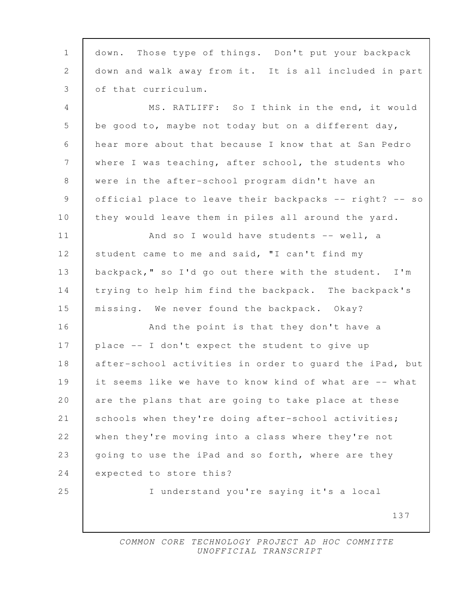| $\mathbf{1}$   | down. Those type of things. Don't put your backpack     |
|----------------|---------------------------------------------------------|
| 2              | down and walk away from it. It is all included in part  |
| 3              | of that curriculum.                                     |
| $\overline{4}$ | MS. RATLIFF: So I think in the end, it would            |
| 5              | be good to, maybe not today but on a different day,     |
| 6              | hear more about that because I know that at San Pedro   |
| 7              | where I was teaching, after school, the students who    |
| 8              | were in the after-school program didn't have an         |
| 9              | official place to leave their backpacks -- right? -- so |
| 10             | they would leave them in piles all around the yard.     |
| 11             | And so I would have students -- well, a                 |
| 12             | student came to me and said, "I can't find my           |
| 13             | backpack," so I'd go out there with the student. I'm    |
| 14             | trying to help him find the backpack. The backpack's    |
| 15             | missing. We never found the backpack. Okay?             |
| 16             | And the point is that they don't have a                 |
| 17             | place -- I don't expect the student to give up          |
| 18             | after-school activities in order to guard the iPad, but |
| 19             | it seems like we have to know kind of what are -- what  |
| 20             | are the plans that are going to take place at these     |
| 21             | schools when they're doing after-school activities;     |
| 22             | when they're moving into a class where they're not      |
| 23             | going to use the iPad and so forth, where are they      |
| 24             | expected to store this?                                 |
| 25             | I understand you're saying it's a local                 |
|                | 137                                                     |
|                |                                                         |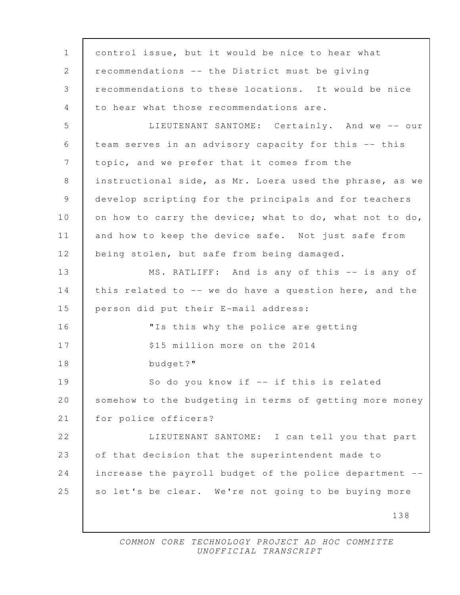138 1 control issue, but it would be nice to hear what 2 recommendations -- the District must be giving 3 recommendations to these locations. It would be nice 4 to hear what those recommendations are. 5 LIEUTENANT SANTOME: Certainly. And we -- our 6 team serves in an advisory capacity for this -- this 7 topic, and we prefer that it comes from the 8 instructional side, as Mr. Loera used the phrase, as we 9 develop scripting for the principals and for teachers 10 on how to carry the device; what to do, what not to do, 11 and how to keep the device safe. Not just safe from 12 | being stolen, but safe from being damaged. 13 MS. RATLIFF: And is any of this -- is any of 14 this related to -- we do have a question here, and the 15 person did put their E-mail address: 16 "Is this why the police are getting 17 S15 million more on the 2014 18 budget?" 19 So do you know if -- if this is related 20 somehow to the budgeting in terms of getting more money 21 | for police officers? 22 | LIEUTENANT SANTOME: I can tell you that part 23 of that decision that the superintendent made to 24 increase the payroll budget of the police department -- 25 so let's be clear. We're not going to be buying more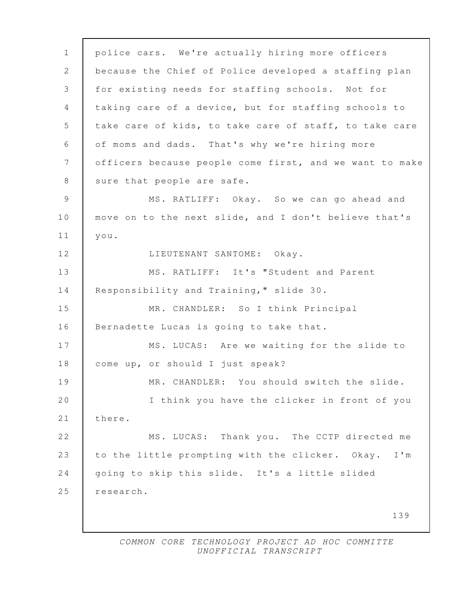139 1 police cars. We're actually hiring more officers 2 because the Chief of Police developed a staffing plan 3 for existing needs for staffing schools. Not for 4 taking care of a device, but for staffing schools to 5 take care of kids, to take care of staff, to take care 6 of moms and dads. That's why we're hiring more 7 officers because people come first, and we want to make 8 | sure that people are safe. 9 MS. RATLIFF: Okay. So we can go ahead and 10 move on to the next slide, and I don't believe that's 11 you. 12 | LIEUTENANT SANTOME: Okay. 13 MS. RATLIFF: It's "Student and Parent 14 Responsibility and Training," slide 30. 15 MR. CHANDLER: So I think Principal 16 Bernadette Lucas is going to take that. 17 MS. LUCAS: Are we waiting for the slide to 18 | come up, or should I just speak? 19 MR. CHANDLER: You should switch the slide. 20 I think you have the clicker in front of you 21 there. 22 MS. LUCAS: Thank you. The CCTP directed me 23 to the little prompting with the clicker. Okay. I'm 24 going to skip this slide. It's a little slided 25 research.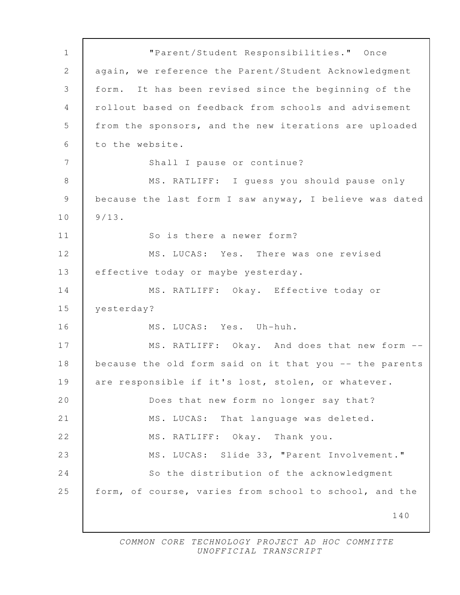140 1 "Parent/Student Responsibilities." Once 2 again, we reference the Parent/Student Acknowledgment 3 form. It has been revised since the beginning of the 4 rollout based on feedback from schools and advisement 5 from the sponsors, and the new iterations are uploaded 6 to the website. 7 Shall I pause or continue? 8 MS. RATLIFF: I quess you should pause only 9 because the last form I saw anyway, I believe was dated  $10 \mid 9/13$ . 11 | So is there a newer form? 12 MS. LUCAS: Yes. There was one revised 13 | effective today or maybe yesterday. 14 MS. RATLIFF: Okay. Effective today or 15 yesterday? 16 MS. LUCAS: Yes. Uh-huh. 17 MS. RATLIFF: Okay. And does that new form --18 because the old form said on it that you -- the parents 19 are responsible if it's lost, stolen, or whatever. 20 Does that new form no longer say that? 21 MS. LUCAS: That language was deleted. 22 MS. RATLIFF: Okay. Thank you. 23 MS. LUCAS: Slide 33, "Parent Involvement." 24 So the distribution of the acknowledgment 25 form, of course, varies from school to school, and the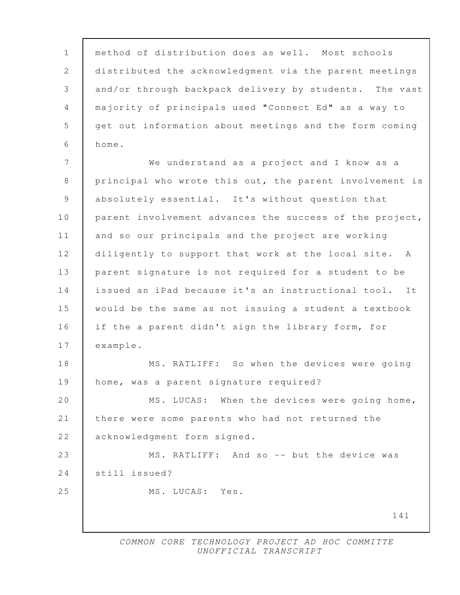141 1 method of distribution does as well. Most schools 2 distributed the acknowledgment via the parent meetings 3 and/or through backpack delivery by students. The vast 4 majority of principals used "Connect Ed" as a way to 5 get out information about meetings and the form coming 6 home. 7 We understand as a project and I know as a 8 principal who wrote this out, the parent involvement is 9 absolutely essential. It's without question that 10 parent involvement advances the success of the project, 11 and so our principals and the project are working 12 diligently to support that work at the local site. A 13 parent signature is not required for a student to be 14 issued an iPad because it's an instructional tool. It 15 would be the same as not issuing a student a textbook 16 if the a parent didn't sign the library form, for 17 example. 18 MS. RATLIFF: So when the devices were going 19 | home, was a parent signature required? 20 MS. LUCAS: When the devices were going home, 21 there were some parents who had not returned the 22 acknowledgment form signed. 23 MS. RATLIFF: And so -- but the device was 24 Still issued? 25 MS. LUCAS: Yes.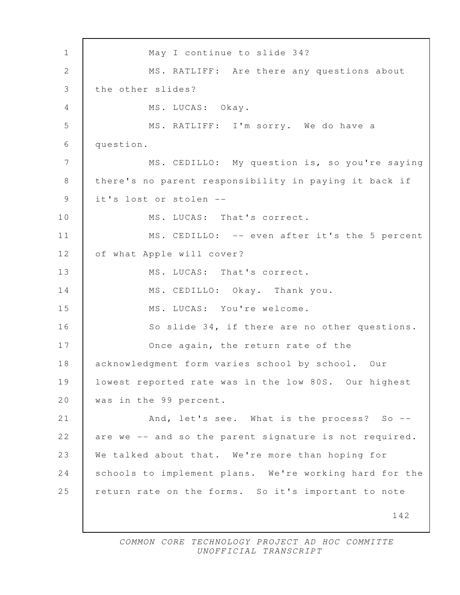142 1 May I continue to slide 34? 2 MS. RATLIFF: Are there any questions about 3 the other slides? 4 | MS. LUCAS: Okay. 5 MS. RATLIFF: I'm sorry. We do have a 6 question. 7 | MS. CEDILLO: My question is, so you're saying 8 | there's no parent responsibility in paying it back if 9 it's lost or stolen -- 10 MS. LUCAS: That's correct. 11 MS. CEDILLO: -- even after it's the 5 percent 12 of what Apple will cover? 13 MS. LUCAS: That's correct. 14 MS. CEDILLO: Okay. Thank you. 15 MS. LUCAS: You're welcome. 16 So slide 34, if there are no other questions. 17 Once again, the return rate of the 18 acknowledgment form varies school by school. Our 19 lowest reported rate was in the low 80S. Our highest 20 was in the 99 percent. 21 And, let's see. What is the process? So --22 are we -- and so the parent signature is not required. 23 We talked about that. We're more than hoping for 24 schools to implement plans. We're working hard for the 25 return rate on the forms. So it's important to note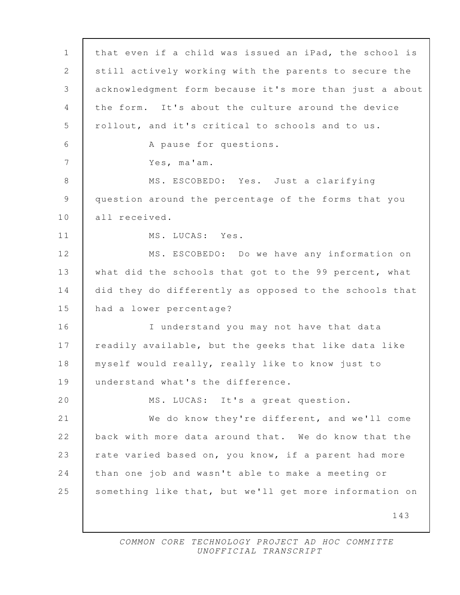| $\mathbf 1$     | that even if a child was issued an iPad, the school is  |
|-----------------|---------------------------------------------------------|
| 2               | still actively working with the parents to secure the   |
| 3               | acknowledgment form because it's more than just a about |
| 4               | the form. It's about the culture around the device      |
| 5               | rollout, and it's critical to schools and to us.        |
| 6               | A pause for questions.                                  |
| $7\phantom{.0}$ | Yes, ma'am.                                             |
| 8               | MS. ESCOBEDO: Yes. Just a clarifying                    |
| $\mathsf 9$     | question around the percentage of the forms that you    |
| 10              | all received.                                           |
| 11              | MS. LUCAS: Yes.                                         |
| 12              | MS. ESCOBEDO: Do we have any information on             |
| 13              | what did the schools that got to the 99 percent, what   |
| 14              | did they do differently as opposed to the schools that  |
| 15              | had a lower percentage?                                 |
| 16              | I understand you may not have that data                 |
| 17              | readily available, but the geeks that like data like    |
| 18              | myself would really, really like to know just to        |
| 19              | understand what's the difference.                       |
| 20              | MS. LUCAS: It's a great question.                       |
| 21              | We do know they're different, and we'll come            |
| 22              | back with more data around that. We do know that the    |
| 23              | rate varied based on, you know, if a parent had more    |
| 24              | than one job and wasn't able to make a meeting or       |
| 25              | something like that, but we'll get more information on  |
|                 | 143                                                     |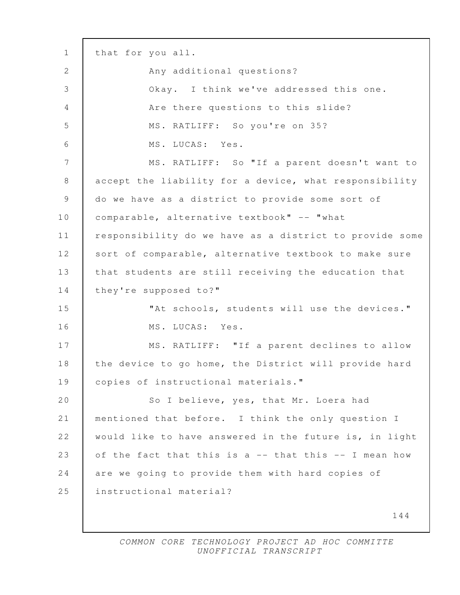144 1 that for you all. 2 Any additional questions? 3 Okay. I think we've addressed this one. 4 Are there questions to this slide? 5 MS. RATLIFF: So you're on 35? 6 MS. LUCAS: Yes. 7 MS. RATLIFF: So "If a parent doesn't want to 8 accept the liability for a device, what responsibility 9 do we have as a district to provide some sort of 10 comparable, alternative textbook" -- "what 11 responsibility do we have as a district to provide some 12 sort of comparable, alternative textbook to make sure 13 | that students are still receiving the education that 14 they're supposed to?" 15 Tht schools, students will use the devices." 16 | MS. LUCAS: Yes. 17 | MS. RATLIFF: "If a parent declines to allow 18 | the device to go home, the District will provide hard 19 copies of instructional materials." 20 So I believe, yes, that Mr. Loera had 21 mentioned that before. I think the only question I 22 would like to have answered in the future is, in light 23 of the fact that this is a -- that this -- I mean how 24 are we going to provide them with hard copies of 25 instructional material?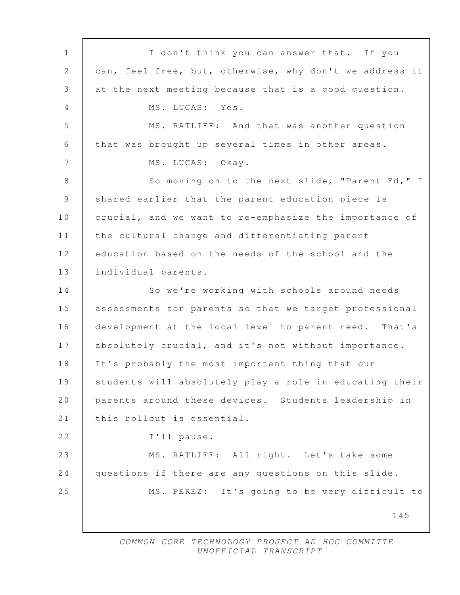145 1 | I don't think you can answer that. If you 2 can, feel free, but, otherwise, why don't we address it 3 at the next meeting because that is a good question. 4 MS. LUCAS: Yes. 5 MS. RATLIFF: And that was another question 6 that was brought up several times in other areas. 7 MS. LUCAS: Okav. 8 | So moving on to the next slide, "Parent Ed," I 9 Shared earlier that the parent education piece is 10 crucial, and we want to re-emphasize the importance of 11 the cultural change and differentiating parent 12 education based on the needs of the school and the 13 individual parents. 14 So we're working with schools around needs 15 assessments for parents so that we target professional 16 development at the local level to parent need. That's 17 absolutely crucial, and it's not without importance. 18 It's probably the most important thing that our 19 students will absolutely play a role in educating their 20 parents around these devices. Students leadership in 21 this rollout is essential. 22 I'll pause. 23 MS. RATLIFF: All right. Let's take some 24 questions if there are any questions on this slide. 25 MS. PEREZ: It's going to be very difficult to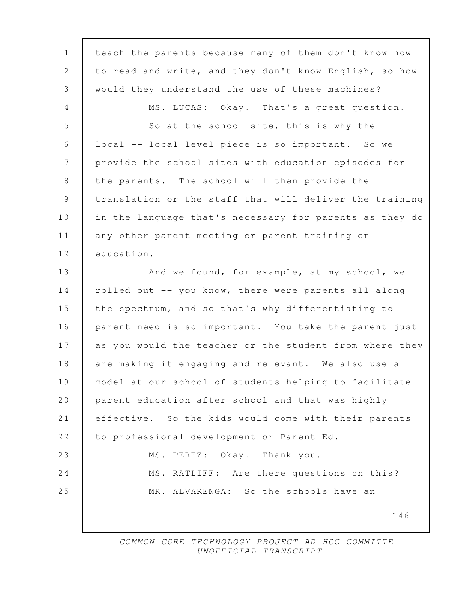| $\mathbf{1}$   | teach the parents because many of them don't know how   |
|----------------|---------------------------------------------------------|
| 2              | to read and write, and they don't know English, so how  |
| 3              | would they understand the use of these machines?        |
| 4              | MS. LUCAS: Okay. That's a great question.               |
| 5              | So at the school site, this is why the                  |
| 6              | local -- local level piece is so important. So we       |
| 7              | provide the school sites with education episodes for    |
| 8              | the parents. The school will then provide the           |
| $\overline{9}$ | translation or the staff that will deliver the training |
| 10             | in the language that's necessary for parents as they do |
| 11             | any other parent meeting or parent training or          |
| 12             | education.                                              |
| 13             | And we found, for example, at my school, we             |
| 14             | rolled out -- you know, there were parents all along    |
| 15             | the spectrum, and so that's why differentiating to      |
| 16             | parent need is so important. You take the parent just   |
| 17             | as you would the teacher or the student from where they |
| 18             | are making it engaging and relevant. We also use a      |
| 19             | model at our school of students helping to facilitate   |
| 20             | parent education after school and that was highly       |
| 21             | effective. So the kids would come with their parents    |
| 22             | to professional development or Parent Ed.               |
| 23             | Okay. Thank you.<br>MS. PEREZ:                          |
| 24             | MS. RATLIFF: Are there questions on this?               |
| 25             | MR. ALVARENGA: So the schools have an                   |
|                | 146                                                     |
|                |                                                         |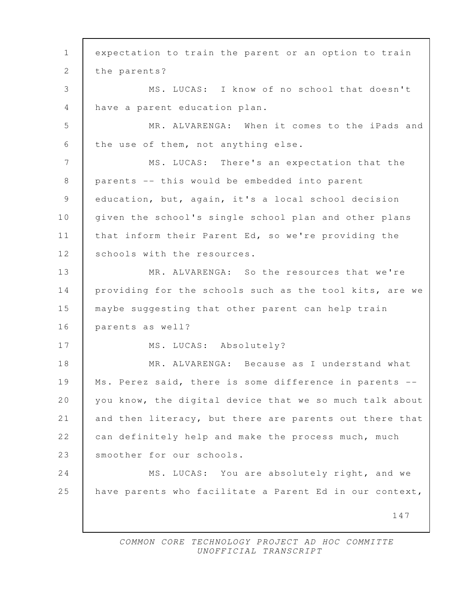147 1 expectation to train the parent or an option to train 2 the parents? 3 MS. LUCAS: I know of no school that doesn't 4 have a parent education plan. 5 MR. ALVARENGA: When it comes to the iPads and 6 the use of them, not anything else. 7 | MS. LUCAS: There's an expectation that the 8 parents -- this would be embedded into parent 9 education, but, again, it's a local school decision 10 | given the school's single school plan and other plans 11 that inform their Parent Ed, so we're providing the 12 Schools with the resources. 13 MR. ALVARENGA: So the resources that we're 14 providing for the schools such as the tool kits, are we 15 maybe suggesting that other parent can help train 16 parents as well? 17 MS. LUCAS: Absolutely? 18 MR. ALVARENGA: Because as I understand what 19 Ms. Perez said, there is some difference in parents -- 20 you know, the digital device that we so much talk about 21 and then literacy, but there are parents out there that 22 can definitely help and make the process much, much 23 Smoother for our schools. 24 MS. LUCAS: You are absolutely right, and we 25 | have parents who facilitate a Parent Ed in our context,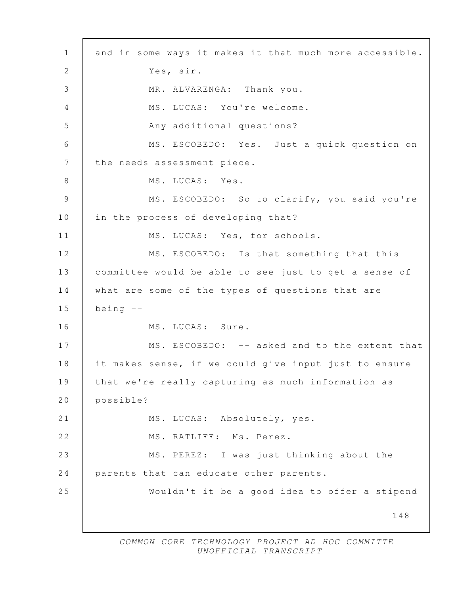148 1 and in some ways it makes it that much more accessible. 2 Yes, sir. 3 MR. ALVARENGA: Thank you. 4 MS. LUCAS: You're welcome. 5 Any additional questions? 6 MS. ESCOBEDO: Yes. Just a quick question on 7 the needs assessment piece. 8 MS. LUCAS: Yes. 9 MS. ESCOBEDO: So to clarify, you said you're 10 in the process of developing that? 11 MS. LUCAS: Yes, for schools. 12 MS. ESCOBEDO: Is that something that this 13 committee would be able to see just to get a sense of 14 what are some of the types of questions that are  $15$  being  $-$ 16 | MS. LUCAS: Sure. 17 MS. ESCOBEDO: -- asked and to the extent that 18 it makes sense, if we could give input just to ensure 19 that we're really capturing as much information as 20 possible? 21 MS. LUCAS: Absolutely, yes. 22 MS. RATLIFF: Ms. Perez. 23 MS. PEREZ: I was just thinking about the 24 parents that can educate other parents. 25 Wouldn't it be a good idea to offer a stipend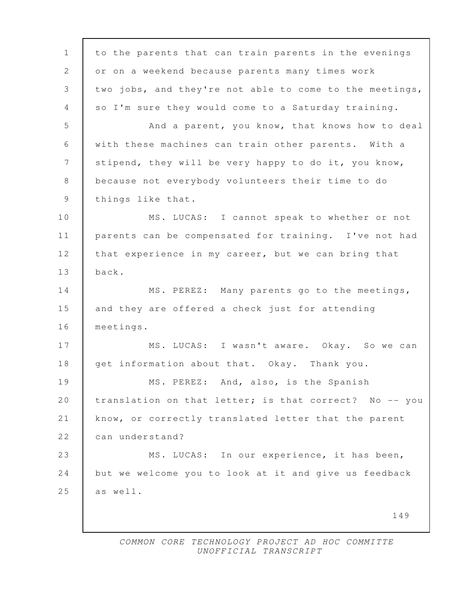149 1 to the parents that can train parents in the evenings 2 or on a weekend because parents many times work 3 two jobs, and they're not able to come to the meetings, 4 so I'm sure they would come to a Saturday training. 5 And a parent, you know, that knows how to deal 6 with these machines can train other parents. With a 7 stipend, they will be very happy to do it, you know, 8 because not everybody volunteers their time to do 9 things like that. 10 | MS. LUCAS: I cannot speak to whether or not 11 parents can be compensated for training. I've not had 12 that experience in my career, but we can bring that 13 back. 14 MS. PEREZ: Many parents go to the meetings, 15 and they are offered a check just for attending 16 meetings. 17 | MS. LUCAS: I wasn't aware. Okay. So we can 18 get information about that. Okay. Thank you. 19 MS. PEREZ: And, also, is the Spanish 20 | translation on that letter; is that correct? No -- you 21 know, or correctly translated letter that the parent 22 can understand? 23 MS. LUCAS: In our experience, it has been, 24 but we welcome you to look at it and give us feedback  $25$  as well.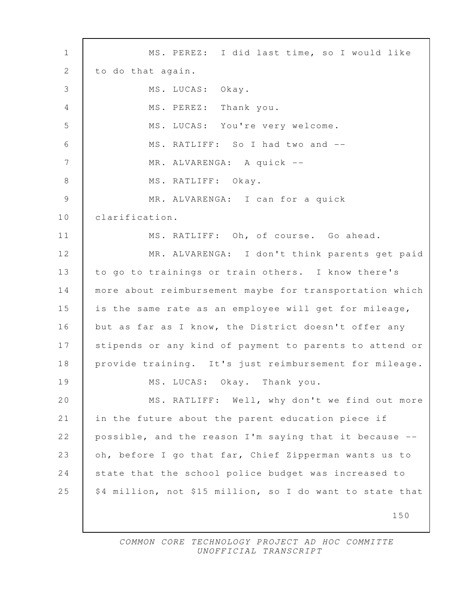150 1 MS. PEREZ: I did last time, so I would like 2 to do that again. 3 MS. LUCAS: Okay. 4 MS. PEREZ: Thank you. 5 MS. LUCAS: You're very welcome. 6 MS. RATLIFF: So I had two and -- 7 | MR. ALVARENGA: A quick --8 MS. RATLIFF: Okay. 9 MR. ALVARENGA: I can for a quick 10 clarification. 11 MS. RATLIFF: Oh, of course. Go ahead. 12 MR. ALVARENGA: I don't think parents get paid 13 to go to trainings or train others. I know there's 14 more about reimbursement maybe for transportation which 15 is the same rate as an employee will get for mileage, 16 but as far as I know, the District doesn't offer any 17 stipends or any kind of payment to parents to attend or 18 provide training. It's just reimbursement for mileage. 19 MS. LUCAS: Okay. Thank you. 20 | MS. RATLIFF: Well, why don't we find out more 21 in the future about the parent education piece if 22 possible, and the reason I'm saying that it because -- 23 oh, before I go that far, Chief Zipperman wants us to 24 state that the school police budget was increased to 25  $\frac{1}{25}$  \$4 million, not \$15 million, so I do want to state that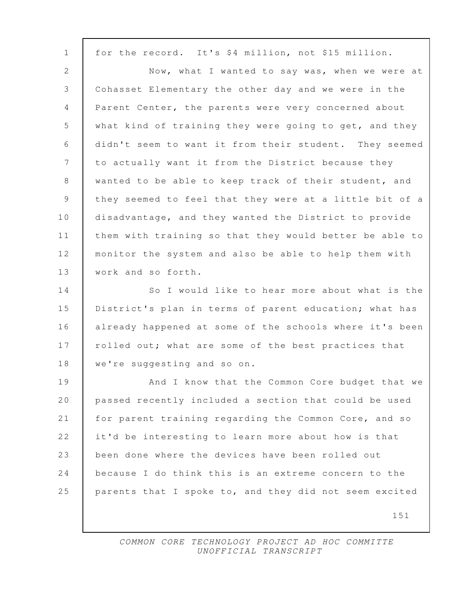151 1 for the record. It's \$4 million, not \$15 million. 2 Now, what I wanted to say was, when we were at 3 Cohasset Elementary the other day and we were in the 4 | Parent Center, the parents were very concerned about 5 what kind of training they were going to get, and they 6 didn't seem to want it from their student. They seemed 7 to actually want it from the District because they 8 wanted to be able to keep track of their student, and 9 they seemed to feel that they were at a little bit of a 10 disadvantage, and they wanted the District to provide 11 them with training so that they would better be able to 12 monitor the system and also be able to help them with 13 | work and so forth. 14 So I would like to hear more about what is the 15 District's plan in terms of parent education; what has 16 already happened at some of the schools where it's been 17 | rolled out; what are some of the best practices that 18 | we're suggesting and so on. 19 | And I know that the Common Core budget that we 20 passed recently included a section that could be used 21 for parent training regarding the Common Core, and so 22 it'd be interesting to learn more about how is that 23 been done where the devices have been rolled out 24 because I do think this is an extreme concern to the 25 parents that I spoke to, and they did not seem excited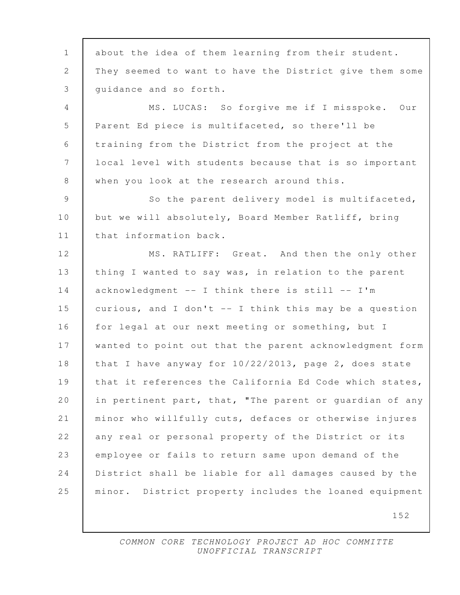152 1 about the idea of them learning from their student. 2 They seemed to want to have the District give them some 3 quidance and so forth. 4 MS. LUCAS: So forgive me if I misspoke. Our 5 Parent Ed piece is multifaceted, so there'll be 6 training from the District from the project at the 7 local level with students because that is so important 8 when you look at the research around this. 9 So the parent delivery model is multifaceted, 10 but we will absolutely, Board Member Ratliff, bring 11 | that information back. 12 MS. RATLIFF: Great. And then the only other 13 | thing I wanted to say was, in relation to the parent 14 acknowledgment -- I think there is still -- I'm 15 curious, and I don't -- I think this may be a question 16 for legal at our next meeting or something, but I 17 wanted to point out that the parent acknowledgment form 18 that I have anyway for 10/22/2013, page 2, does state 19 | that it references the California Ed Code which states, 20 in pertinent part, that, "The parent or guardian of any 21 minor who willfully cuts, defaces or otherwise injures 22 any real or personal property of the District or its 23 employee or fails to return same upon demand of the 24 District shall be liable for all damages caused by the 25 minor. District property includes the loaned equipment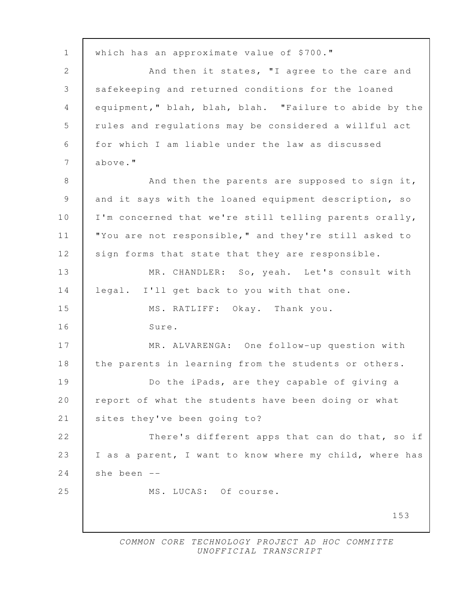153 1 | which has an approximate value of \$700." 2 And then it states, "I agree to the care and 3 safekeeping and returned conditions for the loaned 4 equipment," blah, blah, blah. "Failure to abide by the 5 rules and regulations may be considered a willful act 6 for which I am liable under the law as discussed 7 above." 8 And then the parents are supposed to sign it, 9 and it says with the loaned equipment description, so 10 | I'm concerned that we're still telling parents orally, 11 | "You are not responsible," and they're still asked to 12 sign forms that state that they are responsible. 13 MR. CHANDLER: So, yeah. Let's consult with 14 legal. I'll get back to you with that one. 15 MS. RATLIFF: Okay. Thank you. 16 Sure. 17 MR. ALVARENGA: One follow-up question with 18 | the parents in learning from the students or others. 19 Do the iPads, are they capable of giving a 20 | report of what the students have been doing or what 21 | sites they've been going to? 22 There's different apps that can do that, so if 23 I as a parent, I want to know where my child, where has 24  $\vert$  she been  $\vert$ -25 MS. LUCAS: Of course.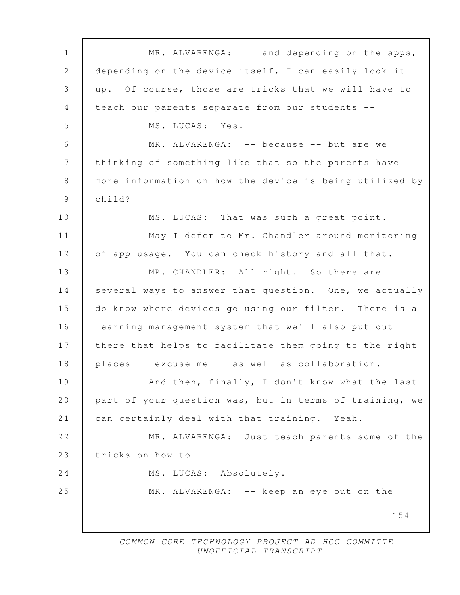154 1 MR. ALVARENGA: -- and depending on the apps, 2 depending on the device itself, I can easily look it 3 up. Of course, those are tricks that we will have to 4 teach our parents separate from our students -- 5 MS. LUCAS: Yes. 6 MR. ALVARENGA: -- because -- but are we 7 thinking of something like that so the parents have 8 more information on how the device is being utilized by 9 child? 10 | MS. LUCAS: That was such a great point. 11 | May I defer to Mr. Chandler around monitoring 12 of app usage. You can check history and all that. 13 MR. CHANDLER: All right. So there are 14 several ways to answer that question. One, we actually 15 do know where devices go using our filter. There is a 16 learning management system that we'll also put out 17 | there that helps to facilitate them going to the right 18 places -- excuse me -- as well as collaboration. 19 And then, finally, I don't know what the last 20 part of your question was, but in terms of training, we 21 can certainly deal with that training. Yeah. 22 MR. ALVARENGA: Just teach parents some of the 23 tricks on how to -- 24 MS. LUCAS: Absolutely. 25 MR. ALVARENGA: -- keep an eye out on the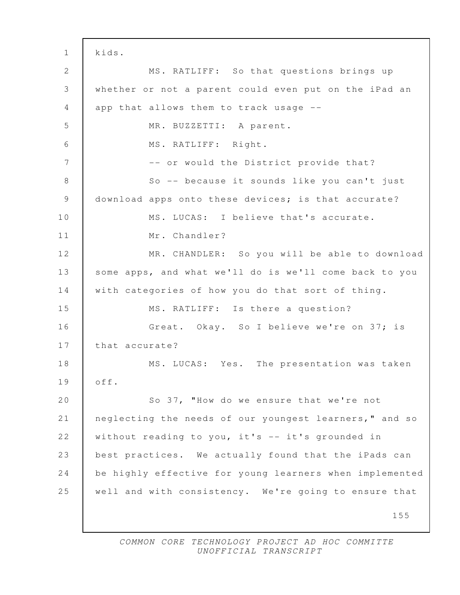155 1 kids. 2 MS. RATLIFF: So that questions brings up 3 whether or not a parent could even put on the iPad an 4 app that allows them to track usage -- 5 MR. BUZZETTI: A parent. 6 MS. RATLIFF: Right. 7 | The South Correlation or would the District provide that? 8 So -- because it sounds like you can't just 9 download apps onto these devices; is that accurate? 10 MS. LUCAS: I believe that's accurate. 11 | Mr. Chandler? 12 MR. CHANDLER: So you will be able to download 13 some apps, and what we'll do is we'll come back to you 14 with categories of how you do that sort of thing. 15 MS. RATLIFF: Is there a question? 16 Great. Okay. So I believe we're on 37; is 17 that accurate? 18 | MS. LUCAS: Yes. The presentation was taken 19 off. 20 So 37, "How do we ensure that we're not 21 neglecting the needs of our youngest learners," and so 22 without reading to you, it's -- it's grounded in 23 best practices. We actually found that the iPads can 24 be highly effective for young learners when implemented 25 well and with consistency. We're going to ensure that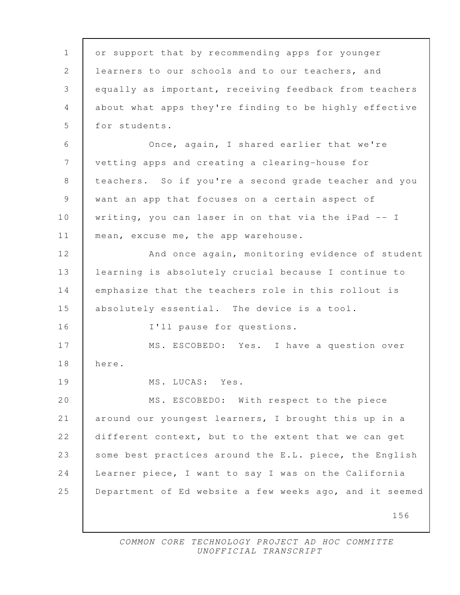| $\mathbf 1$<br>or support that by recommending apps for younger<br>2<br>learners to our schools and to our teachers, and<br>equally as important, receiving feedback from teachers<br>3<br>about what apps they're finding to be highly effective<br>4<br>5<br>for students.<br>6<br>Once, again, I shared earlier that we're<br>7<br>vetting apps and creating a clearing-house for<br>8<br>teachers. So if you're a second grade teacher and you<br>9<br>want an app that focuses on a certain aspect of<br>writing, you can laser in on that via the iPad -- I<br>mean, excuse me, the app warehouse.<br>And once again, monitoring evidence of student<br>learning is absolutely crucial because I continue to<br>emphasize that the teachers role in this rollout is<br>absolutely essential. The device is a tool.<br>I'll pause for questions.<br>MS. ESCOBEDO: Yes. I have a question over<br>here.<br>MS. LUCAS: Yes.<br>MS. ESCOBEDO: With respect to the piece<br>around our youngest learners, I brought this up in a<br>different context, but to the extent that we can get<br>some best practices around the E.L. piece, the English<br>Learner piece, I want to say I was on the California<br>156 |                                                         |
|--------------------------------------------------------------------------------------------------------------------------------------------------------------------------------------------------------------------------------------------------------------------------------------------------------------------------------------------------------------------------------------------------------------------------------------------------------------------------------------------------------------------------------------------------------------------------------------------------------------------------------------------------------------------------------------------------------------------------------------------------------------------------------------------------------------------------------------------------------------------------------------------------------------------------------------------------------------------------------------------------------------------------------------------------------------------------------------------------------------------------------------------------------------------------------------------------------------------|---------------------------------------------------------|
|                                                                                                                                                                                                                                                                                                                                                                                                                                                                                                                                                                                                                                                                                                                                                                                                                                                                                                                                                                                                                                                                                                                                                                                                                    |                                                         |
|                                                                                                                                                                                                                                                                                                                                                                                                                                                                                                                                                                                                                                                                                                                                                                                                                                                                                                                                                                                                                                                                                                                                                                                                                    |                                                         |
|                                                                                                                                                                                                                                                                                                                                                                                                                                                                                                                                                                                                                                                                                                                                                                                                                                                                                                                                                                                                                                                                                                                                                                                                                    |                                                         |
|                                                                                                                                                                                                                                                                                                                                                                                                                                                                                                                                                                                                                                                                                                                                                                                                                                                                                                                                                                                                                                                                                                                                                                                                                    |                                                         |
|                                                                                                                                                                                                                                                                                                                                                                                                                                                                                                                                                                                                                                                                                                                                                                                                                                                                                                                                                                                                                                                                                                                                                                                                                    |                                                         |
|                                                                                                                                                                                                                                                                                                                                                                                                                                                                                                                                                                                                                                                                                                                                                                                                                                                                                                                                                                                                                                                                                                                                                                                                                    |                                                         |
|                                                                                                                                                                                                                                                                                                                                                                                                                                                                                                                                                                                                                                                                                                                                                                                                                                                                                                                                                                                                                                                                                                                                                                                                                    |                                                         |
| $10$<br>11<br>12<br>13<br>14<br>15<br>16<br>17<br>18<br>19<br>20<br>21<br>22<br>23<br>24<br>25                                                                                                                                                                                                                                                                                                                                                                                                                                                                                                                                                                                                                                                                                                                                                                                                                                                                                                                                                                                                                                                                                                                     |                                                         |
|                                                                                                                                                                                                                                                                                                                                                                                                                                                                                                                                                                                                                                                                                                                                                                                                                                                                                                                                                                                                                                                                                                                                                                                                                    |                                                         |
|                                                                                                                                                                                                                                                                                                                                                                                                                                                                                                                                                                                                                                                                                                                                                                                                                                                                                                                                                                                                                                                                                                                                                                                                                    |                                                         |
|                                                                                                                                                                                                                                                                                                                                                                                                                                                                                                                                                                                                                                                                                                                                                                                                                                                                                                                                                                                                                                                                                                                                                                                                                    |                                                         |
|                                                                                                                                                                                                                                                                                                                                                                                                                                                                                                                                                                                                                                                                                                                                                                                                                                                                                                                                                                                                                                                                                                                                                                                                                    |                                                         |
|                                                                                                                                                                                                                                                                                                                                                                                                                                                                                                                                                                                                                                                                                                                                                                                                                                                                                                                                                                                                                                                                                                                                                                                                                    |                                                         |
|                                                                                                                                                                                                                                                                                                                                                                                                                                                                                                                                                                                                                                                                                                                                                                                                                                                                                                                                                                                                                                                                                                                                                                                                                    |                                                         |
|                                                                                                                                                                                                                                                                                                                                                                                                                                                                                                                                                                                                                                                                                                                                                                                                                                                                                                                                                                                                                                                                                                                                                                                                                    |                                                         |
|                                                                                                                                                                                                                                                                                                                                                                                                                                                                                                                                                                                                                                                                                                                                                                                                                                                                                                                                                                                                                                                                                                                                                                                                                    |                                                         |
|                                                                                                                                                                                                                                                                                                                                                                                                                                                                                                                                                                                                                                                                                                                                                                                                                                                                                                                                                                                                                                                                                                                                                                                                                    |                                                         |
|                                                                                                                                                                                                                                                                                                                                                                                                                                                                                                                                                                                                                                                                                                                                                                                                                                                                                                                                                                                                                                                                                                                                                                                                                    |                                                         |
|                                                                                                                                                                                                                                                                                                                                                                                                                                                                                                                                                                                                                                                                                                                                                                                                                                                                                                                                                                                                                                                                                                                                                                                                                    |                                                         |
|                                                                                                                                                                                                                                                                                                                                                                                                                                                                                                                                                                                                                                                                                                                                                                                                                                                                                                                                                                                                                                                                                                                                                                                                                    |                                                         |
|                                                                                                                                                                                                                                                                                                                                                                                                                                                                                                                                                                                                                                                                                                                                                                                                                                                                                                                                                                                                                                                                                                                                                                                                                    |                                                         |
|                                                                                                                                                                                                                                                                                                                                                                                                                                                                                                                                                                                                                                                                                                                                                                                                                                                                                                                                                                                                                                                                                                                                                                                                                    |                                                         |
|                                                                                                                                                                                                                                                                                                                                                                                                                                                                                                                                                                                                                                                                                                                                                                                                                                                                                                                                                                                                                                                                                                                                                                                                                    |                                                         |
|                                                                                                                                                                                                                                                                                                                                                                                                                                                                                                                                                                                                                                                                                                                                                                                                                                                                                                                                                                                                                                                                                                                                                                                                                    |                                                         |
|                                                                                                                                                                                                                                                                                                                                                                                                                                                                                                                                                                                                                                                                                                                                                                                                                                                                                                                                                                                                                                                                                                                                                                                                                    | Department of Ed website a few weeks ago, and it seemed |
|                                                                                                                                                                                                                                                                                                                                                                                                                                                                                                                                                                                                                                                                                                                                                                                                                                                                                                                                                                                                                                                                                                                                                                                                                    |                                                         |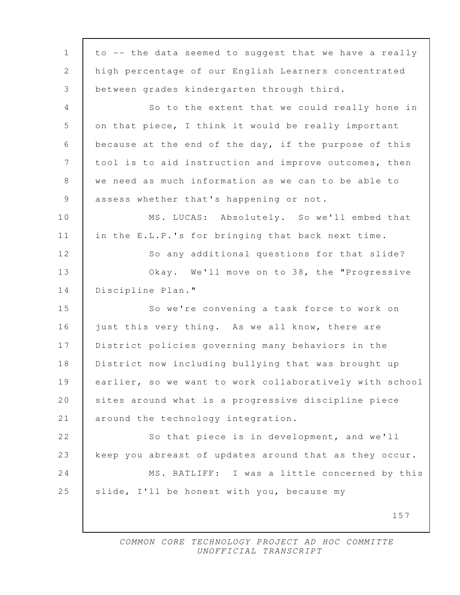157 1 to -- the data seemed to suggest that we have a really 2 high percentage of our English Learners concentrated 3 between grades kindergarten through third. 4 So to the extent that we could really hone in 5 on that piece, I think it would be really important 6 because at the end of the day, if the purpose of this 7 tool is to aid instruction and improve outcomes, then 8 we need as much information as we can to be able to 9 assess whether that's happening or not. 10 | MS. LUCAS: Absolutely. So we'll embed that 11 in the E.L.P.'s for bringing that back next time. 12 So any additional questions for that slide? 13 **Okay.** We'll move on to 38, the "Progressive 14 Discipline Plan." 15 So we're convening a task force to work on 16 iust this very thing. As we all know, there are 17 District policies governing many behaviors in the 18 District now including bullying that was brought up 19 earlier, so we want to work collaboratively with school 20 | sites around what is a progressive discipline piece 21 around the technology integration. 22 So that piece is in development, and we'll 23 keep you abreast of updates around that as they occur. 24 MS. RATLIFF: I was a little concerned by this 25 slide, I'll be honest with you, because my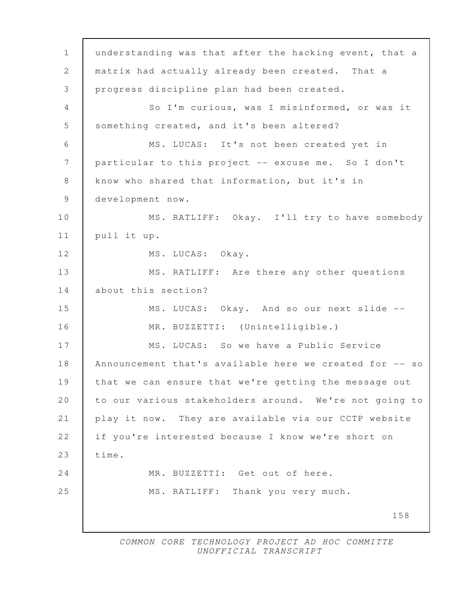158 1 understanding was that after the hacking event, that a 2 matrix had actually already been created. That a 3 progress discipline plan had been created. 4 So I'm curious, was I misinformed, or was it 5 Something created, and it's been altered? 6 MS. LUCAS: It's not been created yet in 7 particular to this project -- excuse me. So I don't 8 know who shared that information, but it's in 9 development now. 10 MS. RATLIFF: Okay. I'll try to have somebody 11 pull it up. 12 | MS. LUCAS: Okay. 13 MS. RATLIFF: Are there any other questions 14 about this section? 15 MS. LUCAS: Okay. And so our next slide -- 16 MR. BUZZETTI: (Unintelligible.) 17 MS. LUCAS: So we have a Public Service 18 Announcement that's available here we created for -- so 19 that we can ensure that we're getting the message out 20 to our various stakeholders around. We're not going to 21 play it now. They are available via our CCTP website 22 if you're interested because I know we're short on 23  $time.$ 24 MR. BUZZETTI: Get out of here. 25 MS. RATLIFF: Thank you very much.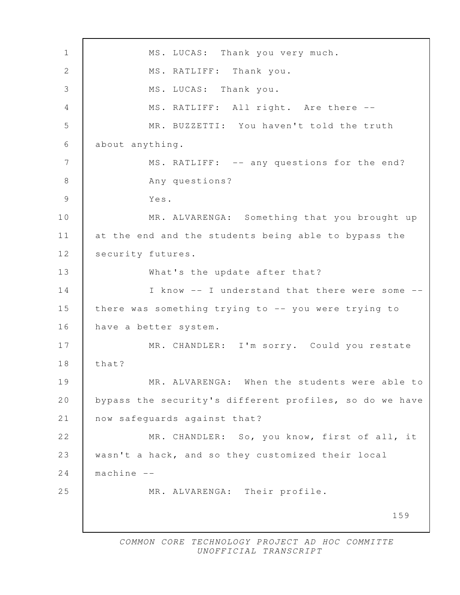159 1 MS. LUCAS: Thank you very much. 2 | MS. RATLIFF: Thank you. 3 MS. LUCAS: Thank you. 4 | MS. RATLIFF: All right. Are there -- 5 MR. BUZZETTI: You haven't told the truth 6 about anything. 7 | MS. RATLIFF: -- any questions for the end? 8 Any questions? 9 Yes. 10 MR. ALVARENGA: Something that you brought up 11 at the end and the students being able to bypass the 12 | security futures. 13 What's the update after that? 14 I know -- I understand that there were some --15 there was something trying to -- you were trying to 16 have a better system. 17 MR. CHANDLER: I'm sorry. Could you restate 18 that? 19 MR. ALVARENGA: When the students were able to 20 bypass the security's different profiles, so do we have 21 now safequards against that? 22 MR. CHANDLER: So, you know, first of all, it 23 wasn't a hack, and so they customized their local 24 machine -- 25 MR. ALVARENGA: Their profile.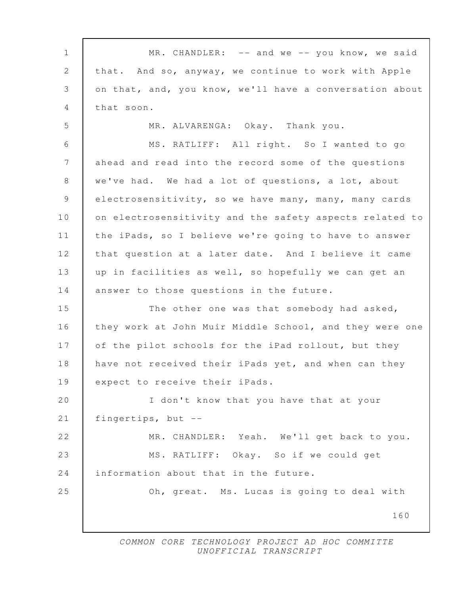160 1 | MR. CHANDLER: -- and we -- you know, we said 2 that. And so, anyway, we continue to work with Apple 3 on that, and, you know, we'll have a conversation about 4 that soon. 5 MR. ALVARENGA: Okay. Thank you. 6 MS. RATLIFF: All right. So I wanted to go 7 ahead and read into the record some of the questions 8 | we've had. We had a lot of questions, a lot, about 9 electrosensitivity, so we have many, many, many cards 10 on electrosensitivity and the safety aspects related to 11 the iPads, so I believe we're going to have to answer 12 that question at a later date. And I believe it came 13 up in facilities as well, so hopefully we can get an 14 answer to those questions in the future. 15 The other one was that somebody had asked, 16 they work at John Muir Middle School, and they were one 17 | of the pilot schools for the iPad rollout, but they 18 have not received their iPads yet, and when can they 19 expect to receive their iPads. 20 I don't know that you have that at your 21 fingertips, but -- 22 MR. CHANDLER: Yeah. We'll get back to you. 23 MS. RATLIFF: Okay. So if we could get 24 information about that in the future. 25 Oh, great. Ms. Lucas is going to deal with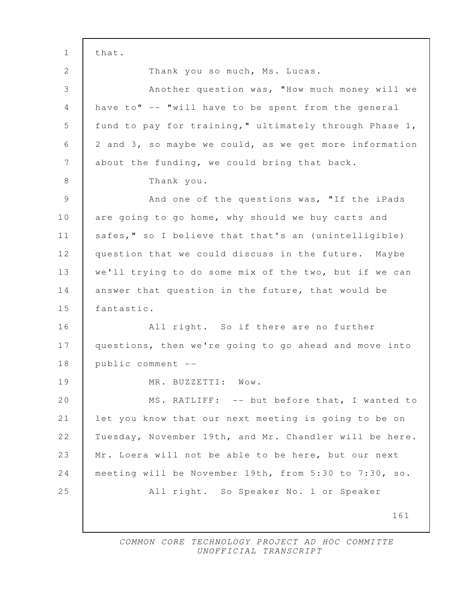161 1 that. 2 Thank you so much, Ms. Lucas. 3 Another question was, "How much money will we 4 have to" -- "will have to be spent from the general 5 fund to pay for training," ultimately through Phase 1, 6 2 and 3, so maybe we could, as we get more information 7 about the funding, we could bring that back. 8 Thank you. 9 And one of the questions was, "If the iPads 10 are going to go home, why should we buy carts and 11 | safes," so I believe that that's an (unintelligible) 12 question that we could discuss in the future. Maybe 13 we'll trying to do some mix of the two, but if we can 14 answer that question in the future, that would be 15 fantastic. 16 | All right. So if there are no further 17 | questions, then we're going to go ahead and move into 18 public comment -- 19 | MR. BUZZETTI: Wow. 20 | MS. RATLIFF: -- but before that, I wanted to 21 let you know that our next meeting is going to be on 22 Tuesday, November 19th, and Mr. Chandler will be here. 23 Mr. Loera will not be able to be here, but our next 24 meeting will be November 19th, from 5:30 to 7:30, so. 25 All right. So Speaker No. 1 or Speaker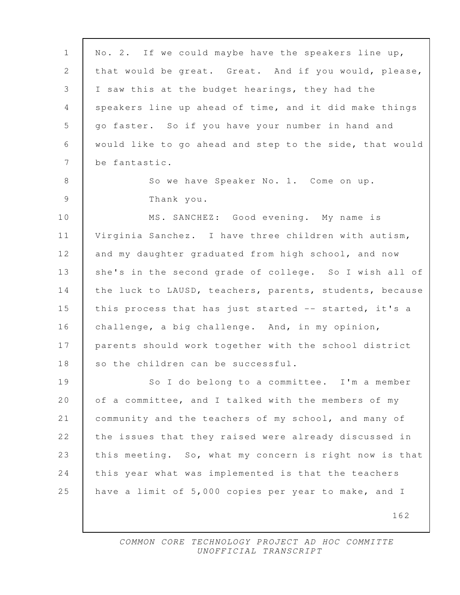| $\mathbf 1$ | No. 2. If we could maybe have the speakers line up,     |
|-------------|---------------------------------------------------------|
| 2           | that would be great. Great. And if you would, please,   |
| 3           | I saw this at the budget hearings, they had the         |
| 4           | speakers line up ahead of time, and it did make things  |
| 5           | go faster. So if you have your number in hand and       |
| 6           | would like to go ahead and step to the side, that would |
| 7           | be fantastic.                                           |
| 8           | So we have Speaker No. 1. Come on up.                   |
| 9           | Thank you.                                              |
| 10          | MS. SANCHEZ: Good evening. My name is                   |
| 11          | Virginia Sanchez. I have three children with autism,    |
| 12          | and my daughter graduated from high school, and now     |
| 13          | she's in the second grade of college. So I wish all of  |
| 14          | the luck to LAUSD, teachers, parents, students, because |
| 15          | this process that has just started -- started, it's a   |
| 16          | challenge, a big challenge. And, in my opinion,         |
| 17          | parents should work together with the school district   |
| 18          | so the children can be successful.                      |
| 19          | So I do belong to a committee. I'm a member             |
| 20          | of a committee, and I talked with the members of my     |
| 21          | community and the teachers of my school, and many of    |
| 22          | the issues that they raised were already discussed in   |
| 23          | this meeting. So, what my concern is right now is that  |
| 24          | this year what was implemented is that the teachers     |
| 25          | have a limit of 5,000 copies per year to make, and I    |
|             | 162                                                     |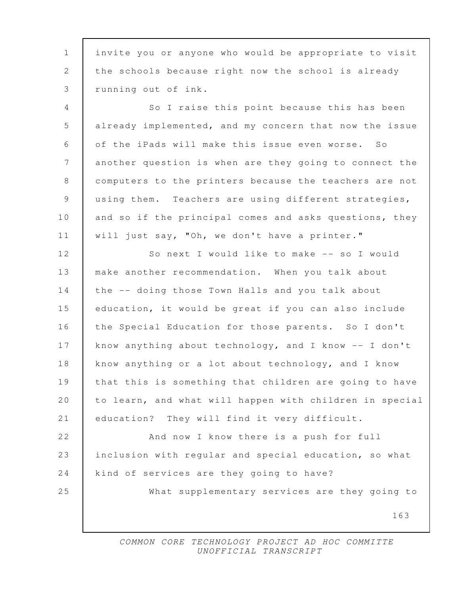1 invite you or anyone who would be appropriate to visit 2 the schools because right now the school is already 3 running out of ink.

4 So I raise this point because this has been 5 already implemented, and my concern that now the issue 6 of the iPads will make this issue even worse. So 7 another question is when are they going to connect the 8 computers to the printers because the teachers are not 9 using them. Teachers are using different strategies, 10 and so if the principal comes and asks questions, they 11 will just say, "Oh, we don't have a printer."

12 So next I would like to make -- so I would 13 make another recommendation. When you talk about 14 the -- doing those Town Halls and you talk about 15 education, it would be great if you can also include 16 the Special Education for those parents. So I don't 17 know anything about technology, and I know -- I don't 18 know anything or a lot about technology, and I know 19 that this is something that children are going to have 20 to learn, and what will happen with children in special 21 education? They will find it very difficult.

22 **And now I know there is a push for full** 23 inclusion with regular and special education, so what 24 kind of services are they going to have? 25 What supplementary services are they going to

163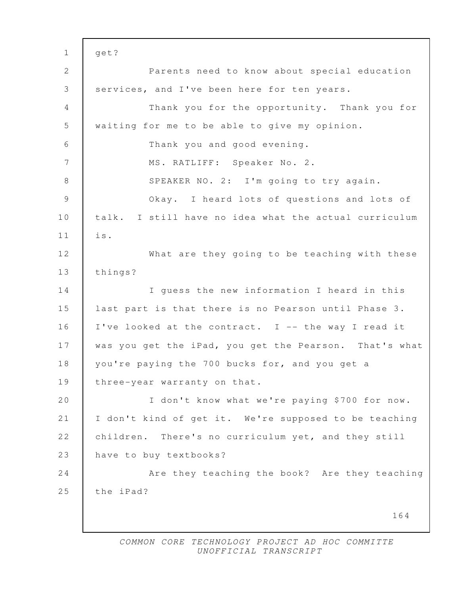164 1 get? 2 Parents need to know about special education 3 services, and I've been here for ten years. 4 Thank you for the opportunity. Thank you for 5 waiting for me to be able to give my opinion. 6 Thank you and good evening. 7 MS. RATLIFF: Speaker No. 2. 8 SPEAKER NO. 2: I'm going to try again. 9 Okay. I heard lots of questions and lots of 10 talk. I still have no idea what the actual curriculum 11 is. 12 What are they going to be teaching with these 13 things? 14 I guess the new information I heard in this 15 last part is that there is no Pearson until Phase 3. 16 | I've looked at the contract. I -- the way I read it 17 | was you get the iPad, you get the Pearson. That's what 18 | you're paying the 700 bucks for, and you get a 19 | three-year warranty on that. 20 I don't know what we're paying \$700 for now. 21 I don't kind of get it. We're supposed to be teaching 22 children. There's no curriculum yet, and they still 23 have to buy textbooks? 24 **Are they teaching the book?** Are they teaching 25 the iPad?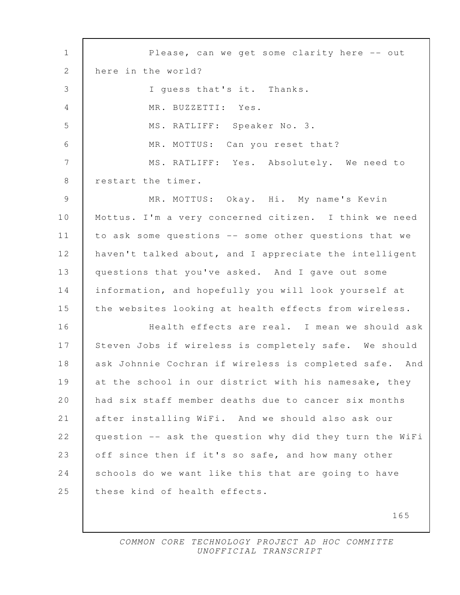1 Please, can we get some clarity here -- out 2 here in the world? 3 I guess that's it. Thanks. 4 MR. BUZZETTI: Yes. 5 MS. RATLIFF: Speaker No. 3. 6 MR. MOTTUS: Can you reset that? 7 | MS. RATLIFF: Yes. Absolutely. We need to 8 restart the timer. 9 MR. MOTTUS: Okay. Hi. My name's Kevin 10 Mottus. I'm a very concerned citizen. I think we need 11 to ask some questions -- some other questions that we 12 haven't talked about, and I appreciate the intelligent 13 questions that you've asked. And I gave out some 14 information, and hopefully you will look yourself at 15 the websites looking at health effects from wireless. 16 Health effects are real. I mean we should ask 17 Steven Jobs if wireless is completely safe. We should 18 ask Johnnie Cochran if wireless is completed safe. And 19 at the school in our district with his namesake, they 20 had six staff member deaths due to cancer six months 21 after installing WiFi. And we should also ask our 22 question -- ask the question why did they turn the WiFi 23 off since then if it's so safe, and how many other 24 schools do we want like this that are going to have 25 these kind of health effects.

165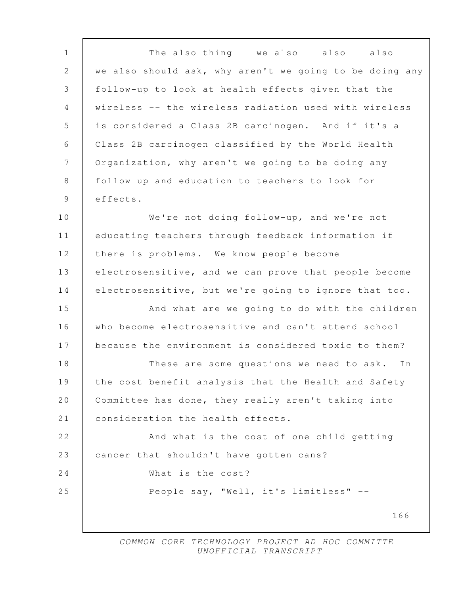166 1 The also thing -- we also -- also -- also --2 we also should ask, why aren't we going to be doing any 3 follow-up to look at health effects given that the 4 wireless -- the wireless radiation used with wireless 5 is considered a Class 2B carcinogen. And if it's a 6 Class 2B carcinogen classified by the World Health 7 | Organization, why aren't we going to be doing any 8 follow-up and education to teachers to look for 9 effects. 10 We're not doing follow-up, and we're not 11 educating teachers through feedback information if 12 there is problems. We know people become 13 electrosensitive, and we can prove that people become 14 electrosensitive, but we're going to ignore that too. 15 **And what are we going to do with the children** 16 who become electrosensitive and can't attend school 17 because the environment is considered toxic to them? 18 These are some questions we need to ask. In 19 the cost benefit analysis that the Health and Safety 20 Committee has done, they really aren't taking into 21 | consideration the health effects. 22 **And what is the cost of one child getting** 23 cancer that shouldn't have gotten cans? 24 What is the cost? 25 People say, "Well, it's limitless" --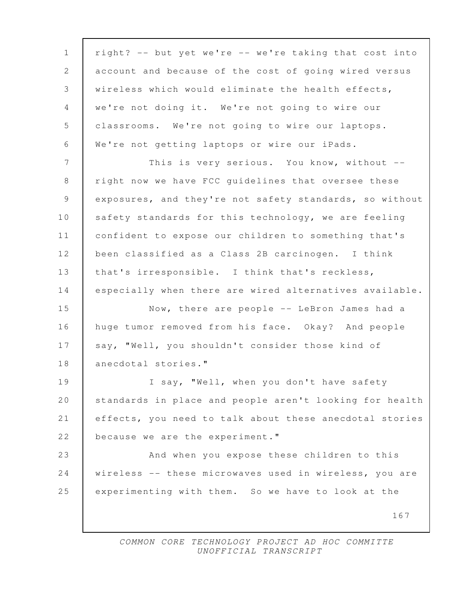| $\mathbf 1$    | right? -- but yet we're -- we're taking that cost into  |
|----------------|---------------------------------------------------------|
| $\mathbf{2}$   | account and because of the cost of going wired versus   |
| 3              | wireless which would eliminate the health effects,      |
| $\overline{4}$ | we're not doing it. We're not going to wire our         |
| 5              | classrooms. We're not going to wire our laptops.        |
| 6              | We're not getting laptops or wire our iPads.            |
| 7              | This is very serious. You know, without --              |
| 8              | right now we have FCC guidelines that oversee these     |
| $\mathcal{G}$  | exposures, and they're not safety standards, so without |
| 10             | safety standards for this technology, we are feeling    |
| 11             | confident to expose our children to something that's    |
| 12             | been classified as a Class 2B carcinogen. I think       |
| 13             | that's irresponsible. I think that's reckless,          |
| 14             | especially when there are wired alternatives available. |
| 15             | Now, there are people -- LeBron James had a             |
| 16             | huge tumor removed from his face. Okay? And people      |
| 17             | say, "Well, you shouldn't consider those kind of        |
| 18             | anecdotal stories."                                     |
| 19             | I say, "Well, when you don't have safety                |
| 20             | standards in place and people aren't looking for health |
| 21             | effects, you need to talk about these anecdotal stories |
| 22             | because we are the experiment."                         |
| 23             | And when you expose these children to this              |
| 24             | wireless -- these microwaves used in wireless, you are  |
| 25             | experimenting with them. So we have to look at the      |
|                | 167                                                     |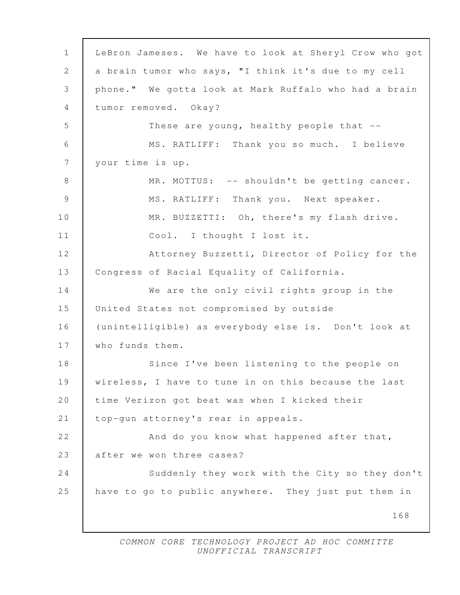168 1 LeBron Jameses. We have to look at Sheryl Crow who got 2 a brain tumor who says, "I think it's due to my cell 3 phone." We gotta look at Mark Ruffalo who had a brain 4 tumor removed. Okay? 5 These are young, healthy people that -- 6 MS. RATLIFF: Thank you so much. I believe 7 your time is up. 8 MR. MOTTUS: -- shouldn't be getting cancer. 9 MS. RATLIFF: Thank you. Next speaker. 10 | MR. BUZZETTI: Oh, there's my flash drive. 11 Cool. I thought I lost it. 12 Attorney Buzzetti, Director of Policy for the 13 | Congress of Racial Equality of California. 14 We are the only civil rights group in the 15 United States not compromised by outside 16 (unintelligible) as everybody else is. Don't look at 17 Who funds them. 18 Since I've been listening to the people on 19 wireless, I have to tune in on this because the last 20 time Verizon got beat was when I kicked their 21 | top-qun attorney's rear in appeals. 22 And do you know what happened after that, 23 after we won three cases? 24 Suddenly they work with the City so they don't 25 have to go to public anywhere. They just put them in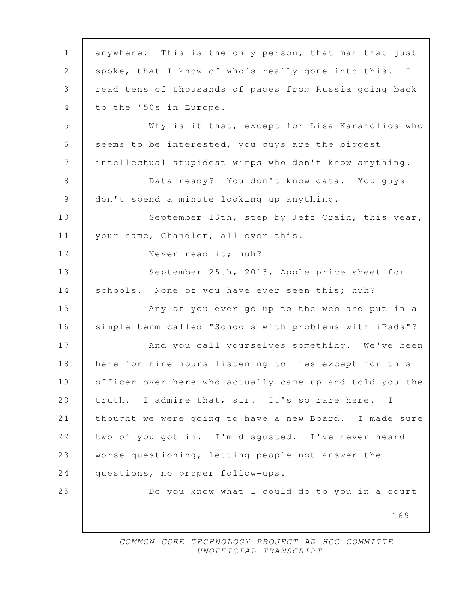169 1 anywhere. This is the only person, that man that just 2 spoke, that I know of who's really gone into this. I 3 read tens of thousands of pages from Russia going back 4 to the '50s in Europe. 5 Why is it that, except for Lisa Karaholios who 6 seems to be interested, you guys are the biggest 7 intellectual stupidest wimps who don't know anything. 8 | Data ready? You don't know data. You guys 9 don't spend a minute looking up anything. 10 September 13th, step by Jeff Crain, this year, 11 | your name, Chandler, all over this. 12 Never read it; huh? 13 September 25th, 2013, Apple price sheet for 14 schools. None of you have ever seen this; huh? 15 Any of you ever go up to the web and put in a 16 simple term called "Schools with problems with iPads"? 17 And you call yourselves something. We've been 18 here for nine hours listening to lies except for this 19 officer over here who actually came up and told you the 20 truth. I admire that, sir. It's so rare here. I 21 thought we were going to have a new Board. I made sure 22 two of you got in. I'm disgusted. I've never heard 23 worse questioning, letting people not answer the 24 questions, no proper follow-ups. 25 Do you know what I could do to you in a court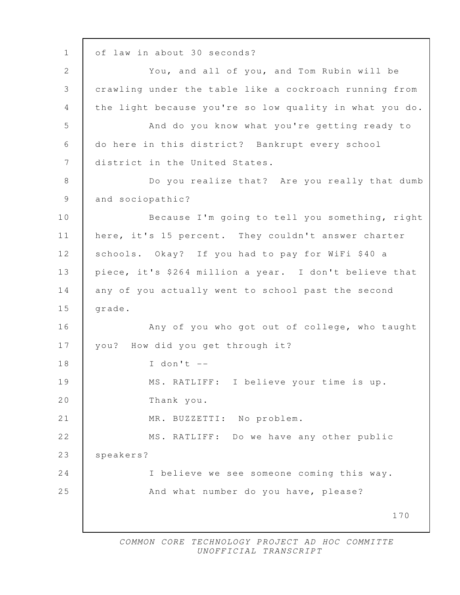170 1 | of law in about 30 seconds? 2 You, and all of you, and Tom Rubin will be 3 crawling under the table like a cockroach running from 4 the light because you're so low quality in what you do. 5 And do you know what you're getting ready to 6 do here in this district? Bankrupt every school 7 district in the United States. 8 | Do you realize that? Are you really that dumb 9 and sociopathic? 10 Because I'm going to tell you something, right 11 here, it's 15 percent. They couldn't answer charter 12 schools. Okay? If you had to pay for WiFi \$40 a 13 piece, it's \$264 million a year. I don't believe that 14 any of you actually went to school past the second 15 | grade. 16 **Any of you who got out of college, who taught** 17 | you? How did you get through it? 18 I don't -- 19 | MS. RATLIFF: I believe your time is up. 20 Thank you. 21 MR. BUZZETTI: No problem. 22 MS. RATLIFF: Do we have any other public 23 | speakers? 24 I believe we see someone coming this way. 25 And what number do you have, please?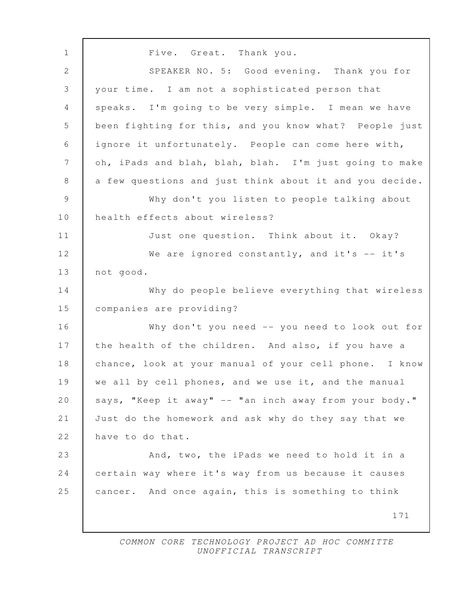171 1 Five. Great. Thank you. 2 SPEAKER NO. 5: Good evening. Thank you for 3 your time. I am not a sophisticated person that 4 | speaks. I'm going to be very simple. I mean we have 5 been fighting for this, and you know what? People just 6 ignore it unfortunately. People can come here with, 7 | oh, iPads and blah, blah, blah. I'm just going to make 8 a few questions and just think about it and you decide. 9 Why don't you listen to people talking about 10 health effects about wireless? 11 | Just one question. Think about it. Okay? 12 We are ignored constantly, and it's -- it's 13 not good. 14 Why do people believe everything that wireless 15 companies are providing? 16 Why don't you need -- you need to look out for 17 the health of the children. And also, if you have a 18 chance, look at your manual of your cell phone. I know 19 we all by cell phones, and we use it, and the manual 20 says, "Keep it away" -- "an inch away from your body." 21 Just do the homework and ask why do they say that we 22 have to do that. 23 And, two, the iPads we need to hold it in a 24 certain way where it's way from us because it causes 25 cancer. And once again, this is something to think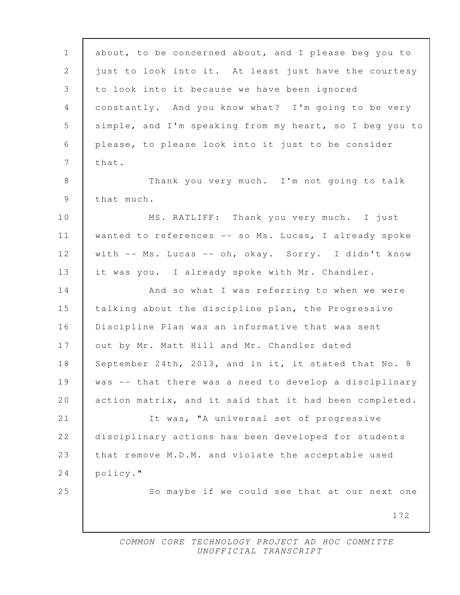| $\mathbf 1$    | about, to be concerned about, and I please beg you to   |
|----------------|---------------------------------------------------------|
| 2              | just to look into it. At least just have the courtesy   |
| $\mathfrak{Z}$ | to look into it because we have been ignored            |
| $\overline{4}$ | constantly. And you know what? I'm going to be very     |
| 5              | simple, and I'm speaking from my heart, so I beg you to |
| $\sqrt{6}$     | please, to please look into it just to be consider      |
| $\overline{7}$ | that.                                                   |
| 8              | Thank you very much. I'm not going to talk              |
| 9              | that much.                                              |
| 10             | MS. RATLIFF: Thank you very much. I just                |
| 11             | wanted to references -- so Ms. Lucas, I already spoke   |
| 12             | with -- Ms. Lucas -- oh, okay. Sorry. I didn't know     |
| 13             | it was you. I already spoke with Mr. Chandler.          |
| 14             | And so what I was referring to when we were             |
| 15             | talking about the discipline plan, the Progressive      |
| 16             | Discipline Plan was an informative that was sent        |
| 17             | out by Mr. Matt Hill and Mr. Chandler dated             |
| 18             | September 24th, 2013, and in it, it stated that No. 8   |
| 19             | was -- that there was a need to develop a disciplinary  |
| 20             | action matrix, and it said that it had been completed.  |
| 21             | It was, "A universal set of progressive                 |
| 22             | disciplinary actions has been developed for students    |
| 23             | that remove M.D.M. and violate the acceptable used      |
| 24             | policy."                                                |
| 25             | So maybe if we could see that at our next one           |
|                | 172                                                     |
|                |                                                         |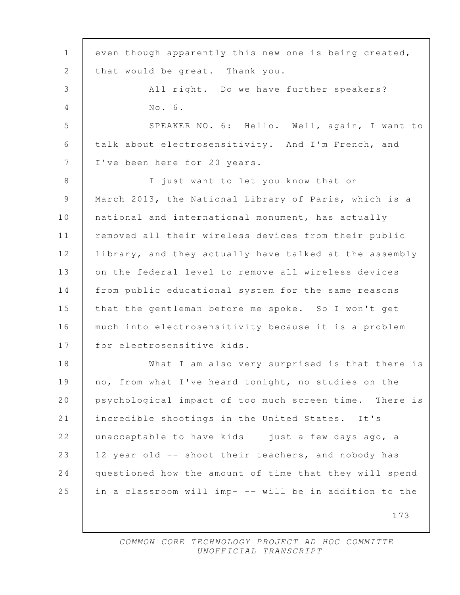| $\mathbf{1}$    | even though apparently this new one is being created,  |
|-----------------|--------------------------------------------------------|
| 2               | that would be great. Thank you.                        |
| 3               | All right. Do we have further speakers?                |
| 4               | No. 6.                                                 |
| 5               | SPEAKER NO. 6: Hello. Well, again, I want to           |
| 6               | talk about electrosensitivity. And I'm French, and     |
| $7\phantom{.0}$ | I've been here for 20 years.                           |
| 8               | I just want to let you know that on                    |
| 9               | March 2013, the National Library of Paris, which is a  |
| 10              | national and international monument, has actually      |
| 11              | removed all their wireless devices from their public   |
| 12              | library, and they actually have talked at the assembly |
| 13              | on the federal level to remove all wireless devices    |
| 14              | from public educational system for the same reasons    |
| 15              | that the gentleman before me spoke. So I won't get     |
| 16              | much into electrosensitivity because it is a problem   |
| 17              | for electrosensitive kids.                             |
| 18              | What I am also very surprised is that there is         |
| 19              | no, from what I've heard tonight, no studies on the    |
| 20              | psychological impact of too much screen time. There is |
| 21              | incredible shootings in the United States. It's        |
| 22              | unacceptable to have kids -- just a few days ago, a    |
| 23              | 12 year old -- shoot their teachers, and nobody has    |
| 24              | questioned how the amount of time that they will spend |
| 25              | in a classroom will imp- -- will be in addition to the |
|                 | 173                                                    |